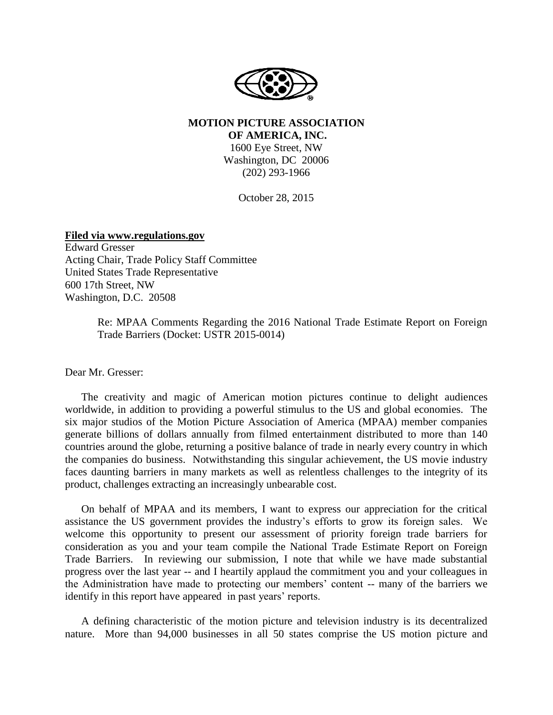

#### **MOTION PICTURE ASSOCIATION OF AMERICA, INC.**

1600 Eye Street, NW Washington, DC 20006 (202) 293-1966

October 28, 2015

**Filed via www.regulations.gov**

Edward Gresser Acting Chair, Trade Policy Staff Committee United States Trade Representative 600 17th Street, NW Washington, D.C. 20508

> Re: MPAA Comments Regarding the 2016 National Trade Estimate Report on Foreign Trade Barriers (Docket: USTR 2015-0014)

Dear Mr. Gresser:

The creativity and magic of American motion pictures continue to delight audiences worldwide, in addition to providing a powerful stimulus to the US and global economies. The six major studios of the Motion Picture Association of America (MPAA) member companies generate billions of dollars annually from filmed entertainment distributed to more than 140 countries around the globe, returning a positive balance of trade in nearly every country in which the companies do business. Notwithstanding this singular achievement, the US movie industry faces daunting barriers in many markets as well as relentless challenges to the integrity of its product, challenges extracting an increasingly unbearable cost.

On behalf of MPAA and its members, I want to express our appreciation for the critical assistance the US government provides the industry's efforts to grow its foreign sales. We welcome this opportunity to present our assessment of priority foreign trade barriers for consideration as you and your team compile the National Trade Estimate Report on Foreign Trade Barriers. In reviewing our submission, I note that while we have made substantial progress over the last year -- and I heartily applaud the commitment you and your colleagues in the Administration have made to protecting our members' content -- many of the barriers we identify in this report have appeared in past years' reports.

A defining characteristic of the motion picture and television industry is its decentralized nature. More than 94,000 businesses in all 50 states comprise the US motion picture and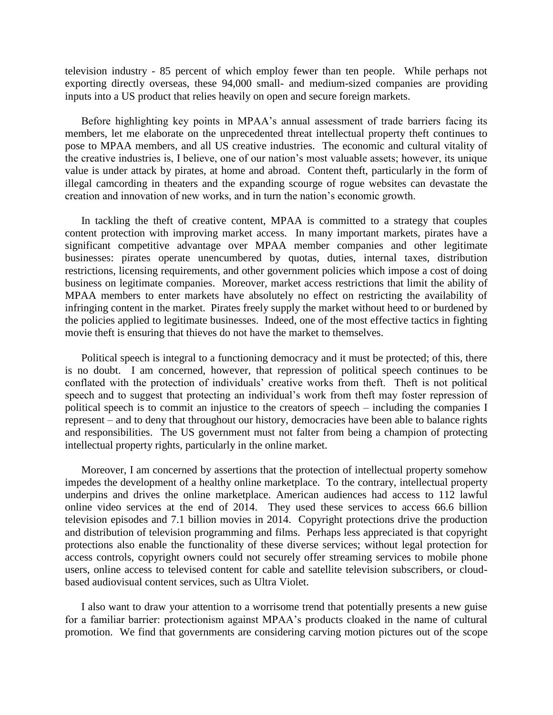television industry - 85 percent of which employ fewer than ten people. While perhaps not exporting directly overseas, these 94,000 small- and medium-sized companies are providing inputs into a US product that relies heavily on open and secure foreign markets.

Before highlighting key points in MPAA's annual assessment of trade barriers facing its members, let me elaborate on the unprecedented threat intellectual property theft continues to pose to MPAA members, and all US creative industries. The economic and cultural vitality of the creative industries is, I believe, one of our nation's most valuable assets; however, its unique value is under attack by pirates, at home and abroad. Content theft, particularly in the form of illegal camcording in theaters and the expanding scourge of rogue websites can devastate the creation and innovation of new works, and in turn the nation's economic growth.

In tackling the theft of creative content, MPAA is committed to a strategy that couples content protection with improving market access. In many important markets, pirates have a significant competitive advantage over MPAA member companies and other legitimate businesses: pirates operate unencumbered by quotas, duties, internal taxes, distribution restrictions, licensing requirements, and other government policies which impose a cost of doing business on legitimate companies. Moreover, market access restrictions that limit the ability of MPAA members to enter markets have absolutely no effect on restricting the availability of infringing content in the market. Pirates freely supply the market without heed to or burdened by the policies applied to legitimate businesses. Indeed, one of the most effective tactics in fighting movie theft is ensuring that thieves do not have the market to themselves.

Political speech is integral to a functioning democracy and it must be protected; of this, there is no doubt. I am concerned, however, that repression of political speech continues to be conflated with the protection of individuals' creative works from theft. Theft is not political speech and to suggest that protecting an individual's work from theft may foster repression of political speech is to commit an injustice to the creators of speech – including the companies I represent – and to deny that throughout our history, democracies have been able to balance rights and responsibilities. The US government must not falter from being a champion of protecting intellectual property rights, particularly in the online market.

Moreover, I am concerned by assertions that the protection of intellectual property somehow impedes the development of a healthy online marketplace. To the contrary, intellectual property underpins and drives the online marketplace. American audiences had access to 112 lawful online video services at the end of 2014. They used these services to access 66.6 billion television episodes and 7.1 billion movies in 2014. Copyright protections drive the production and distribution of television programming and films. Perhaps less appreciated is that copyright protections also enable the functionality of these diverse services; without legal protection for access controls, copyright owners could not securely offer streaming services to mobile phone users, online access to televised content for cable and satellite television subscribers, or cloudbased audiovisual content services, such as Ultra Violet.

I also want to draw your attention to a worrisome trend that potentially presents a new guise for a familiar barrier: protectionism against MPAA's products cloaked in the name of cultural promotion. We find that governments are considering carving motion pictures out of the scope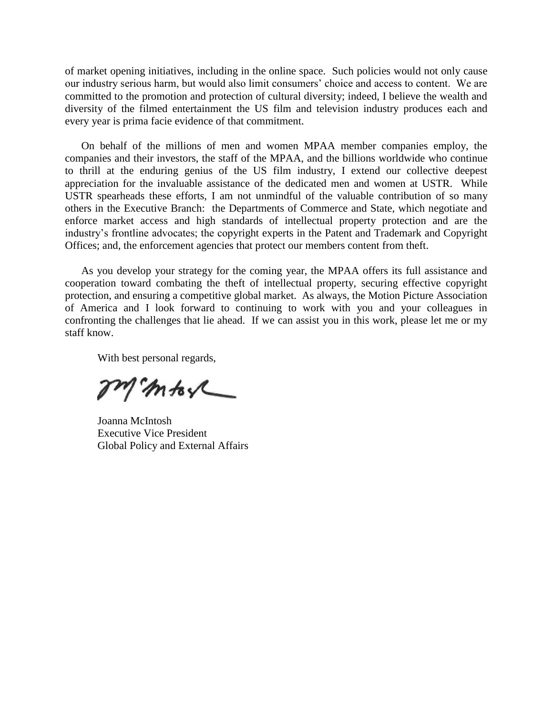of market opening initiatives, including in the online space. Such policies would not only cause our industry serious harm, but would also limit consumers' choice and access to content. We are committed to the promotion and protection of cultural diversity; indeed, I believe the wealth and diversity of the filmed entertainment the US film and television industry produces each and every year is prima facie evidence of that commitment.

On behalf of the millions of men and women MPAA member companies employ, the companies and their investors, the staff of the MPAA, and the billions worldwide who continue to thrill at the enduring genius of the US film industry, I extend our collective deepest appreciation for the invaluable assistance of the dedicated men and women at USTR. While USTR spearheads these efforts, I am not unmindful of the valuable contribution of so many others in the Executive Branch: the Departments of Commerce and State, which negotiate and enforce market access and high standards of intellectual property protection and are the industry's frontline advocates; the copyright experts in the Patent and Trademark and Copyright Offices; and, the enforcement agencies that protect our members content from theft.

As you develop your strategy for the coming year, the MPAA offers its full assistance and cooperation toward combating the theft of intellectual property, securing effective copyright protection, and ensuring a competitive global market. As always, the Motion Picture Association of America and I look forward to continuing to work with you and your colleagues in confronting the challenges that lie ahead. If we can assist you in this work, please let me or my staff know.

With best personal regards,

In more

Joanna McIntosh Executive Vice President Global Policy and External Affairs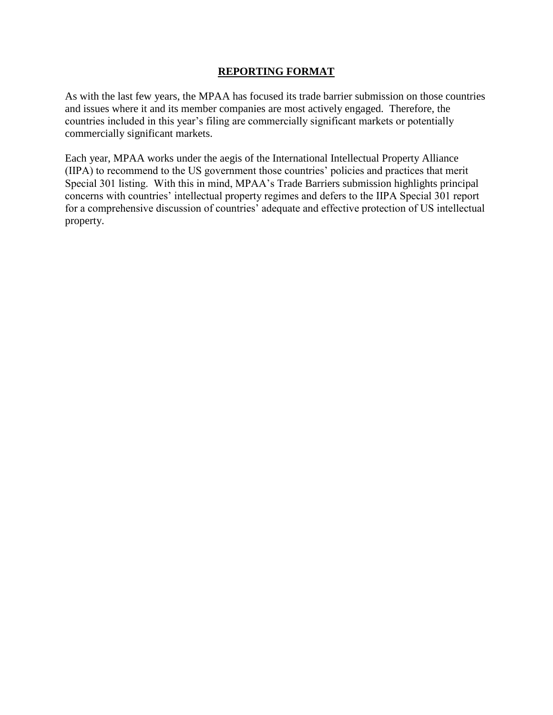#### **REPORTING FORMAT**

As with the last few years, the MPAA has focused its trade barrier submission on those countries and issues where it and its member companies are most actively engaged. Therefore, the countries included in this year's filing are commercially significant markets or potentially commercially significant markets.

Each year, MPAA works under the aegis of the International Intellectual Property Alliance (IIPA) to recommend to the US government those countries' policies and practices that merit Special 301 listing. With this in mind, MPAA's Trade Barriers submission highlights principal concerns with countries' intellectual property regimes and defers to the IIPA Special 301 report for a comprehensive discussion of countries' adequate and effective protection of US intellectual property.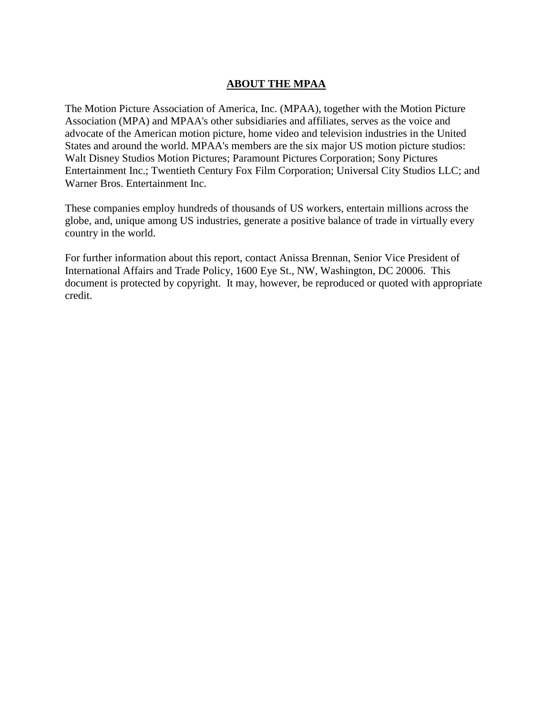### **ABOUT THE MPAA**

The Motion Picture Association of America, Inc. (MPAA), together with the Motion Picture Association (MPA) and MPAA's other subsidiaries and affiliates, serves as the voice and advocate of the American motion picture, home video and television industries in the United States and around the world. MPAA's members are the six major US motion picture studios: Walt Disney Studios Motion Pictures; Paramount Pictures Corporation; Sony Pictures Entertainment Inc.; Twentieth Century Fox Film Corporation; Universal City Studios LLC; and Warner Bros. Entertainment Inc.

These companies employ hundreds of thousands of US workers, entertain millions across the globe, and, unique among US industries, generate a positive balance of trade in virtually every country in the world.

For further information about this report, contact Anissa Brennan, Senior Vice President of International Affairs and Trade Policy, 1600 Eye St., NW, Washington, DC 20006. This document is protected by copyright. It may, however, be reproduced or quoted with appropriate credit.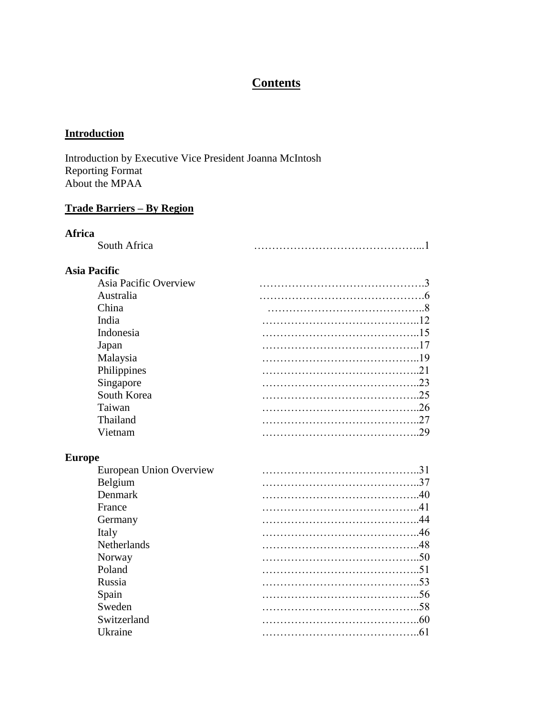# **Contents**

## **Introduction**

Introduction by Executive Vice President Joanna McIntosh Reporting Format About the MPAA

### **Trade Barriers – By Region**

#### **Africa**

| South Africa |  |
|--------------|--|
|              |  |

### **Asia Pacific**

| Asia Pacific Overview |     |
|-----------------------|-----|
| Australia             |     |
| China                 |     |
| India                 |     |
| Indonesia             |     |
| Japan                 |     |
| Malaysia              |     |
| Philippines           |     |
| Singapore             |     |
| South Korea           |     |
| Taiwan                | .26 |
| Thailand              | 27  |
| Vietnam               |     |
|                       |     |

#### **Europe**

| European Union Overview | 31  |
|-------------------------|-----|
| Belgium                 |     |
| Denmark                 |     |
| France                  |     |
| Germany                 |     |
| Italy                   |     |
| <b>Netherlands</b>      |     |
| Norway                  |     |
| Poland                  | 51  |
| Russia                  |     |
| Spain                   |     |
| Sweden                  | -58 |
| Switzerland             | -60 |
| <b>Ukraine</b>          |     |
|                         |     |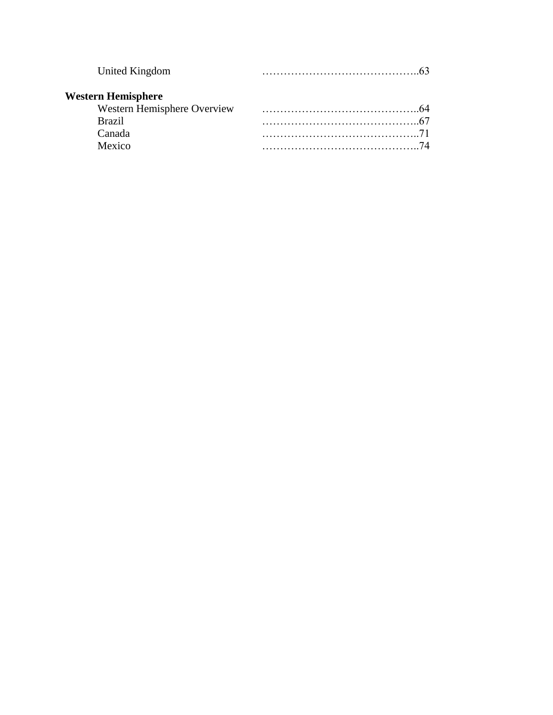| United Kingdom              |     |
|-----------------------------|-----|
| <b>Western Hemisphere</b>   |     |
| Western Hemisphere Overview | -64 |
| <b>Brazil</b>               |     |
| Canada                      |     |
| Mexico                      | 74  |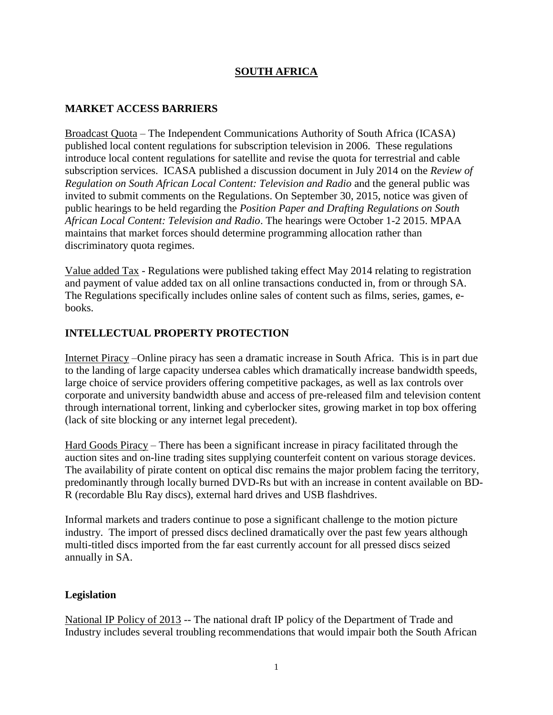### **SOUTH AFRICA**

#### **MARKET ACCESS BARRIERS**

Broadcast Quota – The Independent Communications Authority of South Africa (ICASA) published local content regulations for subscription television in 2006. These regulations introduce local content regulations for satellite and revise the quota for terrestrial and cable subscription services. ICASA published a discussion document in July 2014 on the *Review of Regulation on South African Local Content: Television and Radio* and the general public was invited to submit comments on the Regulations. On September 30, 2015, notice was given of public hearings to be held regarding the *Position Paper and Drafting Regulations on South African Local Content: Television and Radio*. The hearings were October 1-2 2015. MPAA maintains that market forces should determine programming allocation rather than discriminatory quota regimes.

Value added Tax - Regulations were published taking effect May 2014 relating to registration and payment of value added tax on all online transactions conducted in, from or through SA. The Regulations specifically includes online sales of content such as films, series, games, ebooks.

#### **INTELLECTUAL PROPERTY PROTECTION**

Internet Piracy –Online piracy has seen a dramatic increase in South Africa. This is in part due to the landing of large capacity undersea cables which dramatically increase bandwidth speeds, large choice of service providers offering competitive packages, as well as lax controls over corporate and university bandwidth abuse and access of pre-released film and television content through international torrent, linking and cyberlocker sites, growing market in top box offering (lack of site blocking or any internet legal precedent).

Hard Goods Piracy – There has been a significant increase in piracy facilitated through the auction sites and on-line trading sites supplying counterfeit content on various storage devices. The availability of pirate content on optical disc remains the major problem facing the territory, predominantly through locally burned DVD-Rs but with an increase in content available on BD-R (recordable Blu Ray discs), external hard drives and USB flashdrives.

Informal markets and traders continue to pose a significant challenge to the motion picture industry. The import of pressed discs declined dramatically over the past few years although multi-titled discs imported from the far east currently account for all pressed discs seized annually in SA.

#### **Legislation**

National IP Policy of 2013 -- The national draft IP policy of the Department of Trade and Industry includes several troubling recommendations that would impair both the South African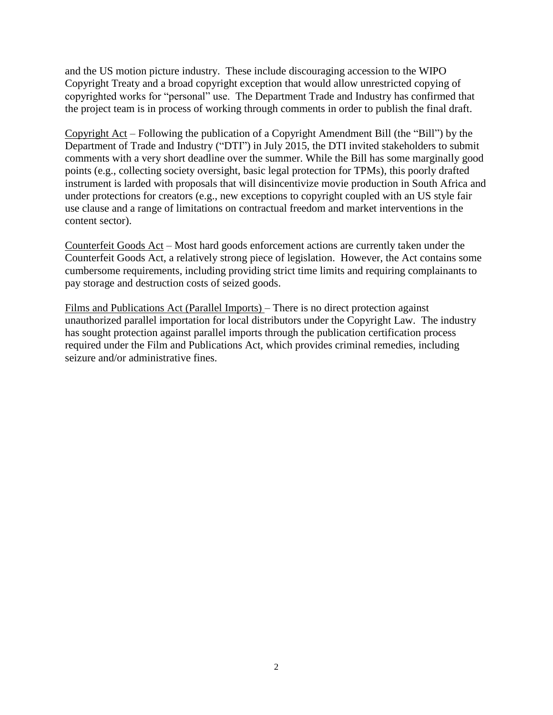and the US motion picture industry. These include discouraging accession to the WIPO Copyright Treaty and a broad copyright exception that would allow unrestricted copying of copyrighted works for "personal" use. The Department Trade and Industry has confirmed that the project team is in process of working through comments in order to publish the final draft.

Copyright Act – Following the publication of a Copyright Amendment Bill (the "Bill") by the Department of Trade and Industry ("DTI") in July 2015, the DTI invited stakeholders to submit comments with a very short deadline over the summer. While the Bill has some marginally good points (e.g., collecting society oversight, basic legal protection for TPMs), this poorly drafted instrument is larded with proposals that will disincentivize movie production in South Africa and under protections for creators (e.g., new exceptions to copyright coupled with an US style fair use clause and a range of limitations on contractual freedom and market interventions in the content sector).

Counterfeit Goods Act – Most hard goods enforcement actions are currently taken under the Counterfeit Goods Act, a relatively strong piece of legislation. However, the Act contains some cumbersome requirements, including providing strict time limits and requiring complainants to pay storage and destruction costs of seized goods.

Films and Publications Act (Parallel Imports) – There is no direct protection against unauthorized parallel importation for local distributors under the Copyright Law. The industry has sought protection against parallel imports through the publication certification process required under the Film and Publications Act, which provides criminal remedies, including seizure and/or administrative fines.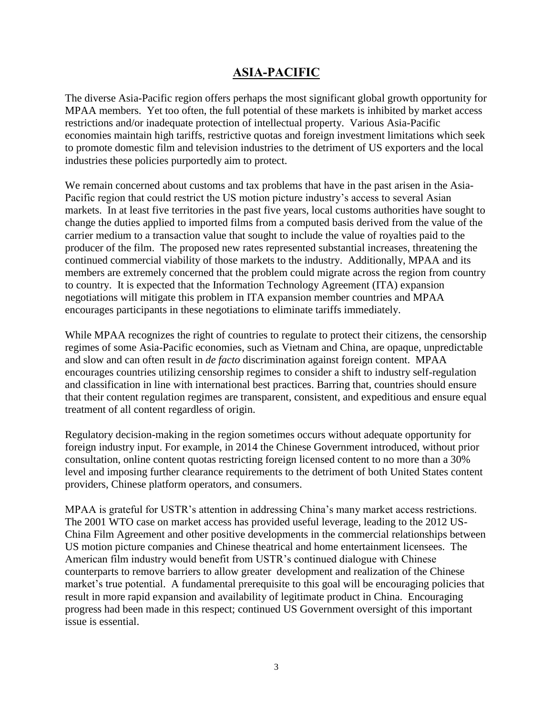## **ASIA-PACIFIC**

The diverse Asia-Pacific region offers perhaps the most significant global growth opportunity for MPAA members. Yet too often, the full potential of these markets is inhibited by market access restrictions and/or inadequate protection of intellectual property. Various Asia-Pacific economies maintain high tariffs, restrictive quotas and foreign investment limitations which seek to promote domestic film and television industries to the detriment of US exporters and the local industries these policies purportedly aim to protect.

We remain concerned about customs and tax problems that have in the past arisen in the Asia-Pacific region that could restrict the US motion picture industry's access to several Asian markets. In at least five territories in the past five years, local customs authorities have sought to change the duties applied to imported films from a computed basis derived from the value of the carrier medium to a transaction value that sought to include the value of royalties paid to the producer of the film. The proposed new rates represented substantial increases, threatening the continued commercial viability of those markets to the industry. Additionally, MPAA and its members are extremely concerned that the problem could migrate across the region from country to country. It is expected that the Information Technology Agreement (ITA) expansion negotiations will mitigate this problem in ITA expansion member countries and MPAA encourages participants in these negotiations to eliminate tariffs immediately.

While MPAA recognizes the right of countries to regulate to protect their citizens, the censorship regimes of some Asia-Pacific economies, such as Vietnam and China, are opaque, unpredictable and slow and can often result in *de facto* discrimination against foreign content. MPAA encourages countries utilizing censorship regimes to consider a shift to industry self-regulation and classification in line with international best practices. Barring that, countries should ensure that their content regulation regimes are transparent, consistent, and expeditious and ensure equal treatment of all content regardless of origin.

Regulatory decision-making in the region sometimes occurs without adequate opportunity for foreign industry input. For example, in 2014 the Chinese Government introduced, without prior consultation, online content quotas restricting foreign licensed content to no more than a 30% level and imposing further clearance requirements to the detriment of both United States content providers, Chinese platform operators, and consumers.

MPAA is grateful for USTR's attention in addressing China's many market access restrictions. The 2001 WTO case on market access has provided useful leverage, leading to the 2012 US-China Film Agreement and other positive developments in the commercial relationships between US motion picture companies and Chinese theatrical and home entertainment licensees. The American film industry would benefit from USTR's continued dialogue with Chinese counterparts to remove barriers to allow greater development and realization of the Chinese market's true potential. A fundamental prerequisite to this goal will be encouraging policies that result in more rapid expansion and availability of legitimate product in China. Encouraging progress had been made in this respect; continued US Government oversight of this important issue is essential.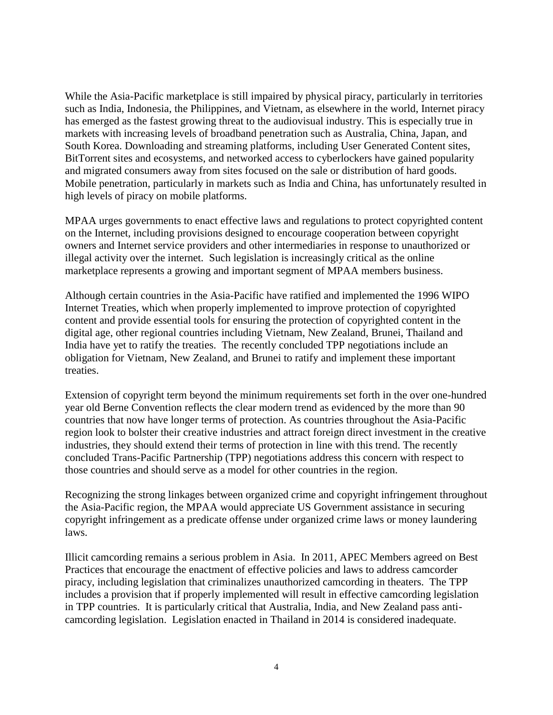While the Asia-Pacific marketplace is still impaired by physical piracy, particularly in territories such as India, Indonesia, the Philippines, and Vietnam, as elsewhere in the world, Internet piracy has emerged as the fastest growing threat to the audiovisual industry. This is especially true in markets with increasing levels of broadband penetration such as Australia, China, Japan, and South Korea. Downloading and streaming platforms, including User Generated Content sites, BitTorrent sites and ecosystems, and networked access to cyberlockers have gained popularity and migrated consumers away from sites focused on the sale or distribution of hard goods. Mobile penetration, particularly in markets such as India and China, has unfortunately resulted in high levels of piracy on mobile platforms.

MPAA urges governments to enact effective laws and regulations to protect copyrighted content on the Internet, including provisions designed to encourage cooperation between copyright owners and Internet service providers and other intermediaries in response to unauthorized or illegal activity over the internet. Such legislation is increasingly critical as the online marketplace represents a growing and important segment of MPAA members business.

Although certain countries in the Asia-Pacific have ratified and implemented the 1996 WIPO Internet Treaties, which when properly implemented to improve protection of copyrighted content and provide essential tools for ensuring the protection of copyrighted content in the digital age, other regional countries including Vietnam, New Zealand, Brunei, Thailand and India have yet to ratify the treaties. The recently concluded TPP negotiations include an obligation for Vietnam, New Zealand, and Brunei to ratify and implement these important treaties.

Extension of copyright term beyond the minimum requirements set forth in the over one-hundred year old Berne Convention reflects the clear modern trend as evidenced by the more than 90 countries that now have longer terms of protection. As countries throughout the Asia-Pacific region look to bolster their creative industries and attract foreign direct investment in the creative industries, they should extend their terms of protection in line with this trend. The recently concluded Trans-Pacific Partnership (TPP) negotiations address this concern with respect to those countries and should serve as a model for other countries in the region.

Recognizing the strong linkages between organized crime and copyright infringement throughout the Asia-Pacific region, the MPAA would appreciate US Government assistance in securing copyright infringement as a predicate offense under organized crime laws or money laundering laws.

Illicit camcording remains a serious problem in Asia. In 2011, APEC Members agreed on Best Practices that encourage the enactment of effective policies and laws to address camcorder piracy, including legislation that criminalizes unauthorized camcording in theaters. The TPP includes a provision that if properly implemented will result in effective camcording legislation in TPP countries. It is particularly critical that Australia, India, and New Zealand pass anticamcording legislation. Legislation enacted in Thailand in 2014 is considered inadequate.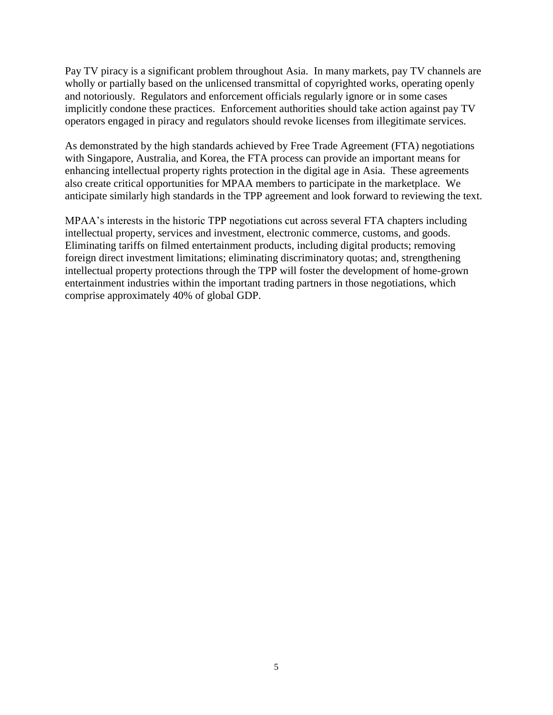Pay TV piracy is a significant problem throughout Asia. In many markets, pay TV channels are wholly or partially based on the unlicensed transmittal of copyrighted works, operating openly and notoriously. Regulators and enforcement officials regularly ignore or in some cases implicitly condone these practices. Enforcement authorities should take action against pay TV operators engaged in piracy and regulators should revoke licenses from illegitimate services.

As demonstrated by the high standards achieved by Free Trade Agreement (FTA) negotiations with Singapore, Australia, and Korea, the FTA process can provide an important means for enhancing intellectual property rights protection in the digital age in Asia. These agreements also create critical opportunities for MPAA members to participate in the marketplace. We anticipate similarly high standards in the TPP agreement and look forward to reviewing the text.

MPAA's interests in the historic TPP negotiations cut across several FTA chapters including intellectual property, services and investment, electronic commerce, customs, and goods. Eliminating tariffs on filmed entertainment products, including digital products; removing foreign direct investment limitations; eliminating discriminatory quotas; and, strengthening intellectual property protections through the TPP will foster the development of home-grown entertainment industries within the important trading partners in those negotiations, which comprise approximately 40% of global GDP.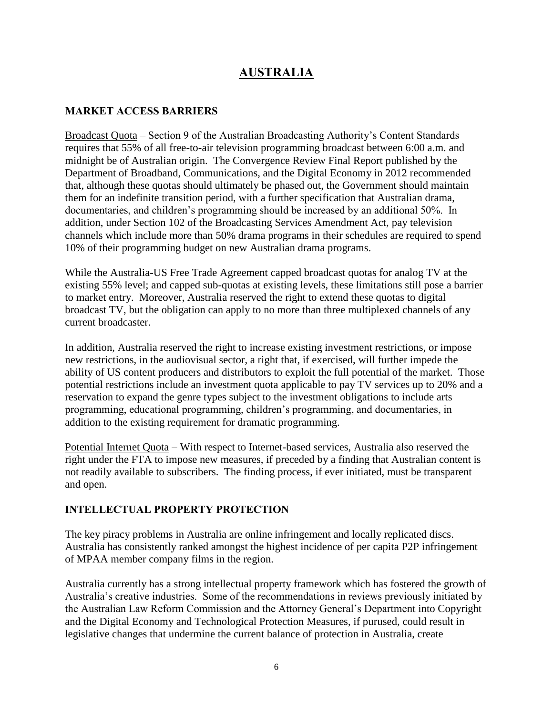# **AUSTRALIA**

#### **MARKET ACCESS BARRIERS**

Broadcast Quota – Section 9 of the Australian Broadcasting Authority's Content Standards requires that 55% of all free-to-air television programming broadcast between 6:00 a.m. and midnight be of Australian origin. The Convergence Review Final Report published by the Department of Broadband, Communications, and the Digital Economy in 2012 recommended that, although these quotas should ultimately be phased out, the Government should maintain them for an indefinite transition period, with a further specification that Australian drama, documentaries, and children's programming should be increased by an additional 50%. In addition, under Section 102 of the Broadcasting Services Amendment Act, pay television channels which include more than 50% drama programs in their schedules are required to spend 10% of their programming budget on new Australian drama programs.

While the Australia-US Free Trade Agreement capped broadcast quotas for analog TV at the existing 55% level; and capped sub-quotas at existing levels, these limitations still pose a barrier to market entry. Moreover, Australia reserved the right to extend these quotas to digital broadcast TV, but the obligation can apply to no more than three multiplexed channels of any current broadcaster.

In addition, Australia reserved the right to increase existing investment restrictions, or impose new restrictions, in the audiovisual sector, a right that, if exercised, will further impede the ability of US content producers and distributors to exploit the full potential of the market. Those potential restrictions include an investment quota applicable to pay TV services up to 20% and a reservation to expand the genre types subject to the investment obligations to include arts programming, educational programming, children's programming, and documentaries, in addition to the existing requirement for dramatic programming.

Potential Internet Quota – With respect to Internet-based services, Australia also reserved the right under the FTA to impose new measures, if preceded by a finding that Australian content is not readily available to subscribers. The finding process, if ever initiated, must be transparent and open.

#### **INTELLECTUAL PROPERTY PROTECTION**

The key piracy problems in Australia are online infringement and locally replicated discs. Australia has consistently ranked amongst the highest incidence of per capita P2P infringement of MPAA member company films in the region.

Australia currently has a strong intellectual property framework which has fostered the growth of Australia's creative industries. Some of the recommendations in reviews previously initiated by the Australian Law Reform Commission and the Attorney General's Department into Copyright and the Digital Economy and Technological Protection Measures, if purused, could result in legislative changes that undermine the current balance of protection in Australia, create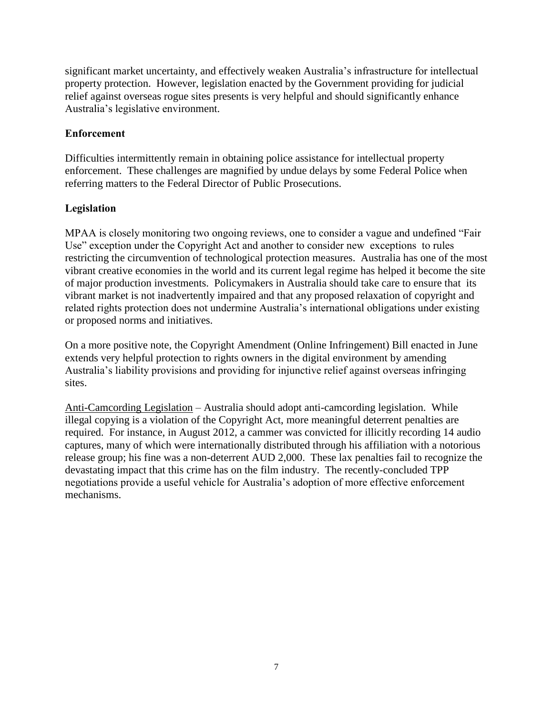significant market uncertainty, and effectively weaken Australia's infrastructure for intellectual property protection. However, legislation enacted by the Government providing for judicial relief against overseas rogue sites presents is very helpful and should significantly enhance Australia's legislative environment.

### **Enforcement**

Difficulties intermittently remain in obtaining police assistance for intellectual property enforcement. These challenges are magnified by undue delays by some Federal Police when referring matters to the Federal Director of Public Prosecutions.

### **Legislation**

MPAA is closely monitoring two ongoing reviews, one to consider a vague and undefined "Fair Use" exception under the Copyright Act and another to consider new exceptions to rules restricting the circumvention of technological protection measures. Australia has one of the most vibrant creative economies in the world and its current legal regime has helped it become the site of major production investments. Policymakers in Australia should take care to ensure that its vibrant market is not inadvertently impaired and that any proposed relaxation of copyright and related rights protection does not undermine Australia's international obligations under existing or proposed norms and initiatives.

On a more positive note, the Copyright Amendment (Online Infringement) Bill enacted in June extends very helpful protection to rights owners in the digital environment by amending Australia's liability provisions and providing for injunctive relief against overseas infringing sites.

Anti-Camcording Legislation – Australia should adopt anti-camcording legislation. While illegal copying is a violation of the Copyright Act, more meaningful deterrent penalties are required. For instance, in August 2012, a cammer was convicted for illicitly recording 14 audio captures, many of which were internationally distributed through his affiliation with a notorious release group; his fine was a non-deterrent AUD 2,000. These lax penalties fail to recognize the devastating impact that this crime has on the film industry. The recently-concluded TPP negotiations provide a useful vehicle for Australia's adoption of more effective enforcement mechanisms.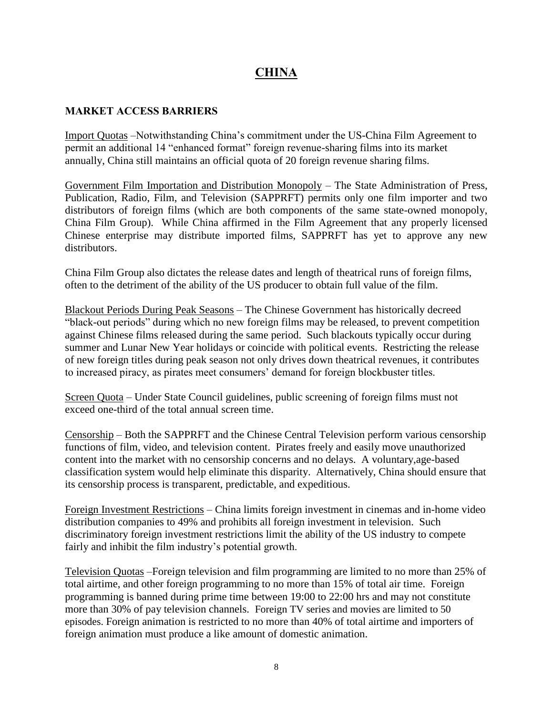# **CHINA**

#### **MARKET ACCESS BARRIERS**

Import Quotas –Notwithstanding China's commitment under the US-China Film Agreement to permit an additional 14 "enhanced format" foreign revenue-sharing films into its market annually, China still maintains an official quota of 20 foreign revenue sharing films.

Government Film Importation and Distribution Monopoly – The State Administration of Press, Publication, Radio, Film, and Television (SAPPRFT) permits only one film importer and two distributors of foreign films (which are both components of the same state-owned monopoly, China Film Group). While China affirmed in the Film Agreement that any properly licensed Chinese enterprise may distribute imported films, SAPPRFT has yet to approve any new distributors.

China Film Group also dictates the release dates and length of theatrical runs of foreign films, often to the detriment of the ability of the US producer to obtain full value of the film.

Blackout Periods During Peak Seasons – The Chinese Government has historically decreed "black-out periods" during which no new foreign films may be released, to prevent competition against Chinese films released during the same period. Such blackouts typically occur during summer and Lunar New Year holidays or coincide with political events. Restricting the release of new foreign titles during peak season not only drives down theatrical revenues, it contributes to increased piracy, as pirates meet consumers' demand for foreign blockbuster titles.

Screen Quota – Under State Council guidelines, public screening of foreign films must not exceed one-third of the total annual screen time.

Censorship – Both the SAPPRFT and the Chinese Central Television perform various censorship functions of film, video, and television content. Pirates freely and easily move unauthorized content into the market with no censorship concerns and no delays. A voluntary,age-based classification system would help eliminate this disparity. Alternatively, China should ensure that its censorship process is transparent, predictable, and expeditious.

Foreign Investment Restrictions – China limits foreign investment in cinemas and in-home video distribution companies to 49% and prohibits all foreign investment in television. Such discriminatory foreign investment restrictions limit the ability of the US industry to compete fairly and inhibit the film industry's potential growth.

Television Quotas –Foreign television and film programming are limited to no more than 25% of total airtime, and other foreign programming to no more than 15% of total air time. Foreign programming is banned during prime time between 19:00 to 22:00 hrs and may not constitute more than 30% of pay television channels. Foreign TV series and movies are limited to 50 episodes. Foreign animation is restricted to no more than 40% of total airtime and importers of foreign animation must produce a like amount of domestic animation.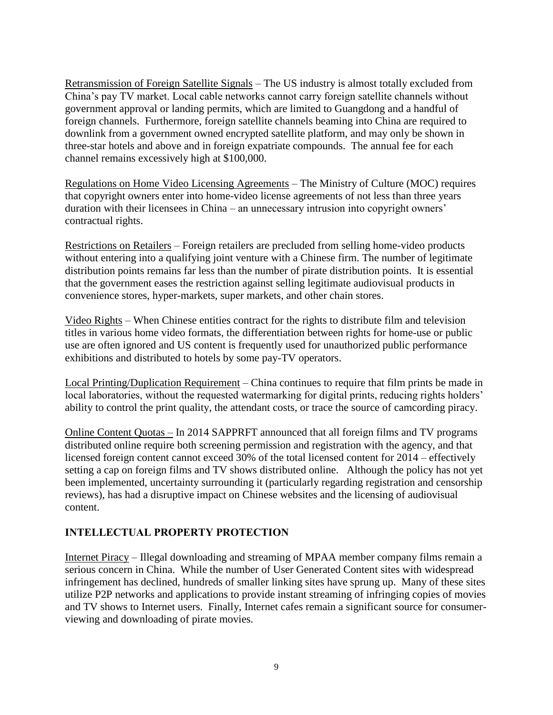Retransmission of Foreign Satellite Signals – The US industry is almost totally excluded from China's pay TV market. Local cable networks cannot carry foreign satellite channels without government approval or landing permits, which are limited to Guangdong and a handful of foreign channels. Furthermore, foreign satellite channels beaming into China are required to downlink from a government owned encrypted satellite platform, and may only be shown in three-star hotels and above and in foreign expatriate compounds. The annual fee for each channel remains excessively high at \$100,000.

Regulations on Home Video Licensing Agreements – The Ministry of Culture (MOC) requires that copyright owners enter into home-video license agreements of not less than three years duration with their licensees in China – an unnecessary intrusion into copyright owners' contractual rights.

Restrictions on Retailers – Foreign retailers are precluded from selling home-video products without entering into a qualifying joint venture with a Chinese firm. The number of legitimate distribution points remains far less than the number of pirate distribution points. It is essential that the government eases the restriction against selling legitimate audiovisual products in convenience stores, hyper-markets, super markets, and other chain stores.

Video Rights – When Chinese entities contract for the rights to distribute film and television titles in various home video formats, the differentiation between rights for home-use or public use are often ignored and US content is frequently used for unauthorized public performance exhibitions and distributed to hotels by some pay-TV operators.

Local Printing/Duplication Requirement – China continues to require that film prints be made in local laboratories, without the requested watermarking for digital prints, reducing rights holders' ability to control the print quality, the attendant costs, or trace the source of camcording piracy.

Online Content Quotas – In 2014 SAPPRFT announced that all foreign films and TV programs distributed online require both screening permission and registration with the agency, and that licensed foreign content cannot exceed 30% of the total licensed content for 2014 – effectively setting a cap on foreign films and TV shows distributed online. Although the policy has not yet been implemented, uncertainty surrounding it (particularly regarding registration and censorship reviews), has had a disruptive impact on Chinese websites and the licensing of audiovisual content.

### **INTELLECTUAL PROPERTY PROTECTION**

Internet Piracy – Illegal downloading and streaming of MPAA member company films remain a serious concern in China. While the number of User Generated Content sites with widespread infringement has declined, hundreds of smaller linking sites have sprung up. Many of these sites utilize P2P networks and applications to provide instant streaming of infringing copies of movies and TV shows to Internet users. Finally, Internet cafes remain a significant source for consumerviewing and downloading of pirate movies.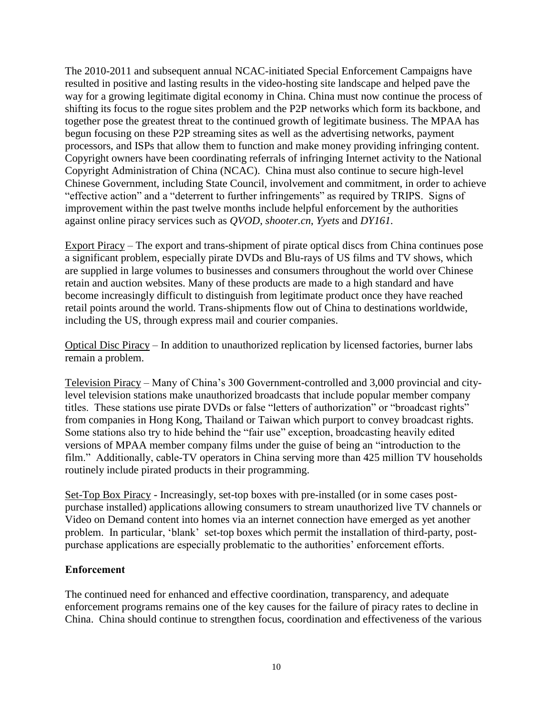The 2010-2011 and subsequent annual NCAC-initiated Special Enforcement Campaigns have resulted in positive and lasting results in the video-hosting site landscape and helped pave the way for a growing legitimate digital economy in China. China must now continue the process of shifting its focus to the rogue sites problem and the P2P networks which form its backbone, and together pose the greatest threat to the continued growth of legitimate business. The MPAA has begun focusing on these P2P streaming sites as well as the advertising networks, payment processors, and ISPs that allow them to function and make money providing infringing content. Copyright owners have been coordinating referrals of infringing Internet activity to the National Copyright Administration of China (NCAC). China must also continue to secure high-level Chinese Government, including State Council, involvement and commitment, in order to achieve "effective action" and a "deterrent to further infringements" as required by TRIPS. Signs of improvement within the past twelve months include helpful enforcement by the authorities against online piracy services such as *QVOD*, *shooter.cn*, *Yyets* and *DY161*.

Export Piracy – The export and trans-shipment of pirate optical discs from China continues pose a significant problem, especially pirate DVDs and Blu-rays of US films and TV shows, which are supplied in large volumes to businesses and consumers throughout the world over Chinese retain and auction websites. Many of these products are made to a high standard and have become increasingly difficult to distinguish from legitimate product once they have reached retail points around the world. Trans-shipments flow out of China to destinations worldwide, including the US, through express mail and courier companies.

Optical Disc Piracy – In addition to unauthorized replication by licensed factories, burner labs remain a problem.

Television Piracy – Many of China's 300 Government-controlled and 3,000 provincial and citylevel television stations make unauthorized broadcasts that include popular member company titles. These stations use pirate DVDs or false "letters of authorization" or "broadcast rights" from companies in Hong Kong, Thailand or Taiwan which purport to convey broadcast rights. Some stations also try to hide behind the "fair use" exception, broadcasting heavily edited versions of MPAA member company films under the guise of being an "introduction to the film." Additionally, cable-TV operators in China serving more than 425 million TV households routinely include pirated products in their programming.

Set-Top Box Piracy - Increasingly, set-top boxes with pre-installed (or in some cases postpurchase installed) applications allowing consumers to stream unauthorized live TV channels or Video on Demand content into homes via an internet connection have emerged as yet another problem. In particular, 'blank' set-top boxes which permit the installation of third-party, postpurchase applications are especially problematic to the authorities' enforcement efforts.

#### **Enforcement**

The continued need for enhanced and effective coordination, transparency, and adequate enforcement programs remains one of the key causes for the failure of piracy rates to decline in China. China should continue to strengthen focus, coordination and effectiveness of the various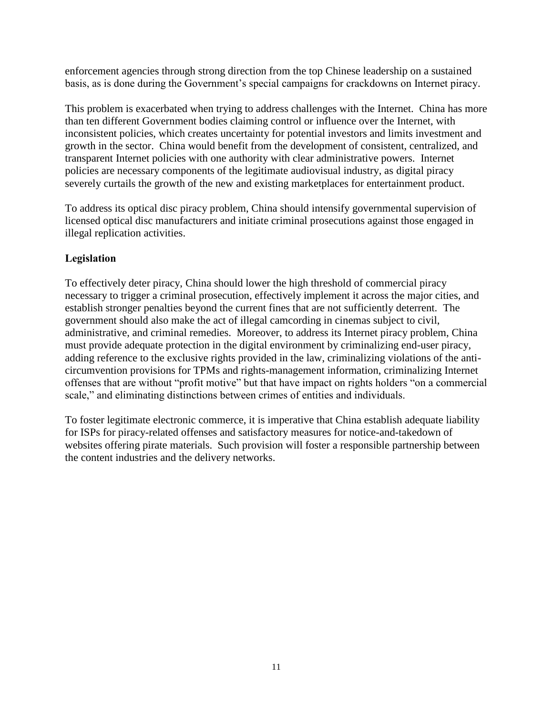enforcement agencies through strong direction from the top Chinese leadership on a sustained basis, as is done during the Government's special campaigns for crackdowns on Internet piracy.

This problem is exacerbated when trying to address challenges with the Internet. China has more than ten different Government bodies claiming control or influence over the Internet, with inconsistent policies, which creates uncertainty for potential investors and limits investment and growth in the sector. China would benefit from the development of consistent, centralized, and transparent Internet policies with one authority with clear administrative powers. Internet policies are necessary components of the legitimate audiovisual industry, as digital piracy severely curtails the growth of the new and existing marketplaces for entertainment product.

To address its optical disc piracy problem, China should intensify governmental supervision of licensed optical disc manufacturers and initiate criminal prosecutions against those engaged in illegal replication activities.

## **Legislation**

To effectively deter piracy, China should lower the high threshold of commercial piracy necessary to trigger a criminal prosecution, effectively implement it across the major cities, and establish stronger penalties beyond the current fines that are not sufficiently deterrent. The government should also make the act of illegal camcording in cinemas subject to civil, administrative, and criminal remedies. Moreover, to address its Internet piracy problem, China must provide adequate protection in the digital environment by criminalizing end-user piracy, adding reference to the exclusive rights provided in the law, criminalizing violations of the anticircumvention provisions for TPMs and rights-management information, criminalizing Internet offenses that are without "profit motive" but that have impact on rights holders "on a commercial scale," and eliminating distinctions between crimes of entities and individuals.

To foster legitimate electronic commerce, it is imperative that China establish adequate liability for ISPs for piracy-related offenses and satisfactory measures for notice-and-takedown of websites offering pirate materials. Such provision will foster a responsible partnership between the content industries and the delivery networks.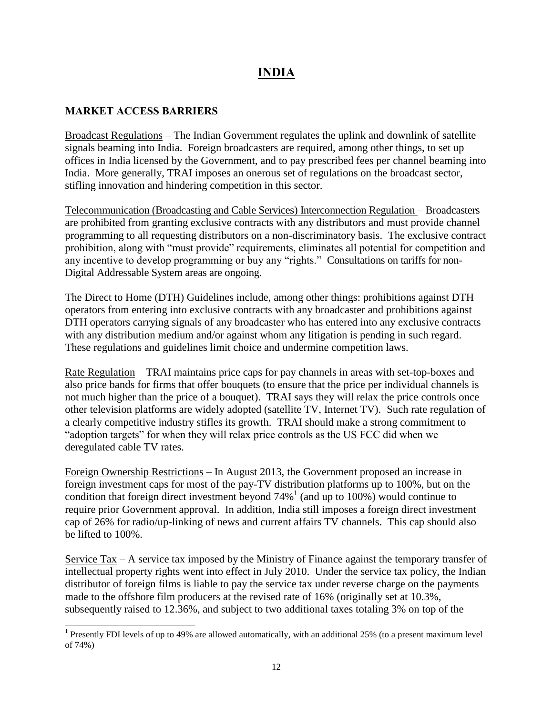# **INDIA**

### **MARKET ACCESS BARRIERS**

 $\overline{a}$ 

Broadcast Regulations – The Indian Government regulates the uplink and downlink of satellite signals beaming into India. Foreign broadcasters are required, among other things, to set up offices in India licensed by the Government, and to pay prescribed fees per channel beaming into India. More generally, TRAI imposes an onerous set of regulations on the broadcast sector, stifling innovation and hindering competition in this sector.

Telecommunication (Broadcasting and Cable Services) Interconnection Regulation – Broadcasters are prohibited from granting exclusive contracts with any distributors and must provide channel programming to all requesting distributors on a non-discriminatory basis. The exclusive contract prohibition, along with "must provide" requirements, eliminates all potential for competition and any incentive to develop programming or buy any "rights." Consultations on tariffs for non-Digital Addressable System areas are ongoing.

The Direct to Home (DTH) Guidelines include, among other things: prohibitions against DTH operators from entering into exclusive contracts with any broadcaster and prohibitions against DTH operators carrying signals of any broadcaster who has entered into any exclusive contracts with any distribution medium and/or against whom any litigation is pending in such regard. These regulations and guidelines limit choice and undermine competition laws.

Rate Regulation – TRAI maintains price caps for pay channels in areas with set-top-boxes and also price bands for firms that offer bouquets (to ensure that the price per individual channels is not much higher than the price of a bouquet). TRAI says they will relax the price controls once other television platforms are widely adopted (satellite TV, Internet TV). Such rate regulation of a clearly competitive industry stifles its growth. TRAI should make a strong commitment to "adoption targets" for when they will relax price controls as the US FCC did when we deregulated cable TV rates.

Foreign Ownership Restrictions – In August 2013, the Government proposed an increase in foreign investment caps for most of the pay-TV distribution platforms up to 100%, but on the condition that foreign direct investment beyond 74% 1 (and up to 100%) would continue to require prior Government approval. In addition, India still imposes a foreign direct investment cap of 26% for radio/up-linking of news and current affairs TV channels. This cap should also be lifted to 100%.

Service Tax – A service tax imposed by the Ministry of Finance against the temporary transfer of intellectual property rights went into effect in July 2010. Under the service tax policy, the Indian distributor of foreign films is liable to pay the service tax under reverse charge on the payments made to the offshore film producers at the revised rate of 16% (originally set at 10.3%, subsequently raised to 12.36%, and subject to two additional taxes totaling 3% on top of the

<sup>&</sup>lt;sup>1</sup> Presently FDI levels of up to 49% are allowed automatically, with an additional 25% (to a present maximum level of 74%)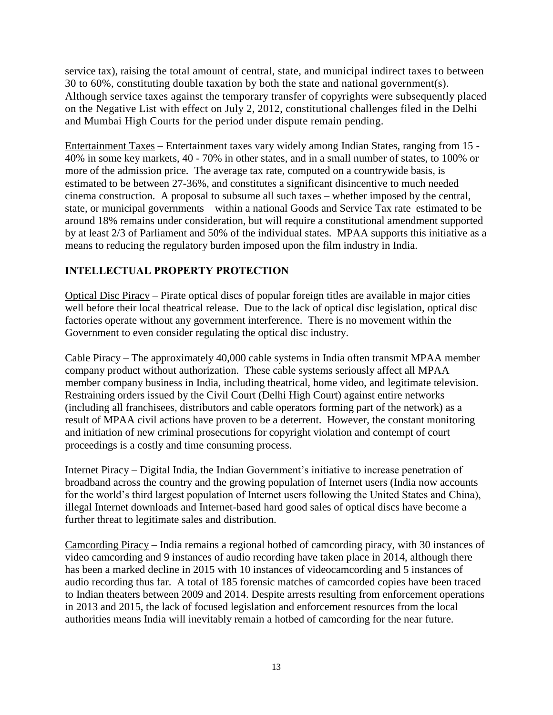service tax), raising the total amount of central, state, and municipal indirect taxes to between 30 to 60%, constituting double taxation by both the state and national government(s). Although service taxes against the temporary transfer of copyrights were subsequently placed on the Negative List with effect on July 2, 2012, constitutional challenges filed in the Delhi and Mumbai High Courts for the period under dispute remain pending.

Entertainment Taxes – Entertainment taxes vary widely among Indian States, ranging from 15 - 40% in some key markets, 40 - 70% in other states, and in a small number of states, to 100% or more of the admission price. The average tax rate, computed on a countrywide basis, is estimated to be between 27-36%, and constitutes a significant disincentive to much needed cinema construction. A proposal to subsume all such taxes – whether imposed by the central, state, or municipal governments – within a national Goods and Service Tax rate estimated to be around 18% remains under consideration, but will require a constitutional amendment supported by at least 2/3 of Parliament and 50% of the individual states. MPAA supports this initiative as a means to reducing the regulatory burden imposed upon the film industry in India.

## **INTELLECTUAL PROPERTY PROTECTION**

Optical Disc Piracy – Pirate optical discs of popular foreign titles are available in major cities well before their local theatrical release. Due to the lack of optical disc legislation, optical disc factories operate without any government interference. There is no movement within the Government to even consider regulating the optical disc industry.

Cable Piracy – The approximately 40,000 cable systems in India often transmit MPAA member company product without authorization. These cable systems seriously affect all MPAA member company business in India, including theatrical, home video, and legitimate television. Restraining orders issued by the Civil Court (Delhi High Court) against entire networks (including all franchisees, distributors and cable operators forming part of the network) as a result of MPAA civil actions have proven to be a deterrent. However, the constant monitoring and initiation of new criminal prosecutions for copyright violation and contempt of court proceedings is a costly and time consuming process.

Internet Piracy – Digital India, the Indian Government's initiative to increase penetration of broadband across the country and the growing population of Internet users (India now accounts for the world's third largest population of Internet users following the United States and China), illegal Internet downloads and Internet-based hard good sales of optical discs have become a further threat to legitimate sales and distribution.

Camcording Piracy – India remains a regional hotbed of camcording piracy, with 30 instances of video camcording and 9 instances of audio recording have taken place in 2014, although there has been a marked decline in 2015 with 10 instances of videocamcording and 5 instances of audio recording thus far. A total of 185 forensic matches of camcorded copies have been traced to Indian theaters between 2009 and 2014. Despite arrests resulting from enforcement operations in 2013 and 2015, the lack of focused legislation and enforcement resources from the local authorities means India will inevitably remain a hotbed of camcording for the near future.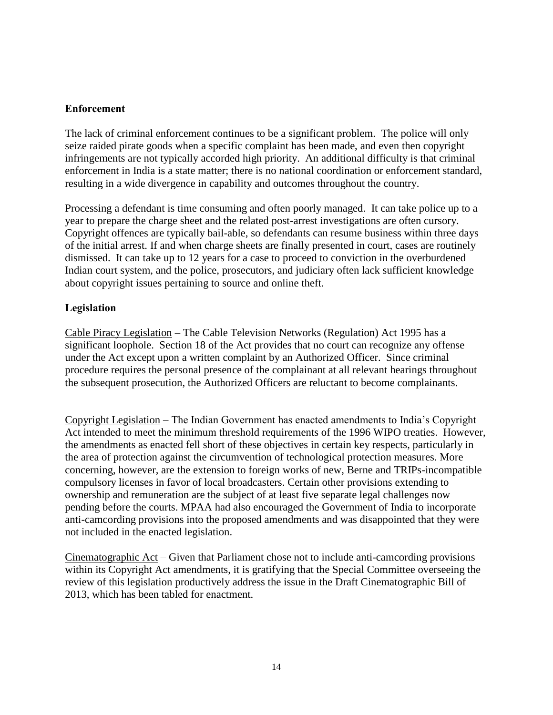#### **Enforcement**

The lack of criminal enforcement continues to be a significant problem. The police will only seize raided pirate goods when a specific complaint has been made, and even then copyright infringements are not typically accorded high priority. An additional difficulty is that criminal enforcement in India is a state matter; there is no national coordination or enforcement standard, resulting in a wide divergence in capability and outcomes throughout the country.

Processing a defendant is time consuming and often poorly managed. It can take police up to a year to prepare the charge sheet and the related post-arrest investigations are often cursory. Copyright offences are typically bail-able, so defendants can resume business within three days of the initial arrest. If and when charge sheets are finally presented in court, cases are routinely dismissed. It can take up to 12 years for a case to proceed to conviction in the overburdened Indian court system, and the police, prosecutors, and judiciary often lack sufficient knowledge about copyright issues pertaining to source and online theft.

### **Legislation**

Cable Piracy Legislation – The Cable Television Networks (Regulation) Act 1995 has a significant loophole. Section 18 of the Act provides that no court can recognize any offense under the Act except upon a written complaint by an Authorized Officer. Since criminal procedure requires the personal presence of the complainant at all relevant hearings throughout the subsequent prosecution, the Authorized Officers are reluctant to become complainants.

Copyright Legislation – The Indian Government has enacted amendments to India's Copyright Act intended to meet the minimum threshold requirements of the 1996 WIPO treaties. However, the amendments as enacted fell short of these objectives in certain key respects, particularly in the area of protection against the circumvention of technological protection measures. More concerning, however, are the extension to foreign works of new, Berne and TRIPs-incompatible compulsory licenses in favor of local broadcasters. Certain other provisions extending to ownership and remuneration are the subject of at least five separate legal challenges now pending before the courts. MPAA had also encouraged the Government of India to incorporate anti-camcording provisions into the proposed amendments and was disappointed that they were not included in the enacted legislation.

Cinematographic Act – Given that Parliament chose not to include anti-camcording provisions within its Copyright Act amendments, it is gratifying that the Special Committee overseeing the review of this legislation productively address the issue in the Draft Cinematographic Bill of 2013, which has been tabled for enactment.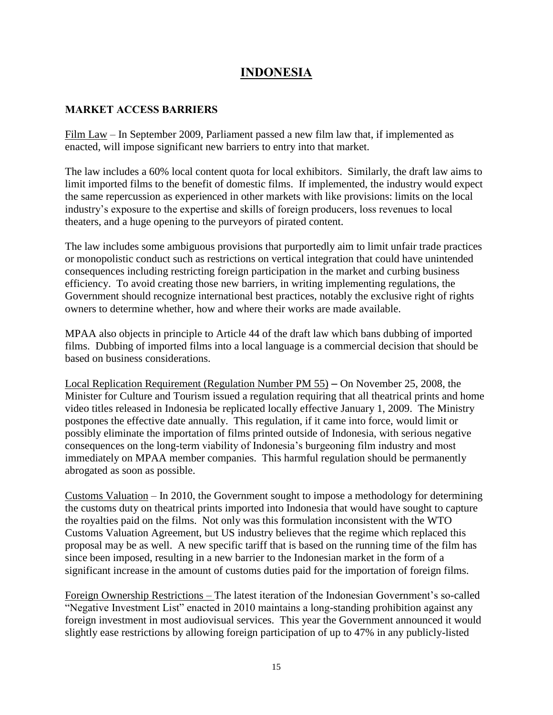# **INDONESIA**

### **MARKET ACCESS BARRIERS**

Film Law – In September 2009, Parliament passed a new film law that, if implemented as enacted, will impose significant new barriers to entry into that market.

The law includes a 60% local content quota for local exhibitors. Similarly, the draft law aims to limit imported films to the benefit of domestic films. If implemented, the industry would expect the same repercussion as experienced in other markets with like provisions: limits on the local industry's exposure to the expertise and skills of foreign producers, loss revenues to local theaters, and a huge opening to the purveyors of pirated content.

The law includes some ambiguous provisions that purportedly aim to limit unfair trade practices or monopolistic conduct such as restrictions on vertical integration that could have unintended consequences including restricting foreign participation in the market and curbing business efficiency. To avoid creating those new barriers, in writing implementing regulations, the Government should recognize international best practices, notably the exclusive right of rights owners to determine whether, how and where their works are made available.

MPAA also objects in principle to Article 44 of the draft law which bans dubbing of imported films. Dubbing of imported films into a local language is a commercial decision that should be based on business considerations.

Local Replication Requirement (Regulation Number PM 55) – On November 25, 2008, the Minister for Culture and Tourism issued a regulation requiring that all theatrical prints and home video titles released in Indonesia be replicated locally effective January 1, 2009. The Ministry postpones the effective date annually. This regulation, if it came into force, would limit or possibly eliminate the importation of films printed outside of Indonesia, with serious negative consequences on the long-term viability of Indonesia's burgeoning film industry and most immediately on MPAA member companies. This harmful regulation should be permanently abrogated as soon as possible.

Customs Valuation – In 2010, the Government sought to impose a methodology for determining the customs duty on theatrical prints imported into Indonesia that would have sought to capture the royalties paid on the films. Not only was this formulation inconsistent with the WTO Customs Valuation Agreement, but US industry believes that the regime which replaced this proposal may be as well. A new specific tariff that is based on the running time of the film has since been imposed, resulting in a new barrier to the Indonesian market in the form of a significant increase in the amount of customs duties paid for the importation of foreign films.

Foreign Ownership Restrictions – The latest iteration of the Indonesian Government's so-called "Negative Investment List" enacted in 2010 maintains a long-standing prohibition against any foreign investment in most audiovisual services. This year the Government announced it would slightly ease restrictions by allowing foreign participation of up to 47% in any publicly-listed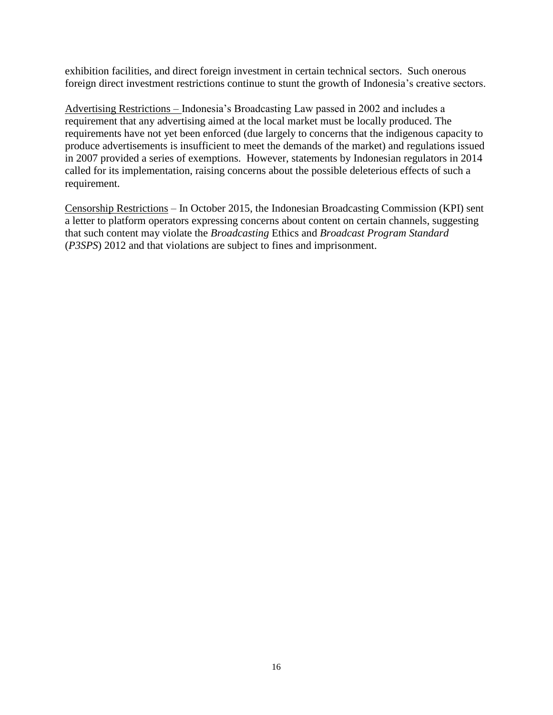exhibition facilities, and direct foreign investment in certain technical sectors. Such onerous foreign direct investment restrictions continue to stunt the growth of Indonesia's creative sectors.

Advertising Restrictions – Indonesia's Broadcasting Law passed in 2002 and includes a requirement that any advertising aimed at the local market must be locally produced. The requirements have not yet been enforced (due largely to concerns that the indigenous capacity to produce advertisements is insufficient to meet the demands of the market) and regulations issued in 2007 provided a series of exemptions. However, statements by Indonesian regulators in 2014 called for its implementation, raising concerns about the possible deleterious effects of such a requirement.

Censorship Restrictions – In October 2015, the Indonesian Broadcasting Commission (KPI) sent a letter to platform operators expressing concerns about content on certain channels, suggesting that such content may violate the *Broadcasting* Ethics and *Broadcast Program Standard* (*P3SPS*) 2012 and that violations are subject to fines and imprisonment.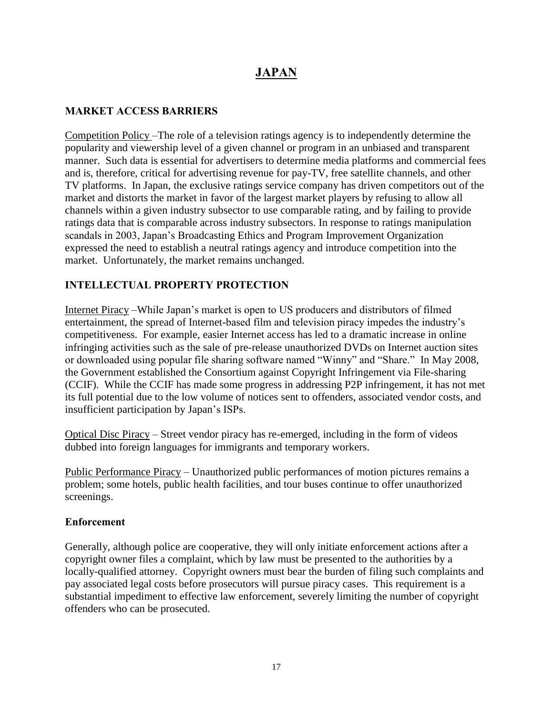# **JAPAN**

### **MARKET ACCESS BARRIERS**

Competition Policy –The role of a television ratings agency is to independently determine the popularity and viewership level of a given channel or program in an unbiased and transparent manner. Such data is essential for advertisers to determine media platforms and commercial fees and is, therefore, critical for advertising revenue for pay-TV, free satellite channels, and other TV platforms. In Japan, the exclusive ratings service company has driven competitors out of the market and distorts the market in favor of the largest market players by refusing to allow all channels within a given industry subsector to use comparable rating, and by failing to provide ratings data that is comparable across industry subsectors. In response to ratings manipulation scandals in 2003, Japan's Broadcasting Ethics and Program Improvement Organization expressed the need to establish a neutral ratings agency and introduce competition into the market. Unfortunately, the market remains unchanged.

## **INTELLECTUAL PROPERTY PROTECTION**

Internet Piracy –While Japan's market is open to US producers and distributors of filmed entertainment, the spread of Internet-based film and television piracy impedes the industry's competitiveness. For example, easier Internet access has led to a dramatic increase in online infringing activities such as the sale of pre-release unauthorized DVDs on Internet auction sites or downloaded using popular file sharing software named "Winny" and "Share." In May 2008, the Government established the Consortium against Copyright Infringement via File-sharing (CCIF). While the CCIF has made some progress in addressing P2P infringement, it has not met its full potential due to the low volume of notices sent to offenders, associated vendor costs, and insufficient participation by Japan's ISPs.

Optical Disc Piracy – Street vendor piracy has re-emerged, including in the form of videos dubbed into foreign languages for immigrants and temporary workers.

Public Performance Piracy – Unauthorized public performances of motion pictures remains a problem; some hotels, public health facilities, and tour buses continue to offer unauthorized screenings.

#### **Enforcement**

Generally, although police are cooperative, they will only initiate enforcement actions after a copyright owner files a complaint, which by law must be presented to the authorities by a locally-qualified attorney. Copyright owners must bear the burden of filing such complaints and pay associated legal costs before prosecutors will pursue piracy cases. This requirement is a substantial impediment to effective law enforcement, severely limiting the number of copyright offenders who can be prosecuted.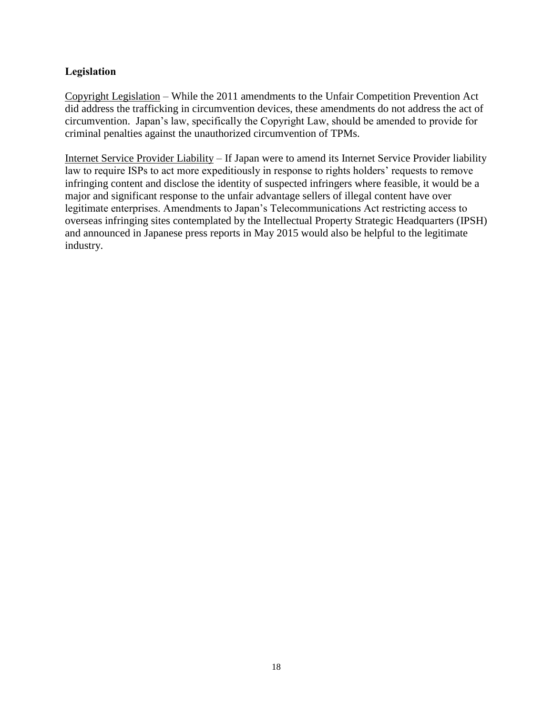#### **Legislation**

Copyright Legislation – While the 2011 amendments to the Unfair Competition Prevention Act did address the trafficking in circumvention devices, these amendments do not address the act of circumvention. Japan's law, specifically the Copyright Law, should be amended to provide for criminal penalties against the unauthorized circumvention of TPMs.

Internet Service Provider Liability – If Japan were to amend its Internet Service Provider liability law to require ISPs to act more expeditiously in response to rights holders' requests to remove infringing content and disclose the identity of suspected infringers where feasible, it would be a major and significant response to the unfair advantage sellers of illegal content have over legitimate enterprises. Amendments to Japan's Telecommunications Act restricting access to overseas infringing sites contemplated by the Intellectual Property Strategic Headquarters (IPSH) and announced in Japanese press reports in May 2015 would also be helpful to the legitimate industry.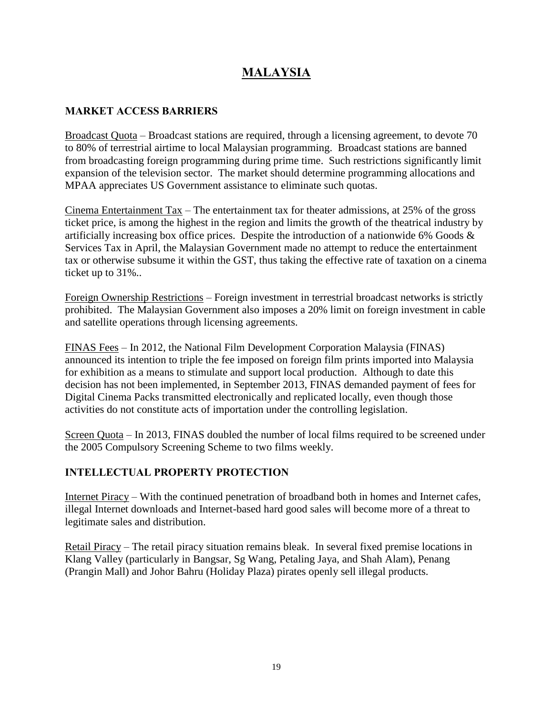# **MALAYSIA**

### **MARKET ACCESS BARRIERS**

Broadcast Quota – Broadcast stations are required, through a licensing agreement, to devote 70 to 80% of terrestrial airtime to local Malaysian programming. Broadcast stations are banned from broadcasting foreign programming during prime time. Such restrictions significantly limit expansion of the television sector. The market should determine programming allocations and MPAA appreciates US Government assistance to eliminate such quotas.

Cinema Entertainment Tax – The entertainment tax for theater admissions, at 25% of the gross ticket price, is among the highest in the region and limits the growth of the theatrical industry by artificially increasing box office prices. Despite the introduction of a nationwide 6% Goods & Services Tax in April, the Malaysian Government made no attempt to reduce the entertainment tax or otherwise subsume it within the GST, thus taking the effective rate of taxation on a cinema ticket up to 31%..

Foreign Ownership Restrictions – Foreign investment in terrestrial broadcast networks is strictly prohibited. The Malaysian Government also imposes a 20% limit on foreign investment in cable and satellite operations through licensing agreements.

FINAS Fees – In 2012, the National Film Development Corporation Malaysia (FINAS) announced its intention to triple the fee imposed on foreign film prints imported into Malaysia for exhibition as a means to stimulate and support local production. Although to date this decision has not been implemented, in September 2013, FINAS demanded payment of fees for Digital Cinema Packs transmitted electronically and replicated locally, even though those activities do not constitute acts of importation under the controlling legislation.

Screen Quota – In 2013, FINAS doubled the number of local films required to be screened under the 2005 Compulsory Screening Scheme to two films weekly.

## **INTELLECTUAL PROPERTY PROTECTION**

Internet Piracy – With the continued penetration of broadband both in homes and Internet cafes, illegal Internet downloads and Internet-based hard good sales will become more of a threat to legitimate sales and distribution.

Retail Piracy – The retail piracy situation remains bleak. In several fixed premise locations in Klang Valley (particularly in Bangsar, Sg Wang, Petaling Jaya, and Shah Alam), Penang (Prangin Mall) and Johor Bahru (Holiday Plaza) pirates openly sell illegal products.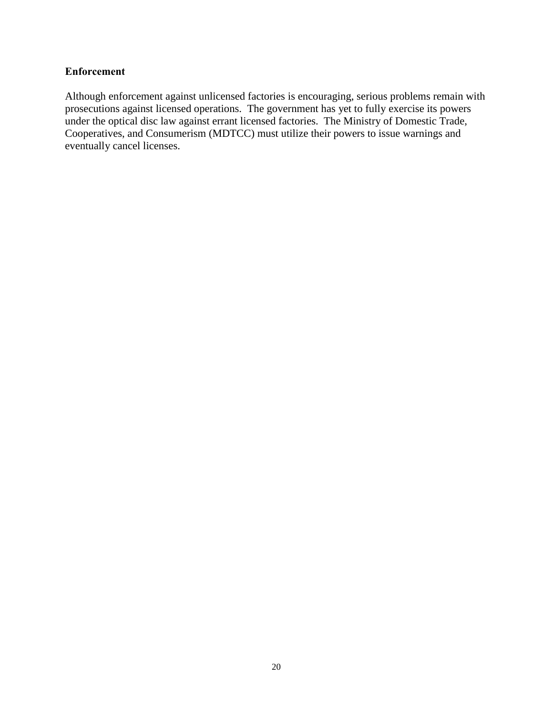#### **Enforcement**

Although enforcement against unlicensed factories is encouraging, serious problems remain with prosecutions against licensed operations. The government has yet to fully exercise its powers under the optical disc law against errant licensed factories. The Ministry of Domestic Trade, Cooperatives, and Consumerism (MDTCC) must utilize their powers to issue warnings and eventually cancel licenses.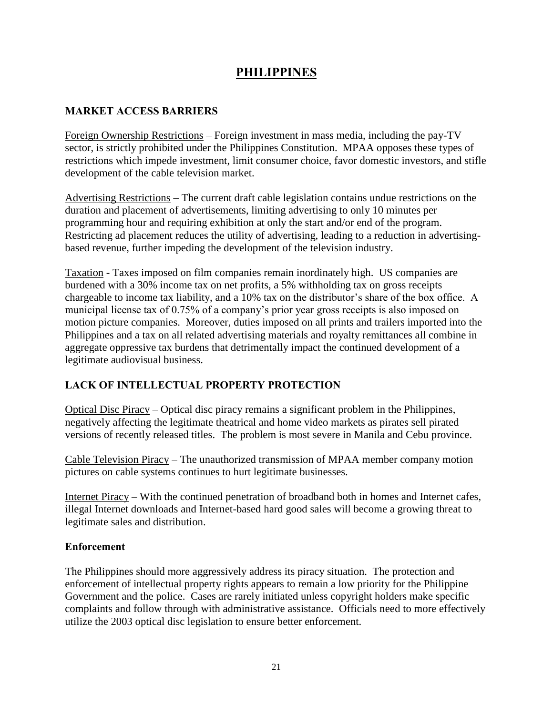# **PHILIPPINES**

### **MARKET ACCESS BARRIERS**

Foreign Ownership Restrictions – Foreign investment in mass media, including the pay-TV sector, is strictly prohibited under the Philippines Constitution. MPAA opposes these types of restrictions which impede investment, limit consumer choice, favor domestic investors, and stifle development of the cable television market.

Advertising Restrictions – The current draft cable legislation contains undue restrictions on the duration and placement of advertisements, limiting advertising to only 10 minutes per programming hour and requiring exhibition at only the start and/or end of the program. Restricting ad placement reduces the utility of advertising, leading to a reduction in advertisingbased revenue, further impeding the development of the television industry.

Taxation - Taxes imposed on film companies remain inordinately high. US companies are burdened with a 30% income tax on net profits, a 5% withholding tax on gross receipts chargeable to income tax liability, and a 10% tax on the distributor's share of the box office. A municipal license tax of 0.75% of a company's prior year gross receipts is also imposed on motion picture companies. Moreover, duties imposed on all prints and trailers imported into the Philippines and a tax on all related advertising materials and royalty remittances all combine in aggregate oppressive tax burdens that detrimentally impact the continued development of a legitimate audiovisual business.

## **LACK OF INTELLECTUAL PROPERTY PROTECTION**

Optical Disc Piracy – Optical disc piracy remains a significant problem in the Philippines, negatively affecting the legitimate theatrical and home video markets as pirates sell pirated versions of recently released titles. The problem is most severe in Manila and Cebu province.

Cable Television Piracy – The unauthorized transmission of MPAA member company motion pictures on cable systems continues to hurt legitimate businesses.

Internet Piracy – With the continued penetration of broadband both in homes and Internet cafes, illegal Internet downloads and Internet-based hard good sales will become a growing threat to legitimate sales and distribution.

### **Enforcement**

The Philippines should more aggressively address its piracy situation. The protection and enforcement of intellectual property rights appears to remain a low priority for the Philippine Government and the police. Cases are rarely initiated unless copyright holders make specific complaints and follow through with administrative assistance. Officials need to more effectively utilize the 2003 optical disc legislation to ensure better enforcement.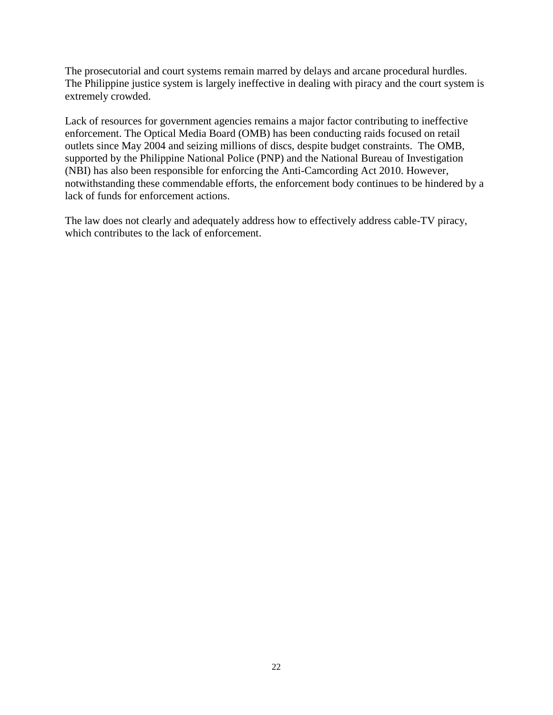The prosecutorial and court systems remain marred by delays and arcane procedural hurdles. The Philippine justice system is largely ineffective in dealing with piracy and the court system is extremely crowded.

Lack of resources for government agencies remains a major factor contributing to ineffective enforcement. The Optical Media Board (OMB) has been conducting raids focused on retail outlets since May 2004 and seizing millions of discs, despite budget constraints. The OMB, supported by the Philippine National Police (PNP) and the National Bureau of Investigation (NBI) has also been responsible for enforcing the Anti-Camcording Act 2010. However, notwithstanding these commendable efforts, the enforcement body continues to be hindered by a lack of funds for enforcement actions.

The law does not clearly and adequately address how to effectively address cable-TV piracy, which contributes to the lack of enforcement.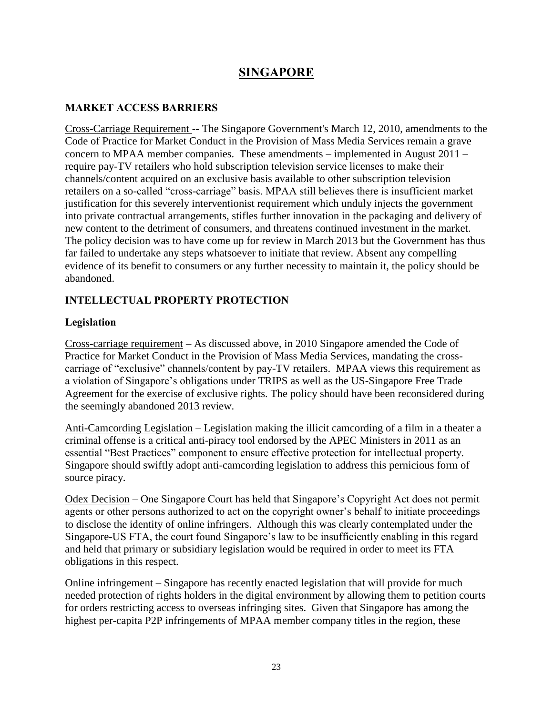# **SINGAPORE**

### **MARKET ACCESS BARRIERS**

Cross-Carriage Requirement -- The Singapore Government's March 12, 2010, amendments to the Code of Practice for Market Conduct in the Provision of Mass Media Services remain a grave concern to MPAA member companies. These amendments – implemented in August 2011 – require pay-TV retailers who hold subscription television service licenses to make their channels/content acquired on an exclusive basis available to other subscription television retailers on a so-called "cross-carriage" basis. MPAA still believes there is insufficient market justification for this severely interventionist requirement which unduly injects the government into private contractual arrangements, stifles further innovation in the packaging and delivery of new content to the detriment of consumers, and threatens continued investment in the market. The policy decision was to have come up for review in March 2013 but the Government has thus far failed to undertake any steps whatsoever to initiate that review. Absent any compelling evidence of its benefit to consumers or any further necessity to maintain it, the policy should be abandoned.

### **INTELLECTUAL PROPERTY PROTECTION**

### **Legislation**

Cross-carriage requirement – As discussed above, in 2010 Singapore amended the Code of Practice for Market Conduct in the Provision of Mass Media Services, mandating the crosscarriage of "exclusive" channels/content by pay-TV retailers. MPAA views this requirement as a violation of Singapore's obligations under TRIPS as well as the US-Singapore Free Trade Agreement for the exercise of exclusive rights. The policy should have been reconsidered during the seemingly abandoned 2013 review.

Anti-Camcording Legislation – Legislation making the illicit camcording of a film in a theater a criminal offense is a critical anti-piracy tool endorsed by the APEC Ministers in 2011 as an essential "Best Practices" component to ensure effective protection for intellectual property. Singapore should swiftly adopt anti-camcording legislation to address this pernicious form of source piracy.

Odex Decision – One Singapore Court has held that Singapore's Copyright Act does not permit agents or other persons authorized to act on the copyright owner's behalf to initiate proceedings to disclose the identity of online infringers. Although this was clearly contemplated under the Singapore-US FTA, the court found Singapore's law to be insufficiently enabling in this regard and held that primary or subsidiary legislation would be required in order to meet its FTA obligations in this respect.

Online infringement – Singapore has recently enacted legislation that will provide for much needed protection of rights holders in the digital environment by allowing them to petition courts for orders restricting access to overseas infringing sites. Given that Singapore has among the highest per-capita P2P infringements of MPAA member company titles in the region, these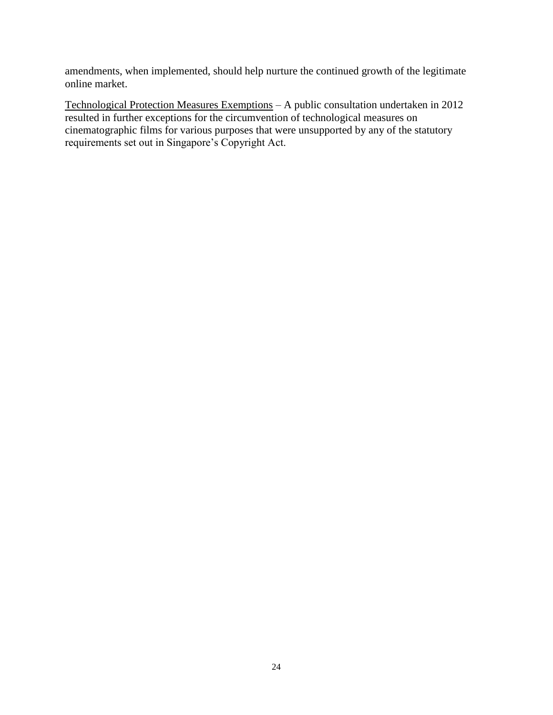amendments, when implemented, should help nurture the continued growth of the legitimate online market.

Technological Protection Measures Exemptions – A public consultation undertaken in 2012 resulted in further exceptions for the circumvention of technological measures on cinematographic films for various purposes that were unsupported by any of the statutory requirements set out in Singapore's Copyright Act.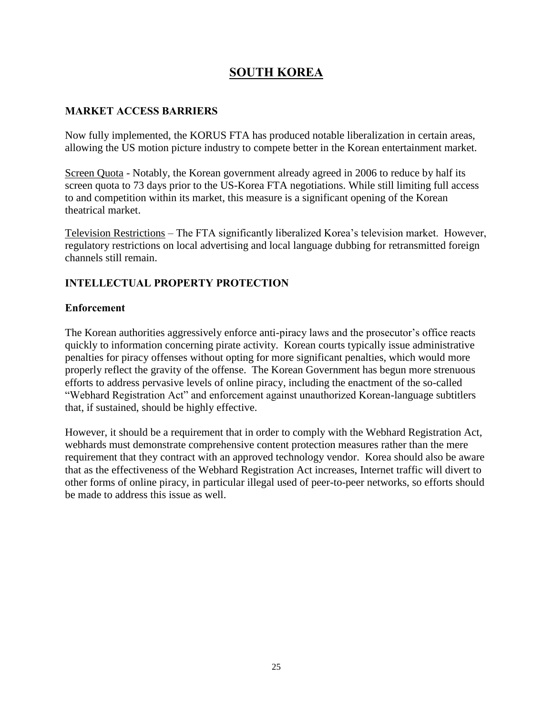# **SOUTH KOREA**

### **MARKET ACCESS BARRIERS**

Now fully implemented, the KORUS FTA has produced notable liberalization in certain areas, allowing the US motion picture industry to compete better in the Korean entertainment market.

Screen Quota - Notably, the Korean government already agreed in 2006 to reduce by half its screen quota to 73 days prior to the US-Korea FTA negotiations. While still limiting full access to and competition within its market, this measure is a significant opening of the Korean theatrical market.

Television Restrictions – The FTA significantly liberalized Korea's television market. However, regulatory restrictions on local advertising and local language dubbing for retransmitted foreign channels still remain.

## **INTELLECTUAL PROPERTY PROTECTION**

### **Enforcement**

The Korean authorities aggressively enforce anti-piracy laws and the prosecutor's office reacts quickly to information concerning pirate activity. Korean courts typically issue administrative penalties for piracy offenses without opting for more significant penalties, which would more properly reflect the gravity of the offense. The Korean Government has begun more strenuous efforts to address pervasive levels of online piracy, including the enactment of the so-called "Webhard Registration Act" and enforcement against unauthorized Korean-language subtitlers that, if sustained, should be highly effective.

However, it should be a requirement that in order to comply with the Webhard Registration Act, webhards must demonstrate comprehensive content protection measures rather than the mere requirement that they contract with an approved technology vendor. Korea should also be aware that as the effectiveness of the Webhard Registration Act increases, Internet traffic will divert to other forms of online piracy, in particular illegal used of peer-to-peer networks, so efforts should be made to address this issue as well.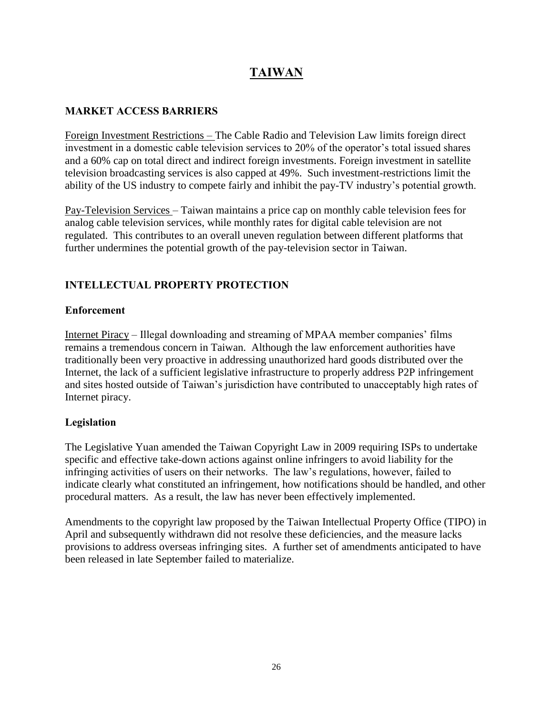# **TAIWAN**

### **MARKET ACCESS BARRIERS**

Foreign Investment Restrictions – The Cable Radio and Television Law limits foreign direct investment in a domestic cable television services to 20% of the operator's total issued shares and a 60% cap on total direct and indirect foreign investments. Foreign investment in satellite television broadcasting services is also capped at 49%. Such investment-restrictions limit the ability of the US industry to compete fairly and inhibit the pay-TV industry's potential growth.

Pay-Television Services – Taiwan maintains a price cap on monthly cable television fees for analog cable television services, while monthly rates for digital cable television are not regulated. This contributes to an overall uneven regulation between different platforms that further undermines the potential growth of the pay-television sector in Taiwan.

## **INTELLECTUAL PROPERTY PROTECTION**

### **Enforcement**

Internet Piracy – Illegal downloading and streaming of MPAA member companies' films remains a tremendous concern in Taiwan. Although the law enforcement authorities have traditionally been very proactive in addressing unauthorized hard goods distributed over the Internet, the lack of a sufficient legislative infrastructure to properly address P2P infringement and sites hosted outside of Taiwan's jurisdiction have contributed to unacceptably high rates of Internet piracy.

### **Legislation**

The Legislative Yuan amended the Taiwan Copyright Law in 2009 requiring ISPs to undertake specific and effective take-down actions against online infringers to avoid liability for the infringing activities of users on their networks. The law's regulations, however, failed to indicate clearly what constituted an infringement, how notifications should be handled, and other procedural matters. As a result, the law has never been effectively implemented.

Amendments to the copyright law proposed by the Taiwan Intellectual Property Office (TIPO) in April and subsequently withdrawn did not resolve these deficiencies, and the measure lacks provisions to address overseas infringing sites. A further set of amendments anticipated to have been released in late September failed to materialize.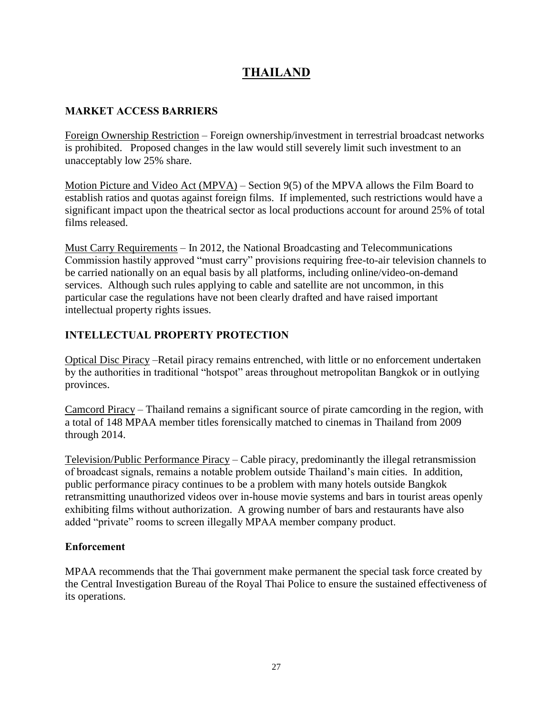# **THAILAND**

### **MARKET ACCESS BARRIERS**

Foreign Ownership Restriction – Foreign ownership/investment in terrestrial broadcast networks is prohibited. Proposed changes in the law would still severely limit such investment to an unacceptably low 25% share.

Motion Picture and Video Act (MPVA) – Section 9(5) of the MPVA allows the Film Board to establish ratios and quotas against foreign films. If implemented, such restrictions would have a significant impact upon the theatrical sector as local productions account for around 25% of total films released.

Must Carry Requirements – In 2012, the National Broadcasting and Telecommunications Commission hastily approved "must carry" provisions requiring free-to-air television channels to be carried nationally on an equal basis by all platforms, including online/video-on-demand services. Although such rules applying to cable and satellite are not uncommon, in this particular case the regulations have not been clearly drafted and have raised important intellectual property rights issues.

## **INTELLECTUAL PROPERTY PROTECTION**

Optical Disc Piracy –Retail piracy remains entrenched, with little or no enforcement undertaken by the authorities in traditional "hotspot" areas throughout metropolitan Bangkok or in outlying provinces.

Camcord Piracy – Thailand remains a significant source of pirate camcording in the region, with a total of 148 MPAA member titles forensically matched to cinemas in Thailand from 2009 through 2014.

Television/Public Performance Piracy – Cable piracy, predominantly the illegal retransmission of broadcast signals, remains a notable problem outside Thailand's main cities. In addition, public performance piracy continues to be a problem with many hotels outside Bangkok retransmitting unauthorized videos over in-house movie systems and bars in tourist areas openly exhibiting films without authorization. A growing number of bars and restaurants have also added "private" rooms to screen illegally MPAA member company product.

### **Enforcement**

MPAA recommends that the Thai government make permanent the special task force created by the Central Investigation Bureau of the Royal Thai Police to ensure the sustained effectiveness of its operations.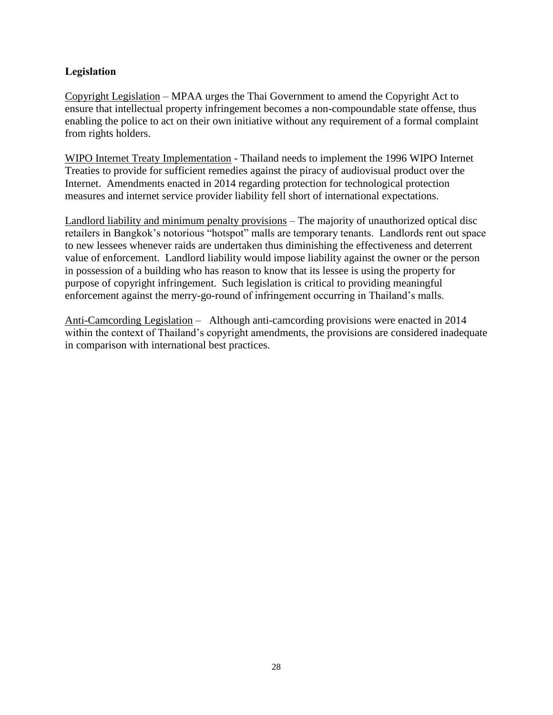#### **Legislation**

Copyright Legislation – MPAA urges the Thai Government to amend the Copyright Act to ensure that intellectual property infringement becomes a non-compoundable state offense, thus enabling the police to act on their own initiative without any requirement of a formal complaint from rights holders.

WIPO Internet Treaty Implementation - Thailand needs to implement the 1996 WIPO Internet Treaties to provide for sufficient remedies against the piracy of audiovisual product over the Internet. Amendments enacted in 2014 regarding protection for technological protection measures and internet service provider liability fell short of international expectations.

Landlord liability and minimum penalty provisions – The majority of unauthorized optical disc retailers in Bangkok's notorious "hotspot" malls are temporary tenants. Landlords rent out space to new lessees whenever raids are undertaken thus diminishing the effectiveness and deterrent value of enforcement. Landlord liability would impose liability against the owner or the person in possession of a building who has reason to know that its lessee is using the property for purpose of copyright infringement. Such legislation is critical to providing meaningful enforcement against the merry-go-round of infringement occurring in Thailand's malls.

Anti-Camcording Legislation – Although anti-camcording provisions were enacted in 2014 within the context of Thailand's copyright amendments, the provisions are considered inadequate in comparison with international best practices.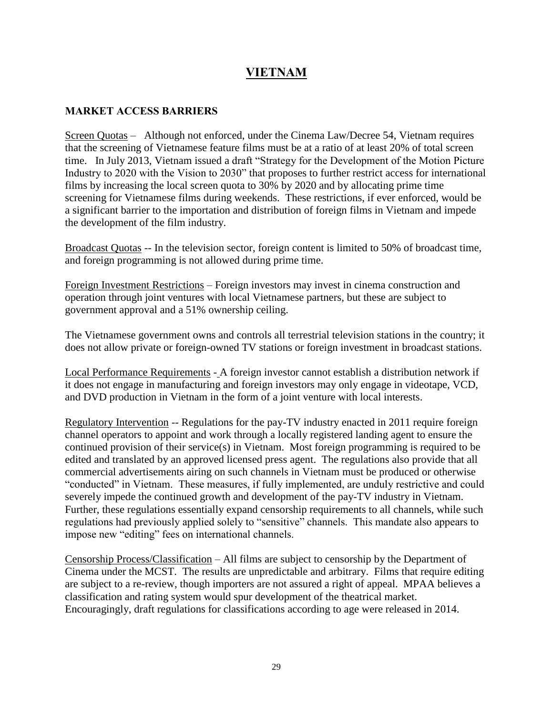# **VIETNAM**

#### **MARKET ACCESS BARRIERS**

Screen Quotas – Although not enforced, under the Cinema Law/Decree 54, Vietnam requires that the screening of Vietnamese feature films must be at a ratio of at least 20% of total screen time. In July 2013, Vietnam issued a draft "Strategy for the Development of the Motion Picture Industry to 2020 with the Vision to 2030" that proposes to further restrict access for international films by increasing the local screen quota to 30% by 2020 and by allocating prime time screening for Vietnamese films during weekends. These restrictions, if ever enforced, would be a significant barrier to the importation and distribution of foreign films in Vietnam and impede the development of the film industry.

Broadcast Quotas -- In the television sector, foreign content is limited to 50% of broadcast time, and foreign programming is not allowed during prime time.

Foreign Investment Restrictions – Foreign investors may invest in cinema construction and operation through joint ventures with local Vietnamese partners, but these are subject to government approval and a 51% ownership ceiling.

The Vietnamese government owns and controls all terrestrial television stations in the country; it does not allow private or foreign-owned TV stations or foreign investment in broadcast stations.

Local Performance Requirements - A foreign investor cannot establish a distribution network if it does not engage in manufacturing and foreign investors may only engage in videotape, VCD, and DVD production in Vietnam in the form of a joint venture with local interests.

Regulatory Intervention -- Regulations for the pay-TV industry enacted in 2011 require foreign channel operators to appoint and work through a locally registered landing agent to ensure the continued provision of their service(s) in Vietnam. Most foreign programming is required to be edited and translated by an approved licensed press agent. The regulations also provide that all commercial advertisements airing on such channels in Vietnam must be produced or otherwise "conducted" in Vietnam. These measures, if fully implemented, are unduly restrictive and could severely impede the continued growth and development of the pay-TV industry in Vietnam. Further, these regulations essentially expand censorship requirements to all channels, while such regulations had previously applied solely to "sensitive" channels. This mandate also appears to impose new "editing" fees on international channels.

Censorship Process/Classification – All films are subject to censorship by the Department of Cinema under the MCST. The results are unpredictable and arbitrary. Films that require editing are subject to a re-review, though importers are not assured a right of appeal. MPAA believes a classification and rating system would spur development of the theatrical market. Encouragingly, draft regulations for classifications according to age were released in 2014.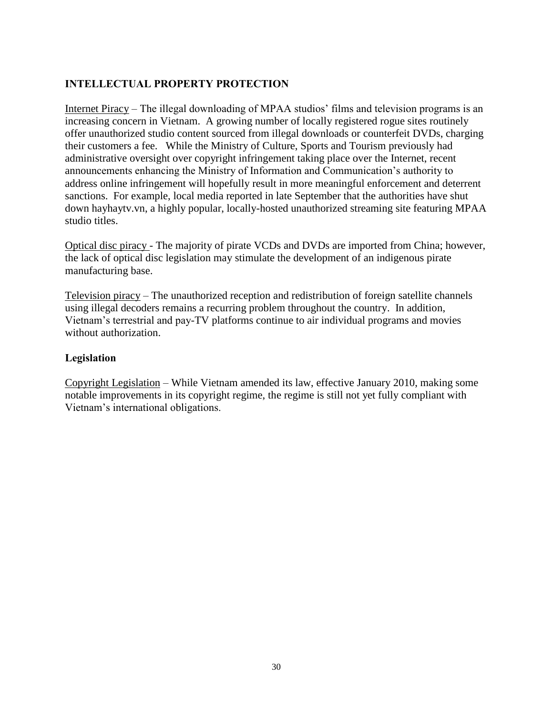### **INTELLECTUAL PROPERTY PROTECTION**

Internet Piracy – The illegal downloading of MPAA studios' films and television programs is an increasing concern in Vietnam. A growing number of locally registered rogue sites routinely offer unauthorized studio content sourced from illegal downloads or counterfeit DVDs, charging their customers a fee. While the Ministry of Culture, Sports and Tourism previously had administrative oversight over copyright infringement taking place over the Internet, recent announcements enhancing the Ministry of Information and Communication's authority to address online infringement will hopefully result in more meaningful enforcement and deterrent sanctions. For example, local media reported in late September that the authorities have shut down hayhaytv.vn, a highly popular, locally-hosted unauthorized streaming site featuring MPAA studio titles.

Optical disc piracy - The majority of pirate VCDs and DVDs are imported from China; however, the lack of optical disc legislation may stimulate the development of an indigenous pirate manufacturing base.

Television piracy – The unauthorized reception and redistribution of foreign satellite channels using illegal decoders remains a recurring problem throughout the country. In addition, Vietnam's terrestrial and pay-TV platforms continue to air individual programs and movies without authorization.

#### **Legislation**

Copyright Legislation – While Vietnam amended its law, effective January 2010, making some notable improvements in its copyright regime, the regime is still not yet fully compliant with Vietnam's international obligations.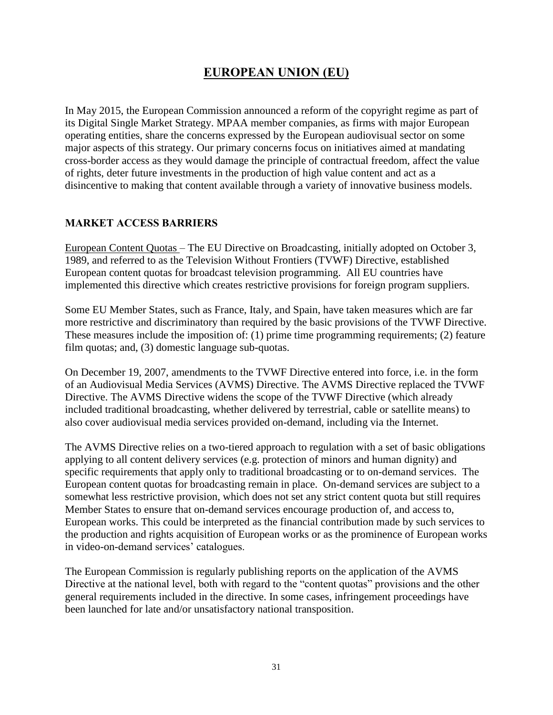# **EUROPEAN UNION (EU)**

In May 2015, the European Commission announced a reform of the copyright regime as part of its Digital Single Market Strategy. MPAA member companies, as firms with major European operating entities, share the concerns expressed by the European audiovisual sector on some major aspects of this strategy. Our primary concerns focus on initiatives aimed at mandating cross-border access as they would damage the principle of contractual freedom, affect the value of rights, deter future investments in the production of high value content and act as a disincentive to making that content available through a variety of innovative business models.

#### **MARKET ACCESS BARRIERS**

European Content Quotas – The EU Directive on Broadcasting, initially adopted on October 3, 1989, and referred to as the Television Without Frontiers (TVWF) Directive, established European content quotas for broadcast television programming. All EU countries have implemented this directive which creates restrictive provisions for foreign program suppliers.

Some EU Member States, such as France, Italy, and Spain, have taken measures which are far more restrictive and discriminatory than required by the basic provisions of the TVWF Directive. These measures include the imposition of: (1) prime time programming requirements; (2) feature film quotas; and, (3) domestic language sub-quotas.

On December 19, 2007, amendments to the TVWF Directive entered into force, i.e. in the form of an Audiovisual Media Services (AVMS) Directive. The AVMS Directive replaced the TVWF Directive. The AVMS Directive widens the scope of the TVWF Directive (which already included traditional broadcasting, whether delivered by terrestrial, cable or satellite means) to also cover audiovisual media services provided on-demand, including via the Internet.

The AVMS Directive relies on a two-tiered approach to regulation with a set of basic obligations applying to all content delivery services (e.g. protection of minors and human dignity) and specific requirements that apply only to traditional broadcasting or to on-demand services. The European content quotas for broadcasting remain in place. On-demand services are subject to a somewhat less restrictive provision, which does not set any strict content quota but still requires Member States to ensure that on-demand services encourage production of, and access to, European works. This could be interpreted as the financial contribution made by such services to the production and rights acquisition of European works or as the prominence of European works in video-on-demand services' catalogues.

The European Commission is regularly publishing reports on the application of the AVMS Directive at the national level, both with regard to the "content quotas" provisions and the other general requirements included in the directive. In some cases, infringement proceedings have been launched for late and/or unsatisfactory national transposition.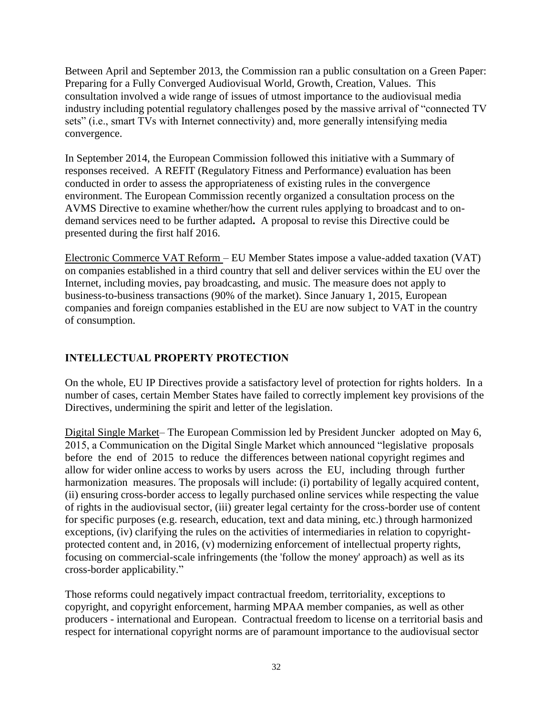Between April and September 2013, the Commission ran a public consultation on a Green Paper: Preparing for a Fully Converged Audiovisual World, Growth, Creation, Values. This consultation involved a wide range of issues of utmost importance to the audiovisual media industry including potential regulatory challenges posed by the massive arrival of "connected TV sets" (i.e., smart TVs with Internet connectivity) and, more generally intensifying media convergence.

In September 2014, the European Commission followed this initiative with a Summary of responses received. A REFIT (Regulatory Fitness and Performance) evaluation has been conducted in order to assess the appropriateness of existing rules in the convergence environment. The European Commission recently organized a consultation process on the AVMS Directive to examine whether/how the current rules applying to broadcast and to ondemand services need to be further adapted**.** A proposal to revise this Directive could be presented during the first half 2016.

Electronic Commerce VAT Reform – EU Member States impose a value-added taxation (VAT) on companies established in a third country that sell and deliver services within the EU over the Internet, including movies, pay broadcasting, and music. The measure does not apply to business-to-business transactions (90% of the market). Since January 1, 2015, European companies and foreign companies established in the EU are now subject to VAT in the country of consumption.

## **INTELLECTUAL PROPERTY PROTECTION**

On the whole, EU IP Directives provide a satisfactory level of protection for rights holders. In a number of cases, certain Member States have failed to correctly implement key provisions of the Directives, undermining the spirit and letter of the legislation.

Digital Single Market– The European Commission led by President Juncker adopted on May 6, 2015, a Communication on the Digital Single Market which announced "legislative proposals before the end of 2015 to reduce the differences between national copyright regimes and allow for wider online access to works by users across the EU, including through further harmonization measures. The proposals will include: (i) portability of legally acquired content, (ii) ensuring cross-border access to legally purchased online services while respecting the value of rights in the audiovisual sector, (iii) greater legal certainty for the cross-border use of content for specific purposes (e.g. research, education, text and data mining, etc.) through harmonized exceptions, (iv) clarifying the rules on the activities of intermediaries in relation to copyrightprotected content and, in 2016, (v) modernizing enforcement of intellectual property rights, focusing on commercial-scale infringements (the 'follow the money' approach) as well as its cross-border applicability."

Those reforms could negatively impact contractual freedom, territoriality, exceptions to copyright, and copyright enforcement, harming MPAA member companies, as well as other producers - international and European. Contractual freedom to license on a territorial basis and respect for international copyright norms are of paramount importance to the audiovisual sector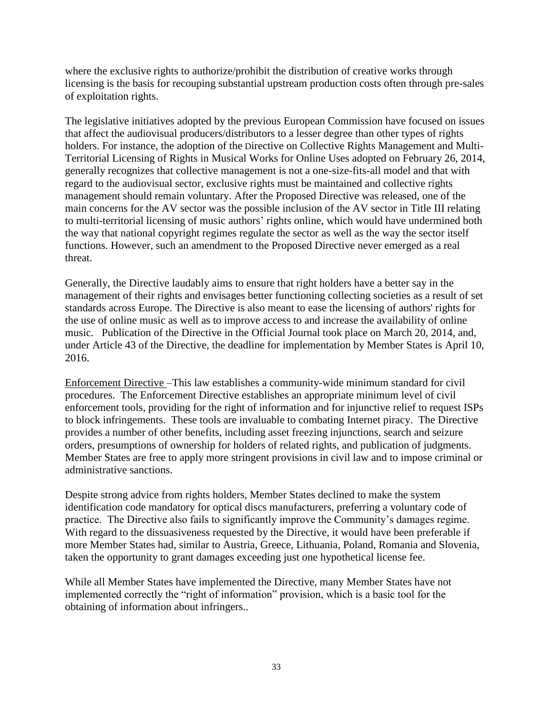where the exclusive rights to authorize/prohibit the distribution of creative works through licensing is the basis for recouping substantial upstream production costs often through pre-sales of exploitation rights.

The legislative initiatives adopted by the previous European Commission have focused on issues that affect the audiovisual producers/distributors to a lesser degree than other types of rights holders. For instance, the adoption of the Directive on Collective Rights Management and Multi-Territorial Licensing of Rights in Musical Works for Online Uses adopted on February 26, 2014, generally recognizes that collective management is not a one-size-fits-all model and that with regard to the audiovisual sector, exclusive rights must be maintained and collective rights management should remain voluntary. After the Proposed Directive was released, one of the main concerns for the AV sector was the possible inclusion of the AV sector in Title III relating to multi-territorial licensing of music authors' rights online, which would have undermined both the way that national copyright regimes regulate the sector as well as the way the sector itself functions. However, such an amendment to the Proposed Directive never emerged as a real threat.

Generally, the Directive laudably aims to ensure that right holders have a better say in the management of their rights and envisages better functioning collecting societies as a result of set standards across Europe. The Directive is also meant to ease the licensing of authors' rights for the use of online music as well as to improve access to and increase the availability of online music. Publication of the Directive in the Official Journal took place on March 20, 2014, and, under Article 43 of the Directive, the deadline for implementation by Member States is April 10, 2016.

Enforcement Directive –This law establishes a community-wide minimum standard for civil procedures. The Enforcement Directive establishes an appropriate minimum level of civil enforcement tools, providing for the right of information and for injunctive relief to request ISPs to block infringements. These tools are invaluable to combating Internet piracy. The Directive provides a number of other benefits, including asset freezing injunctions, search and seizure orders, presumptions of ownership for holders of related rights, and publication of judgments. Member States are free to apply more stringent provisions in civil law and to impose criminal or administrative sanctions.

Despite strong advice from rights holders, Member States declined to make the system identification code mandatory for optical discs manufacturers, preferring a voluntary code of practice. The Directive also fails to significantly improve the Community's damages regime. With regard to the dissuasiveness requested by the Directive, it would have been preferable if more Member States had, similar to Austria, Greece, Lithuania, Poland, Romania and Slovenia, taken the opportunity to grant damages exceeding just one hypothetical license fee.

While all Member States have implemented the Directive, many Member States have not implemented correctly the "right of information" provision, which is a basic tool for the obtaining of information about infringers..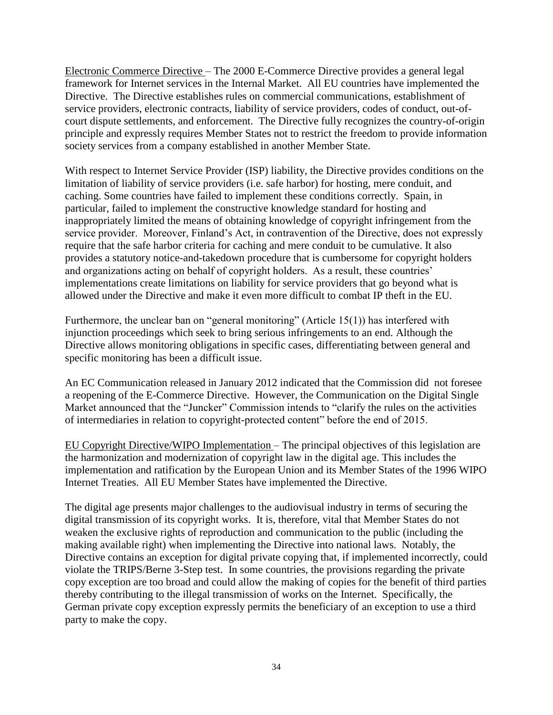Electronic Commerce Directive – The 2000 E-Commerce Directive provides a general legal framework for Internet services in the Internal Market. All EU countries have implemented the Directive. The Directive establishes rules on commercial communications, establishment of service providers, electronic contracts, liability of service providers, codes of conduct, out-ofcourt dispute settlements, and enforcement. The Directive fully recognizes the country-of-origin principle and expressly requires Member States not to restrict the freedom to provide information society services from a company established in another Member State.

With respect to Internet Service Provider (ISP) liability, the Directive provides conditions on the limitation of liability of service providers (i.e. safe harbor) for hosting, mere conduit, and caching. Some countries have failed to implement these conditions correctly. Spain, in particular, failed to implement the constructive knowledge standard for hosting and inappropriately limited the means of obtaining knowledge of copyright infringement from the service provider. Moreover, Finland's Act, in contravention of the Directive, does not expressly require that the safe harbor criteria for caching and mere conduit to be cumulative. It also provides a statutory notice-and-takedown procedure that is cumbersome for copyright holders and organizations acting on behalf of copyright holders. As a result, these countries' implementations create limitations on liability for service providers that go beyond what is allowed under the Directive and make it even more difficult to combat IP theft in the EU.

Furthermore, the unclear ban on "general monitoring" (Article 15(1)) has interfered with injunction proceedings which seek to bring serious infringements to an end. Although the Directive allows monitoring obligations in specific cases, differentiating between general and specific monitoring has been a difficult issue.

An EC Communication released in January 2012 indicated that the Commission did not foresee a reopening of the E-Commerce Directive. However, the Communication on the Digital Single Market announced that the "Juncker" Commission intends to "clarify the rules on the activities of intermediaries in relation to copyright-protected content" before the end of 2015.

EU Copyright Directive/WIPO Implementation – The principal objectives of this legislation are the harmonization and modernization of copyright law in the digital age. This includes the implementation and ratification by the European Union and its Member States of the 1996 WIPO Internet Treaties. All EU Member States have implemented the Directive.

The digital age presents major challenges to the audiovisual industry in terms of securing the digital transmission of its copyright works. It is, therefore, vital that Member States do not weaken the exclusive rights of reproduction and communication to the public (including the making available right) when implementing the Directive into national laws. Notably, the Directive contains an exception for digital private copying that, if implemented incorrectly, could violate the TRIPS/Berne 3-Step test. In some countries, the provisions regarding the private copy exception are too broad and could allow the making of copies for the benefit of third parties thereby contributing to the illegal transmission of works on the Internet. Specifically, the German private copy exception expressly permits the beneficiary of an exception to use a third party to make the copy.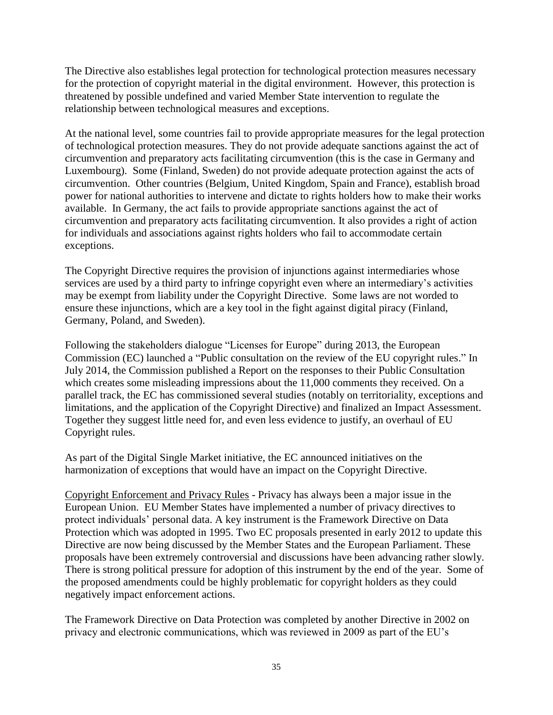The Directive also establishes legal protection for technological protection measures necessary for the protection of copyright material in the digital environment. However, this protection is threatened by possible undefined and varied Member State intervention to regulate the relationship between technological measures and exceptions.

At the national level, some countries fail to provide appropriate measures for the legal protection of technological protection measures. They do not provide adequate sanctions against the act of circumvention and preparatory acts facilitating circumvention (this is the case in Germany and Luxembourg). Some (Finland, Sweden) do not provide adequate protection against the acts of circumvention. Other countries (Belgium, United Kingdom, Spain and France), establish broad power for national authorities to intervene and dictate to rights holders how to make their works available. In Germany, the act fails to provide appropriate sanctions against the act of circumvention and preparatory acts facilitating circumvention. It also provides a right of action for individuals and associations against rights holders who fail to accommodate certain exceptions.

The Copyright Directive requires the provision of injunctions against intermediaries whose services are used by a third party to infringe copyright even where an intermediary's activities may be exempt from liability under the Copyright Directive. Some laws are not worded to ensure these injunctions, which are a key tool in the fight against digital piracy (Finland, Germany, Poland, and Sweden).

Following the stakeholders dialogue "Licenses for Europe" during 2013, the European Commission (EC) launched a "Public consultation on the review of the EU copyright rules." In July 2014, the Commission published a Report on the responses to their Public Consultation which creates some misleading impressions about the 11,000 comments they received. On a parallel track, the EC has commissioned several studies (notably on territoriality, exceptions and limitations, and the application of the Copyright Directive) and finalized an Impact Assessment. Together they suggest little need for, and even less evidence to justify, an overhaul of EU Copyright rules.

As part of the Digital Single Market initiative, the EC announced initiatives on the harmonization of exceptions that would have an impact on the Copyright Directive.

Copyright Enforcement and Privacy Rules - Privacy has always been a major issue in the European Union. EU Member States have implemented a number of privacy directives to protect individuals' personal data. A key instrument is the Framework Directive on Data Protection which was adopted in 1995. Two EC proposals presented in early 2012 to update this Directive are now being discussed by the Member States and the European Parliament. These proposals have been extremely controversial and discussions have been advancing rather slowly. There is strong political pressure for adoption of this instrument by the end of the year. Some of the proposed amendments could be highly problematic for copyright holders as they could negatively impact enforcement actions.

The Framework Directive on Data Protection was completed by another Directive in 2002 on privacy and electronic communications, which was reviewed in 2009 as part of the EU's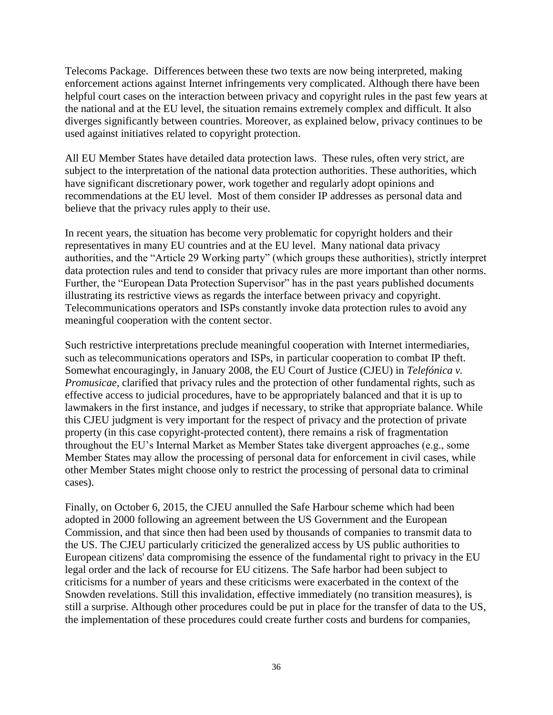Telecoms Package. Differences between these two texts are now being interpreted, making enforcement actions against Internet infringements very complicated. Although there have been helpful court cases on the interaction between privacy and copyright rules in the past few years at the national and at the EU level, the situation remains extremely complex and difficult. It also diverges significantly between countries. Moreover, as explained below, privacy continues to be used against initiatives related to copyright protection.

All EU Member States have detailed data protection laws. These rules, often very strict, are subject to the interpretation of the national data protection authorities. These authorities, which have significant discretionary power, work together and regularly adopt opinions and recommendations at the EU level. Most of them consider IP addresses as personal data and believe that the privacy rules apply to their use.

In recent years, the situation has become very problematic for copyright holders and their representatives in many EU countries and at the EU level. Many national data privacy authorities, and the "Article 29 Working party" (which groups these authorities), strictly interpret data protection rules and tend to consider that privacy rules are more important than other norms. Further, the "European Data Protection Supervisor" has in the past years published documents illustrating its restrictive views as regards the interface between privacy and copyright. Telecommunications operators and ISPs constantly invoke data protection rules to avoid any meaningful cooperation with the content sector.

Such restrictive interpretations preclude meaningful cooperation with Internet intermediaries, such as telecommunications operators and ISPs, in particular cooperation to combat IP theft. Somewhat encouragingly, in January 2008, the EU Court of Justice (CJEU) in *Telefónica v. Promusicae*, clarified that privacy rules and the protection of other fundamental rights, such as effective access to judicial procedures, have to be appropriately balanced and that it is up to lawmakers in the first instance, and judges if necessary, to strike that appropriate balance. While this CJEU judgment is very important for the respect of privacy and the protection of private property (in this case copyright-protected content), there remains a risk of fragmentation throughout the EU's Internal Market as Member States take divergent approaches (e.g., some Member States may allow the processing of personal data for enforcement in civil cases, while other Member States might choose only to restrict the processing of personal data to criminal cases).

Finally, on October 6, 2015, the CJEU annulled the Safe Harbour scheme which had been adopted in 2000 following an agreement between the US Government and the European Commission, and that since then had been used by thousands of companies to transmit data to the US. The CJEU particularly criticized the generalized access by US public authorities to European citizens' data compromising the essence of the fundamental right to privacy in the EU legal order and the lack of recourse for EU citizens. The Safe harbor had been subject to criticisms for a number of years and these criticisms were exacerbated in the context of the Snowden revelations. Still this invalidation, effective immediately (no transition measures), is still a surprise. Although other procedures could be put in place for the transfer of data to the US, the implementation of these procedures could create further costs and burdens for companies,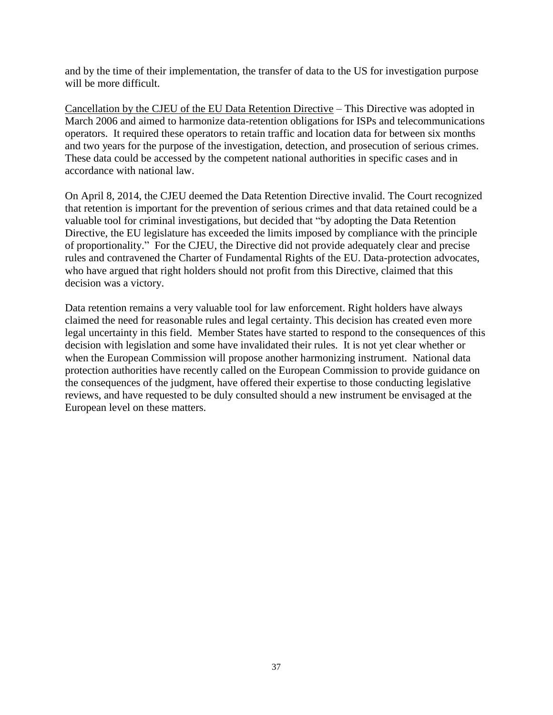and by the time of their implementation, the transfer of data to the US for investigation purpose will be more difficult.

Cancellation by the CJEU of the EU Data Retention Directive – This Directive was adopted in March 2006 and aimed to harmonize data-retention obligations for ISPs and telecommunications operators. It required these operators to retain traffic and location data for between six months and two years for the purpose of the investigation, detection, and prosecution of serious crimes. These data could be accessed by the competent national authorities in specific cases and in accordance with national law.

On April 8, 2014, the CJEU deemed the Data Retention Directive invalid. The Court recognized that retention is important for the prevention of serious crimes and that data retained could be a valuable tool for criminal investigations, but decided that "by adopting the Data Retention Directive, the EU legislature has exceeded the limits imposed by compliance with the principle of proportionality." For the CJEU, the Directive did not provide adequately clear and precise rules and contravened the Charter of Fundamental Rights of the EU. Data-protection advocates, who have argued that right holders should not profit from this Directive, claimed that this decision was a victory.

Data retention remains a very valuable tool for law enforcement. Right holders have always claimed the need for reasonable rules and legal certainty. This decision has created even more legal uncertainty in this field. Member States have started to respond to the consequences of this decision with legislation and some have invalidated their rules. It is not yet clear whether or when the European Commission will propose another harmonizing instrument. National data protection authorities have recently called on the European Commission to provide guidance on the consequences of the judgment, have offered their expertise to those conducting legislative reviews, and have requested to be duly consulted should a new instrument be envisaged at the European level on these matters.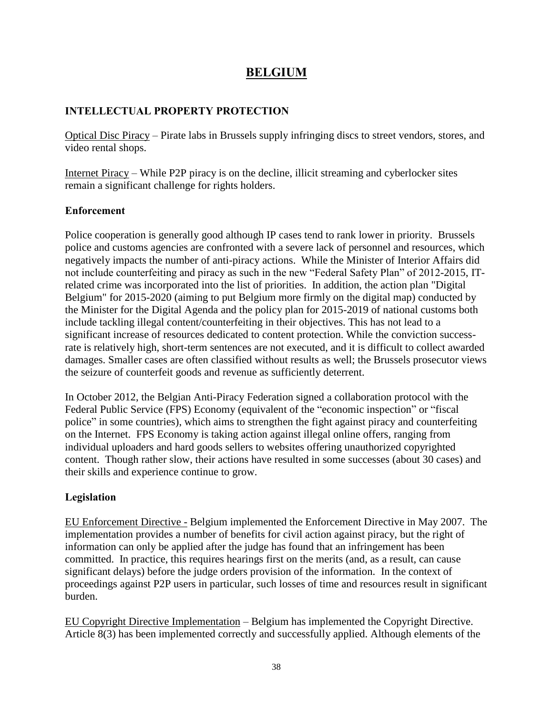## **BELGIUM**

#### **INTELLECTUAL PROPERTY PROTECTION**

Optical Disc Piracy – Pirate labs in Brussels supply infringing discs to street vendors, stores, and video rental shops.

Internet Piracy – While P2P piracy is on the decline, illicit streaming and cyberlocker sites remain a significant challenge for rights holders.

#### **Enforcement**

Police cooperation is generally good although IP cases tend to rank lower in priority. Brussels police and customs agencies are confronted with a severe lack of personnel and resources, which negatively impacts the number of anti-piracy actions. While the Minister of Interior Affairs did not include counterfeiting and piracy as such in the new "Federal Safety Plan" of 2012-2015, ITrelated crime was incorporated into the list of priorities. In addition, the action plan "Digital Belgium" for 2015-2020 (aiming to put Belgium more firmly on the digital map) conducted by the Minister for the Digital Agenda and the policy plan for 2015-2019 of national customs both include tackling illegal content/counterfeiting in their objectives. This has not lead to a significant increase of resources dedicated to content protection. While the conviction successrate is relatively high, short-term sentences are not executed, and it is difficult to collect awarded damages. Smaller cases are often classified without results as well; the Brussels prosecutor views the seizure of counterfeit goods and revenue as sufficiently deterrent.

In October 2012, the Belgian Anti-Piracy Federation signed a collaboration protocol with the Federal Public Service (FPS) Economy (equivalent of the "economic inspection" or "fiscal police" in some countries), which aims to strengthen the fight against piracy and counterfeiting on the Internet. FPS Economy is taking action against illegal online offers, ranging from individual uploaders and hard goods sellers to websites offering unauthorized copyrighted content. Though rather slow, their actions have resulted in some successes (about 30 cases) and their skills and experience continue to grow.

#### **Legislation**

EU Enforcement Directive - Belgium implemented the Enforcement Directive in May 2007. The implementation provides a number of benefits for civil action against piracy, but the right of information can only be applied after the judge has found that an infringement has been committed. In practice, this requires hearings first on the merits (and, as a result, can cause significant delays) before the judge orders provision of the information. In the context of proceedings against P2P users in particular, such losses of time and resources result in significant burden.

EU Copyright Directive Implementation – Belgium has implemented the Copyright Directive. Article 8(3) has been implemented correctly and successfully applied. Although elements of the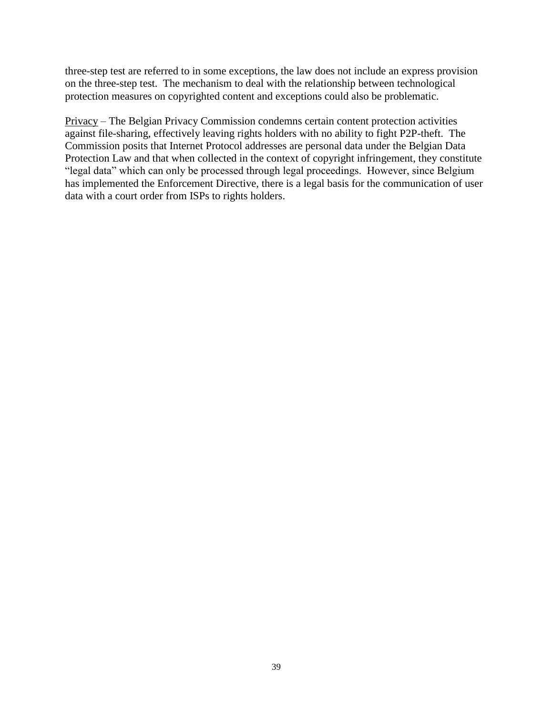three-step test are referred to in some exceptions, the law does not include an express provision on the three-step test. The mechanism to deal with the relationship between technological protection measures on copyrighted content and exceptions could also be problematic.

Privacy – The Belgian Privacy Commission condemns certain content protection activities against file-sharing, effectively leaving rights holders with no ability to fight P2P-theft. The Commission posits that Internet Protocol addresses are personal data under the Belgian Data Protection Law and that when collected in the context of copyright infringement, they constitute "legal data" which can only be processed through legal proceedings. However, since Belgium has implemented the Enforcement Directive, there is a legal basis for the communication of user data with a court order from ISPs to rights holders.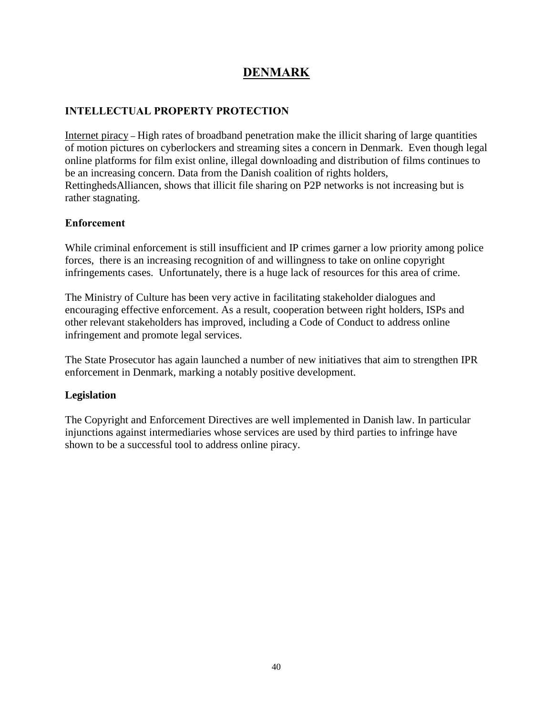# **DENMARK**

### **INTELLECTUAL PROPERTY PROTECTION**

Internet piracy **–** High rates of broadband penetration make the illicit sharing of large quantities of motion pictures on cyberlockers and streaming sites a concern in Denmark. Even though legal online platforms for film exist online, illegal downloading and distribution of films continues to be an increasing concern. Data from the Danish coalition of rights holders, RettinghedsAlliancen, shows that illicit file sharing on P2P networks is not increasing but is rather stagnating.

#### **Enforcement**

While criminal enforcement is still insufficient and IP crimes garner a low priority among police forces, there is an increasing recognition of and willingness to take on online copyright infringements cases. Unfortunately, there is a huge lack of resources for this area of crime.

The Ministry of Culture has been very active in facilitating stakeholder dialogues and encouraging effective enforcement. As a result, cooperation between right holders, ISPs and other relevant stakeholders has improved, including a Code of Conduct to address online infringement and promote legal services.

The State Prosecutor has again launched a number of new initiatives that aim to strengthen IPR enforcement in Denmark, marking a notably positive development.

#### **Legislation**

The Copyright and Enforcement Directives are well implemented in Danish law. In particular injunctions against intermediaries whose services are used by third parties to infringe have shown to be a successful tool to address online piracy.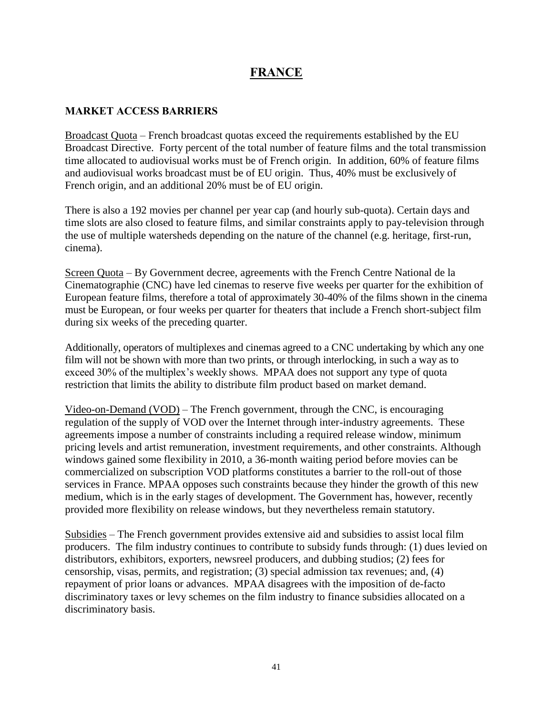## **FRANCE**

#### **MARKET ACCESS BARRIERS**

Broadcast Quota – French broadcast quotas exceed the requirements established by the EU Broadcast Directive. Forty percent of the total number of feature films and the total transmission time allocated to audiovisual works must be of French origin. In addition, 60% of feature films and audiovisual works broadcast must be of EU origin. Thus, 40% must be exclusively of French origin, and an additional 20% must be of EU origin.

There is also a 192 movies per channel per year cap (and hourly sub-quota). Certain days and time slots are also closed to feature films, and similar constraints apply to pay-television through the use of multiple watersheds depending on the nature of the channel (e.g. heritage, first-run, cinema).

Screen Quota – By Government decree, agreements with the French Centre National de la Cinematographie (CNC) have led cinemas to reserve five weeks per quarter for the exhibition of European feature films, therefore a total of approximately 30-40% of the films shown in the cinema must be European, or four weeks per quarter for theaters that include a French short-subject film during six weeks of the preceding quarter.

Additionally, operators of multiplexes and cinemas agreed to a CNC undertaking by which any one film will not be shown with more than two prints, or through interlocking, in such a way as to exceed 30% of the multiplex's weekly shows. MPAA does not support any type of quota restriction that limits the ability to distribute film product based on market demand.

Video-on-Demand (VOD) – The French government, through the CNC, is encouraging regulation of the supply of VOD over the Internet through inter-industry agreements. These agreements impose a number of constraints including a required release window, minimum pricing levels and artist remuneration, investment requirements, and other constraints. Although windows gained some flexibility in 2010, a 36-month waiting period before movies can be commercialized on subscription VOD platforms constitutes a barrier to the roll-out of those services in France. MPAA opposes such constraints because they hinder the growth of this new medium, which is in the early stages of development. The Government has, however, recently provided more flexibility on release windows, but they nevertheless remain statutory.

Subsidies – The French government provides extensive aid and subsidies to assist local film producers. The film industry continues to contribute to subsidy funds through: (1) dues levied on distributors, exhibitors, exporters, newsreel producers, and dubbing studios; (2) fees for censorship, visas, permits, and registration; (3) special admission tax revenues; and, (4) repayment of prior loans or advances. MPAA disagrees with the imposition of de-facto discriminatory taxes or levy schemes on the film industry to finance subsidies allocated on a discriminatory basis.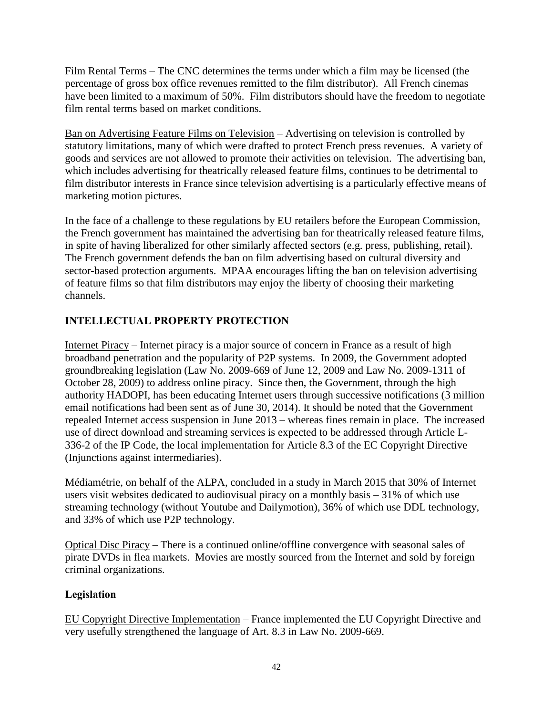Film Rental Terms – The CNC determines the terms under which a film may be licensed (the percentage of gross box office revenues remitted to the film distributor). All French cinemas have been limited to a maximum of 50%. Film distributors should have the freedom to negotiate film rental terms based on market conditions.

Ban on Advertising Feature Films on Television – Advertising on television is controlled by statutory limitations, many of which were drafted to protect French press revenues. A variety of goods and services are not allowed to promote their activities on television. The advertising ban, which includes advertising for theatrically released feature films, continues to be detrimental to film distributor interests in France since television advertising is a particularly effective means of marketing motion pictures.

In the face of a challenge to these regulations by EU retailers before the European Commission, the French government has maintained the advertising ban for theatrically released feature films, in spite of having liberalized for other similarly affected sectors (e.g. press, publishing, retail). The French government defends the ban on film advertising based on cultural diversity and sector-based protection arguments. MPAA encourages lifting the ban on television advertising of feature films so that film distributors may enjoy the liberty of choosing their marketing channels.

## **INTELLECTUAL PROPERTY PROTECTION**

Internet Piracy – Internet piracy is a major source of concern in France as a result of high broadband penetration and the popularity of P2P systems. In 2009, the Government adopted groundbreaking legislation (Law No. 2009-669 of June 12, 2009 and Law No. 2009-1311 of October 28, 2009) to address online piracy. Since then, the Government, through the high authority HADOPI, has been educating Internet users through successive notifications (3 million email notifications had been sent as of June 30, 2014). It should be noted that the Government repealed Internet access suspension in June 2013 – whereas fines remain in place. The increased use of direct download and streaming services is expected to be addressed through Article L-336-2 of the IP Code, the local implementation for Article 8.3 of the EC Copyright Directive (Injunctions against intermediaries).

Médiamétrie, on behalf of the ALPA, concluded in a study in March 2015 that 30% of Internet users visit websites dedicated to audiovisual piracy on a monthly basis – 31% of which use streaming technology (without Youtube and Dailymotion), 36% of which use DDL technology, and 33% of which use P2P technology.

Optical Disc Piracy – There is a continued online/offline convergence with seasonal sales of pirate DVDs in flea markets. Movies are mostly sourced from the Internet and sold by foreign criminal organizations.

#### **Legislation**

EU Copyright Directive Implementation – France implemented the EU Copyright Directive and very usefully strengthened the language of Art. 8.3 in Law No. 2009-669.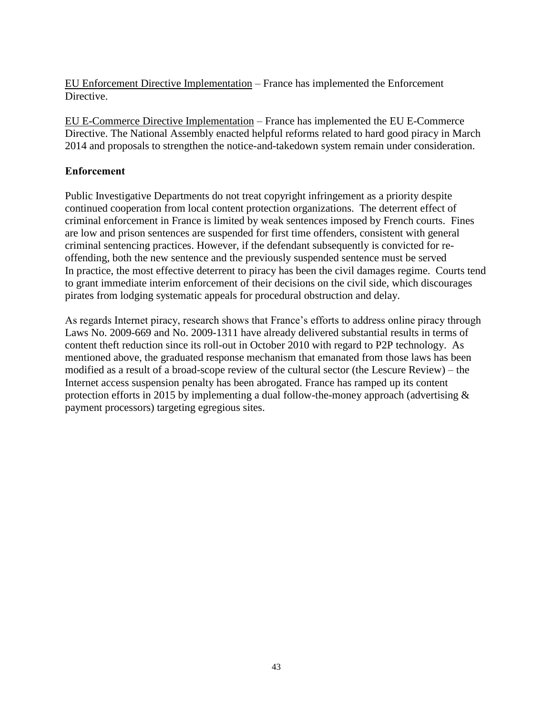EU Enforcement Directive Implementation – France has implemented the Enforcement Directive.

EU E-Commerce Directive Implementation – France has implemented the EU E-Commerce Directive. The National Assembly enacted helpful reforms related to hard good piracy in March 2014 and proposals to strengthen the notice-and-takedown system remain under consideration.

#### **Enforcement**

Public Investigative Departments do not treat copyright infringement as a priority despite continued cooperation from local content protection organizations. The deterrent effect of criminal enforcement in France is limited by weak sentences imposed by French courts. Fines are low and prison sentences are suspended for first time offenders, consistent with general criminal sentencing practices. However, if the defendant subsequently is convicted for reoffending, both the new sentence and the previously suspended sentence must be served In practice, the most effective deterrent to piracy has been the civil damages regime. Courts tend to grant immediate interim enforcement of their decisions on the civil side, which discourages pirates from lodging systematic appeals for procedural obstruction and delay.

As regards Internet piracy, research shows that France's efforts to address online piracy through Laws No. 2009-669 and No. 2009-1311 have already delivered substantial results in terms of content theft reduction since its roll-out in October 2010 with regard to P2P technology. As mentioned above, the graduated response mechanism that emanated from those laws has been modified as a result of a broad-scope review of the cultural sector (the Lescure Review) – the Internet access suspension penalty has been abrogated. France has ramped up its content protection efforts in 2015 by implementing a dual follow-the-money approach (advertising & payment processors) targeting egregious sites.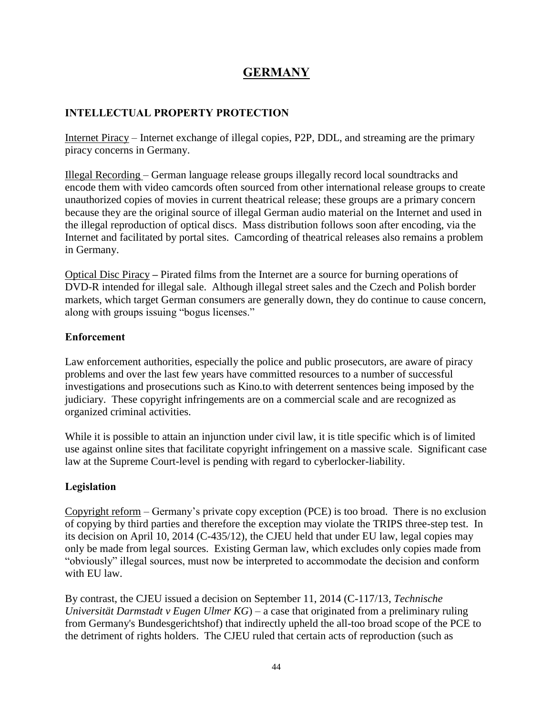# **GERMANY**

#### **INTELLECTUAL PROPERTY PROTECTION**

Internet Piracy – Internet exchange of illegal copies, P2P, DDL, and streaming are the primary piracy concerns in Germany.

Illegal Recording – German language release groups illegally record local soundtracks and encode them with video camcords often sourced from other international release groups to create unauthorized copies of movies in current theatrical release; these groups are a primary concern because they are the original source of illegal German audio material on the Internet and used in the illegal reproduction of optical discs. Mass distribution follows soon after encoding, via the Internet and facilitated by portal sites. Camcording of theatrical releases also remains a problem in Germany.

Optical Disc Piracy **–** Pirated films from the Internet are a source for burning operations of DVD-R intended for illegal sale. Although illegal street sales and the Czech and Polish border markets, which target German consumers are generally down, they do continue to cause concern, along with groups issuing "bogus licenses."

#### **Enforcement**

Law enforcement authorities, especially the police and public prosecutors, are aware of piracy problems and over the last few years have committed resources to a number of successful investigations and prosecutions such as Kino.to with deterrent sentences being imposed by the judiciary. These copyright infringements are on a commercial scale and are recognized as organized criminal activities.

While it is possible to attain an injunction under civil law, it is title specific which is of limited use against online sites that facilitate copyright infringement on a massive scale. Significant case law at the Supreme Court-level is pending with regard to cyberlocker-liability.

#### **Legislation**

Copyright reform – Germany's private copy exception (PCE) is too broad. There is no exclusion of copying by third parties and therefore the exception may violate the TRIPS three-step test. In its decision on April 10, 2014 (C-435/12), the CJEU held that under EU law, legal copies may only be made from legal sources. Existing German law, which excludes only copies made from "obviously" illegal sources, must now be interpreted to accommodate the decision and conform with EU law.

By contrast, the CJEU issued a decision on September 11, 2014 (C-117/13, *Technische Universität Darmstadt v Eugen Ulmer KG*) – a case that originated from a preliminary ruling from Germany's Bundesgerichtshof) that indirectly upheld the all-too broad scope of the PCE to the detriment of rights holders. The CJEU ruled that certain acts of reproduction (such as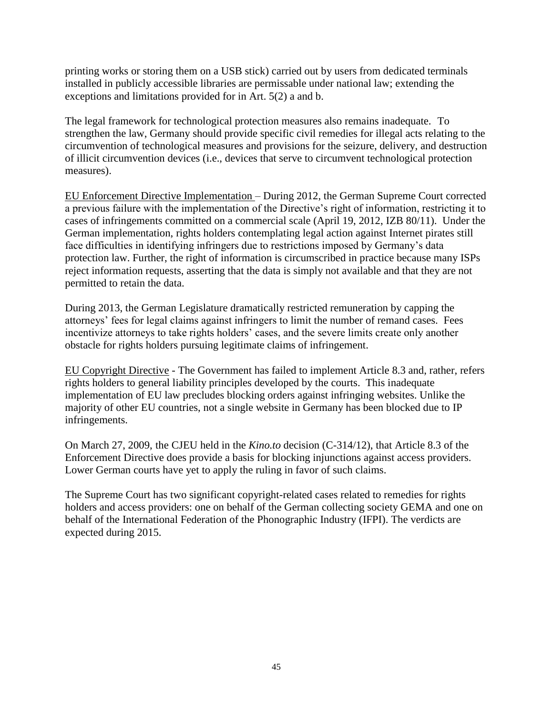printing works or storing them on a USB stick) carried out by users from dedicated terminals installed in publicly accessible libraries are permissable under national law; extending the exceptions and limitations provided for in Art. 5(2) a and b.

The legal framework for technological protection measures also remains inadequate. To strengthen the law, Germany should provide specific civil remedies for illegal acts relating to the circumvention of technological measures and provisions for the seizure, delivery, and destruction of illicit circumvention devices (i.e., devices that serve to circumvent technological protection measures).

EU Enforcement Directive Implementation – During 2012, the German Supreme Court corrected a previous failure with the implementation of the Directive's right of information, restricting it to cases of infringements committed on a commercial scale (April 19, 2012, IZB 80/11). Under the German implementation, rights holders contemplating legal action against Internet pirates still face difficulties in identifying infringers due to restrictions imposed by Germany's data protection law. Further, the right of information is circumscribed in practice because many ISPs reject information requests, asserting that the data is simply not available and that they are not permitted to retain the data.

During 2013, the German Legislature dramatically restricted remuneration by capping the attorneys' fees for legal claims against infringers to limit the number of remand cases. Fees incentivize attorneys to take rights holders' cases, and the severe limits create only another obstacle for rights holders pursuing legitimate claims of infringement.

EU Copyright Directive - The Government has failed to implement Article 8.3 and, rather, refers rights holders to general liability principles developed by the courts. This inadequate implementation of EU law precludes blocking orders against infringing websites. Unlike the majority of other EU countries, not a single website in Germany has been blocked due to IP infringements.

On March 27, 2009, the CJEU held in the *Kino.to* decision (C-314/12), that Article 8.3 of the Enforcement Directive does provide a basis for blocking injunctions against access providers. Lower German courts have yet to apply the ruling in favor of such claims.

The Supreme Court has two significant copyright-related cases related to remedies for rights holders and access providers: one on behalf of the German collecting society GEMA and one on behalf of the International Federation of the Phonographic Industry (IFPI). The verdicts are expected during 2015.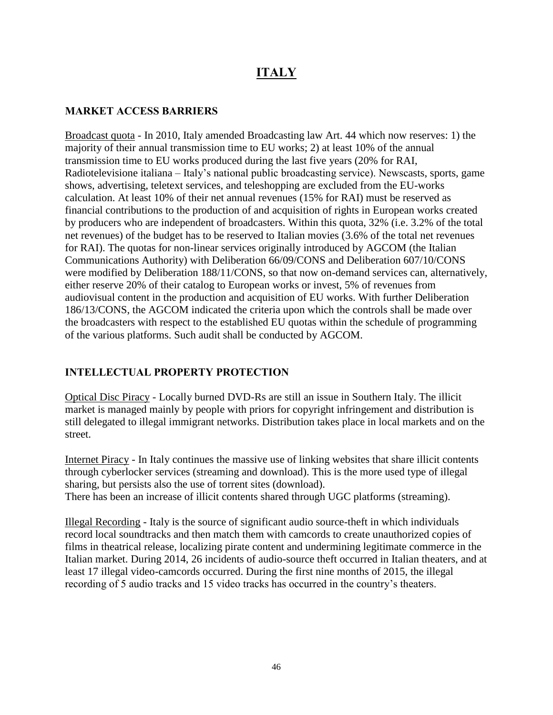# **ITALY**

#### **MARKET ACCESS BARRIERS**

Broadcast quota - In 2010, Italy amended Broadcasting law Art. 44 which now reserves: 1) the majority of their annual transmission time to EU works; 2) at least 10% of the annual transmission time to EU works produced during the last five years (20% for RAI, Radiotelevisione italiana – Italy's national public broadcasting service). Newscasts, sports, game shows, advertising, teletext services, and teleshopping are excluded from the EU-works calculation. At least 10% of their net annual revenues (15% for RAI) must be reserved as financial contributions to the production of and acquisition of rights in European works created by producers who are independent of broadcasters. Within this quota, 32% (i.e. 3.2% of the total net revenues) of the budget has to be reserved to Italian movies (3.6% of the total net revenues for RAI). The quotas for non-linear services originally introduced by AGCOM (the Italian Communications Authority) with Deliberation 66/09/CONS and Deliberation 607/10/CONS were modified by Deliberation 188/11/CONS, so that now on-demand services can, alternatively, either reserve 20% of their catalog to European works or invest, 5% of revenues from audiovisual content in the production and acquisition of EU works. With further Deliberation 186/13/CONS, the AGCOM indicated the criteria upon which the controls shall be made over the broadcasters with respect to the established EU quotas within the schedule of programming of the various platforms. Such audit shall be conducted by AGCOM.

#### **INTELLECTUAL PROPERTY PROTECTION**

Optical Disc Piracy - Locally burned DVD-Rs are still an issue in Southern Italy. The illicit market is managed mainly by people with priors for copyright infringement and distribution is still delegated to illegal immigrant networks. Distribution takes place in local markets and on the street.

Internet Piracy - In Italy continues the massive use of linking websites that share illicit contents through cyberlocker services (streaming and download). This is the more used type of illegal sharing, but persists also the use of torrent sites (download). There has been an increase of illicit contents shared through UGC platforms (streaming).

Illegal Recording - Italy is the source of significant audio source-theft in which individuals record local soundtracks and then match them with camcords to create unauthorized copies of films in theatrical release, localizing pirate content and undermining legitimate commerce in the Italian market. During 2014, 26 incidents of audio-source theft occurred in Italian theaters, and at least 17 illegal video-camcords occurred. During the first nine months of 2015, the illegal recording of 5 audio tracks and 15 video tracks has occurred in the country's theaters.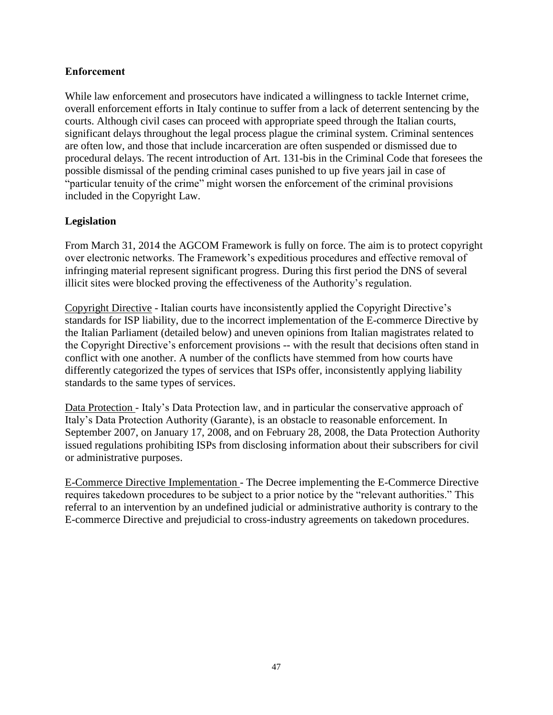#### **Enforcement**

While law enforcement and prosecutors have indicated a willingness to tackle Internet crime, overall enforcement efforts in Italy continue to suffer from a lack of deterrent sentencing by the courts. Although civil cases can proceed with appropriate speed through the Italian courts, significant delays throughout the legal process plague the criminal system. Criminal sentences are often low, and those that include incarceration are often suspended or dismissed due to procedural delays. The recent introduction of Art. 131-bis in the Criminal Code that foresees the possible dismissal of the pending criminal cases punished to up five years jail in case of "particular tenuity of the crime" might worsen the enforcement of the criminal provisions included in the Copyright Law.

### **Legislation**

From March 31, 2014 the AGCOM Framework is fully on force. The aim is to protect copyright over electronic networks. The Framework's expeditious procedures and effective removal of infringing material represent significant progress. During this first period the DNS of several illicit sites were blocked proving the effectiveness of the Authority's regulation.

Copyright Directive - Italian courts have inconsistently applied the Copyright Directive's standards for ISP liability, due to the incorrect implementation of the E-commerce Directive by the Italian Parliament (detailed below) and uneven opinions from Italian magistrates related to the Copyright Directive's enforcement provisions -- with the result that decisions often stand in conflict with one another. A number of the conflicts have stemmed from how courts have differently categorized the types of services that ISPs offer, inconsistently applying liability standards to the same types of services.

Data Protection - Italy's Data Protection law, and in particular the conservative approach of Italy's Data Protection Authority (Garante), is an obstacle to reasonable enforcement. In September 2007, on January 17, 2008, and on February 28, 2008, the Data Protection Authority issued regulations prohibiting ISPs from disclosing information about their subscribers for civil or administrative purposes.

E-Commerce Directive Implementation - The Decree implementing the E-Commerce Directive requires takedown procedures to be subject to a prior notice by the "relevant authorities." This referral to an intervention by an undefined judicial or administrative authority is contrary to the E-commerce Directive and prejudicial to cross-industry agreements on takedown procedures.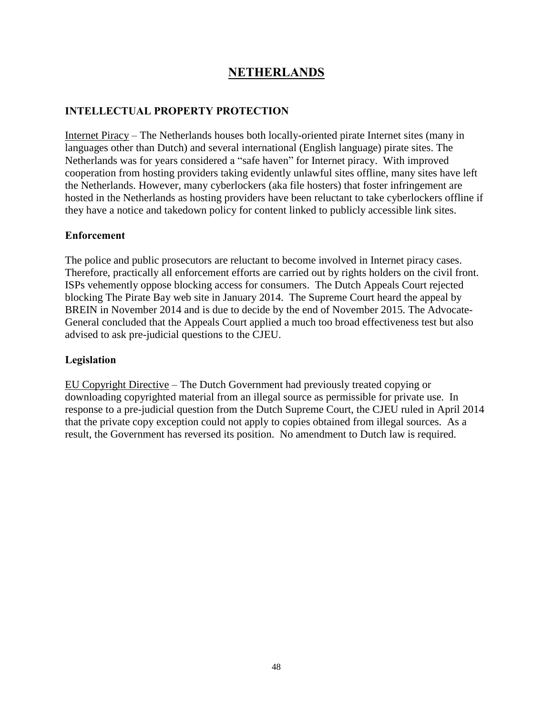# **NETHERLANDS**

#### **INTELLECTUAL PROPERTY PROTECTION**

Internet Piracy – The Netherlands houses both locally-oriented pirate Internet sites (many in languages other than Dutch) and several international (English language) pirate sites. The Netherlands was for years considered a "safe haven" for Internet piracy. With improved cooperation from hosting providers taking evidently unlawful sites offline, many sites have left the Netherlands. However, many cyberlockers (aka file hosters) that foster infringement are hosted in the Netherlands as hosting providers have been reluctant to take cyberlockers offline if they have a notice and takedown policy for content linked to publicly accessible link sites.

#### **Enforcement**

The police and public prosecutors are reluctant to become involved in Internet piracy cases. Therefore, practically all enforcement efforts are carried out by rights holders on the civil front. ISPs vehemently oppose blocking access for consumers. The Dutch Appeals Court rejected blocking The Pirate Bay web site in January 2014. The Supreme Court heard the appeal by BREIN in November 2014 and is due to decide by the end of November 2015. The Advocate-General concluded that the Appeals Court applied a much too broad effectiveness test but also advised to ask pre-judicial questions to the CJEU.

#### **Legislation**

EU Copyright Directive – The Dutch Government had previously treated copying or downloading copyrighted material from an illegal source as permissible for private use. In response to a pre-judicial question from the Dutch Supreme Court, the CJEU ruled in April 2014 that the private copy exception could not apply to copies obtained from illegal sources. As a result, the Government has reversed its position. No amendment to Dutch law is required.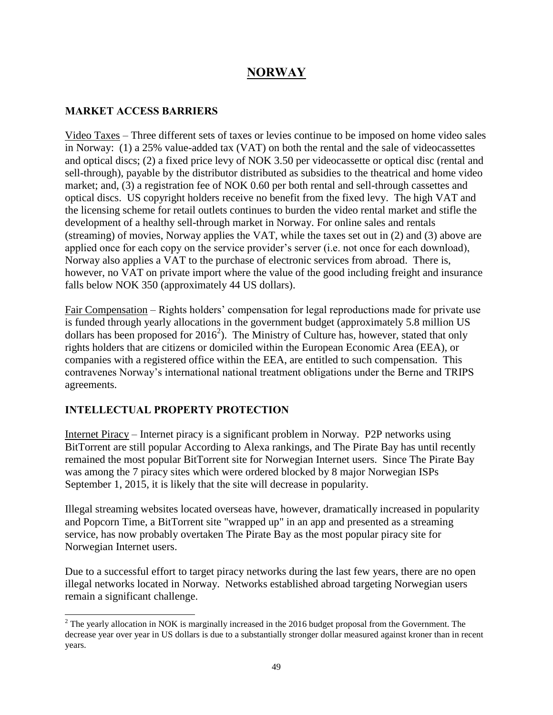# **NORWAY**

#### **MARKET ACCESS BARRIERS**

Video Taxes – Three different sets of taxes or levies continue to be imposed on home video sales in Norway: (1) a 25% value-added tax (VAT) on both the rental and the sale of videocassettes and optical discs; (2) a fixed price levy of NOK 3.50 per videocassette or optical disc (rental and sell-through), payable by the distributor distributed as subsidies to the theatrical and home video market; and, (3) a registration fee of NOK 0.60 per both rental and sell-through cassettes and optical discs. US copyright holders receive no benefit from the fixed levy. The high VAT and the licensing scheme for retail outlets continues to burden the video rental market and stifle the development of a healthy sell-through market in Norway. For online sales and rentals (streaming) of movies, Norway applies the VAT, while the taxes set out in (2) and (3) above are applied once for each copy on the service provider's server (i.e. not once for each download), Norway also applies a VAT to the purchase of electronic services from abroad. There is, however, no VAT on private import where the value of the good including freight and insurance falls below NOK 350 (approximately 44 US dollars).

Fair Compensation – Rights holders' compensation for legal reproductions made for private use is funded through yearly allocations in the government budget (approximately 5.8 million US dollars has been proposed for  $2016^2$ ). The Ministry of Culture has, however, stated that only rights holders that are citizens or domiciled within the European Economic Area (EEA), or companies with a registered office within the EEA, are entitled to such compensation. This contravenes Norway's international national treatment obligations under the Berne and TRIPS agreements.

#### **INTELLECTUAL PROPERTY PROTECTION**

l

Internet Piracy – Internet piracy is a significant problem in Norway. P2P networks using BitTorrent are still popular According to Alexa rankings, and The Pirate Bay has until recently remained the most popular BitTorrent site for Norwegian Internet users. Since The Pirate Bay was among the 7 piracy sites which were ordered blocked by 8 major Norwegian ISPs September 1, 2015, it is likely that the site will decrease in popularity.

Illegal streaming websites located overseas have, however, dramatically increased in popularity and Popcorn Time, a BitTorrent site "wrapped up" in an app and presented as a streaming service, has now probably overtaken The Pirate Bay as the most popular piracy site for Norwegian Internet users.

Due to a successful effort to target piracy networks during the last few years, there are no open illegal networks located in Norway. Networks established abroad targeting Norwegian users remain a significant challenge.

 $2^2$  The yearly allocation in NOK is marginally increased in the 2016 budget proposal from the Government. The decrease year over year in US dollars is due to a substantially stronger dollar measured against kroner than in recent years.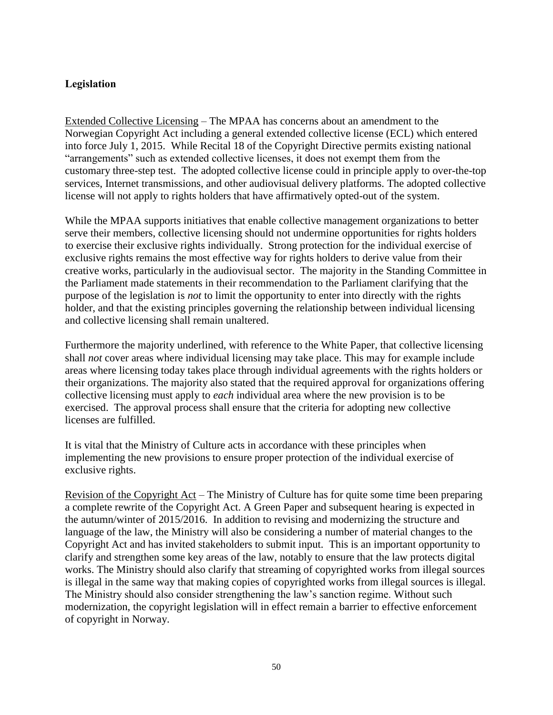#### **Legislation**

Extended Collective Licensing – The MPAA has concerns about an amendment to the Norwegian Copyright Act including a general extended collective license (ECL) which entered into force July 1, 2015. While Recital 18 of the Copyright Directive permits existing national "arrangements" such as extended collective licenses, it does not exempt them from the customary three-step test. The adopted collective license could in principle apply to over-the-top services, Internet transmissions, and other audiovisual delivery platforms. The adopted collective license will not apply to rights holders that have affirmatively opted-out of the system.

While the MPAA supports initiatives that enable collective management organizations to better serve their members, collective licensing should not undermine opportunities for rights holders to exercise their exclusive rights individually. Strong protection for the individual exercise of exclusive rights remains the most effective way for rights holders to derive value from their creative works, particularly in the audiovisual sector. The majority in the Standing Committee in the Parliament made statements in their recommendation to the Parliament clarifying that the purpose of the legislation is *not* to limit the opportunity to enter into directly with the rights holder, and that the existing principles governing the relationship between individual licensing and collective licensing shall remain unaltered.

Furthermore the majority underlined, with reference to the White Paper, that collective licensing shall *not* cover areas where individual licensing may take place. This may for example include areas where licensing today takes place through individual agreements with the rights holders or their organizations. The majority also stated that the required approval for organizations offering collective licensing must apply to *each* individual area where the new provision is to be exercised. The approval process shall ensure that the criteria for adopting new collective licenses are fulfilled.

It is vital that the Ministry of Culture acts in accordance with these principles when implementing the new provisions to ensure proper protection of the individual exercise of exclusive rights.

Revision of the Copyright Act – The Ministry of Culture has for quite some time been preparing a complete rewrite of the Copyright Act. A Green Paper and subsequent hearing is expected in the autumn/winter of 2015/2016. In addition to revising and modernizing the structure and language of the law, the Ministry will also be considering a number of material changes to the Copyright Act and has invited stakeholders to submit input. This is an important opportunity to clarify and strengthen some key areas of the law, notably to ensure that the law protects digital works. The Ministry should also clarify that streaming of copyrighted works from illegal sources is illegal in the same way that making copies of copyrighted works from illegal sources is illegal. The Ministry should also consider strengthening the law's sanction regime. Without such modernization, the copyright legislation will in effect remain a barrier to effective enforcement of copyright in Norway.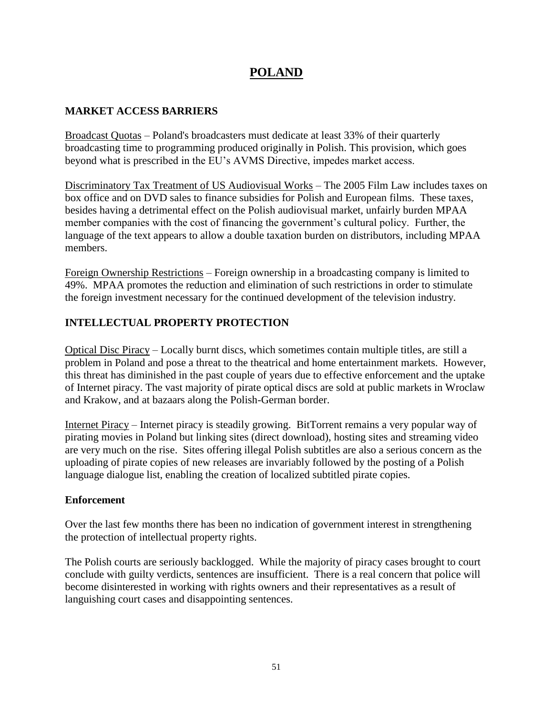## **POLAND**

#### **MARKET ACCESS BARRIERS**

Broadcast Quotas – Poland's broadcasters must dedicate at least 33% of their quarterly broadcasting time to programming produced originally in Polish. This provision, which goes beyond what is prescribed in the EU's AVMS Directive, impedes market access.

Discriminatory Tax Treatment of US Audiovisual Works – The 2005 Film Law includes taxes on box office and on DVD sales to finance subsidies for Polish and European films. These taxes, besides having a detrimental effect on the Polish audiovisual market, unfairly burden MPAA member companies with the cost of financing the government's cultural policy. Further, the language of the text appears to allow a double taxation burden on distributors, including MPAA members.

Foreign Ownership Restrictions – Foreign ownership in a broadcasting company is limited to 49%. MPAA promotes the reduction and elimination of such restrictions in order to stimulate the foreign investment necessary for the continued development of the television industry.

### **INTELLECTUAL PROPERTY PROTECTION**

Optical Disc Piracy – Locally burnt discs, which sometimes contain multiple titles, are still a problem in Poland and pose a threat to the theatrical and home entertainment markets. However, this threat has diminished in the past couple of years due to effective enforcement and the uptake of Internet piracy. The vast majority of pirate optical discs are sold at public markets in Wroclaw and Krakow, and at bazaars along the Polish-German border.

Internet Piracy – Internet piracy is steadily growing. BitTorrent remains a very popular way of pirating movies in Poland but linking sites (direct download), hosting sites and streaming video are very much on the rise. Sites offering illegal Polish subtitles are also a serious concern as the uploading of pirate copies of new releases are invariably followed by the posting of a Polish language dialogue list, enabling the creation of localized subtitled pirate copies.

#### **Enforcement**

Over the last few months there has been no indication of government interest in strengthening the protection of intellectual property rights.

The Polish courts are seriously backlogged. While the majority of piracy cases brought to court conclude with guilty verdicts, sentences are insufficient. There is a real concern that police will become disinterested in working with rights owners and their representatives as a result of languishing court cases and disappointing sentences.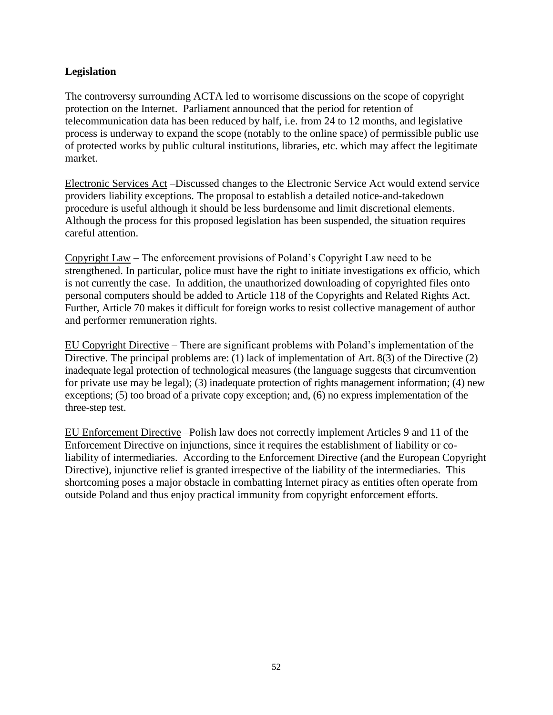#### **Legislation**

The controversy surrounding ACTA led to worrisome discussions on the scope of copyright protection on the Internet. Parliament announced that the period for retention of telecommunication data has been reduced by half, i.e. from 24 to 12 months, and legislative process is underway to expand the scope (notably to the online space) of permissible public use of protected works by public cultural institutions, libraries, etc. which may affect the legitimate market.

Electronic Services Act –Discussed changes to the Electronic Service Act would extend service providers liability exceptions. The proposal to establish a detailed notice-and-takedown procedure is useful although it should be less burdensome and limit discretional elements. Although the process for this proposed legislation has been suspended, the situation requires careful attention.

Copyright Law – The enforcement provisions of Poland's Copyright Law need to be strengthened. In particular, police must have the right to initiate investigations ex officio, which is not currently the case. In addition, the unauthorized downloading of copyrighted files onto personal computers should be added to Article 118 of the Copyrights and Related Rights Act. Further, Article 70 makes it difficult for foreign works to resist collective management of author and performer remuneration rights.

EU Copyright Directive – There are significant problems with Poland's implementation of the Directive. The principal problems are: (1) lack of implementation of Art. 8(3) of the Directive (2) inadequate legal protection of technological measures (the language suggests that circumvention for private use may be legal); (3) inadequate protection of rights management information; (4) new exceptions; (5) too broad of a private copy exception; and, (6) no express implementation of the three-step test.

EU Enforcement Directive –Polish law does not correctly implement Articles 9 and 11 of the Enforcement Directive on injunctions, since it requires the establishment of liability or coliability of intermediaries. According to the Enforcement Directive (and the European Copyright Directive), injunctive relief is granted irrespective of the liability of the intermediaries. This shortcoming poses a major obstacle in combatting Internet piracy as entities often operate from outside Poland and thus enjoy practical immunity from copyright enforcement efforts.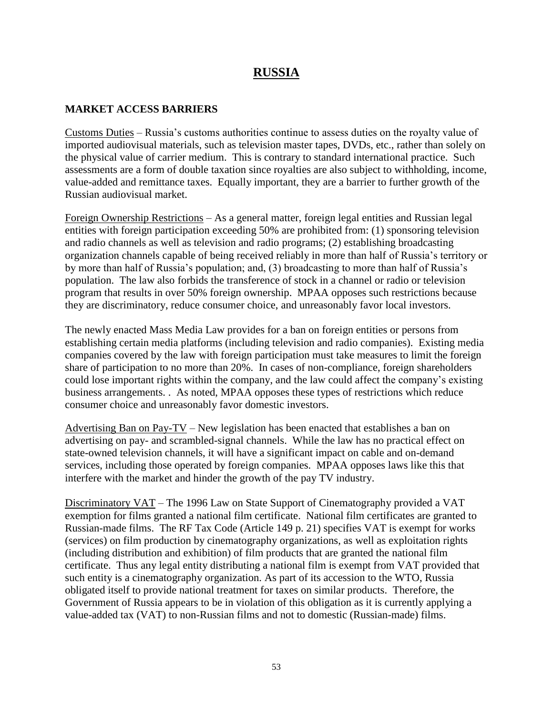## **RUSSIA**

#### **MARKET ACCESS BARRIERS**

Customs Duties – Russia's customs authorities continue to assess duties on the royalty value of imported audiovisual materials, such as television master tapes, DVDs, etc., rather than solely on the physical value of carrier medium. This is contrary to standard international practice. Such assessments are a form of double taxation since royalties are also subject to withholding, income, value-added and remittance taxes. Equally important, they are a barrier to further growth of the Russian audiovisual market.

Foreign Ownership Restrictions – As a general matter, foreign legal entities and Russian legal entities with foreign participation exceeding 50% are prohibited from: (1) sponsoring television and radio channels as well as television and radio programs; (2) establishing broadcasting organization channels capable of being received reliably in more than half of Russia's territory or by more than half of Russia's population; and, (3) broadcasting to more than half of Russia's population. The law also forbids the transference of stock in a channel or radio or television program that results in over 50% foreign ownership. MPAA opposes such restrictions because they are discriminatory, reduce consumer choice, and unreasonably favor local investors.

The newly enacted Mass Media Law provides for a ban on foreign entities or persons from establishing certain media platforms (including television and radio companies). Existing media companies covered by the law with foreign participation must take measures to limit the foreign share of participation to no more than 20%. In cases of non-compliance, foreign shareholders could lose important rights within the company, and the law could affect the company's existing business arrangements. . As noted, MPAA opposes these types of restrictions which reduce consumer choice and unreasonably favor domestic investors.

Advertising Ban on Pay-TV – New legislation has been enacted that establishes a ban on advertising on pay- and scrambled-signal channels. While the law has no practical effect on state-owned television channels, it will have a significant impact on cable and on-demand services, including those operated by foreign companies. MPAA opposes laws like this that interfere with the market and hinder the growth of the pay TV industry.

Discriminatory VAT – The 1996 Law on State Support of Cinematography provided a VAT exemption for films granted a national film certificate. National film certificates are granted to Russian-made films. The RF Tax Code (Article 149 p. 21) specifies VAT is exempt for works (services) on film production by cinematography organizations, as well as exploitation rights (including distribution and exhibition) of film products that are granted the national film certificate. Thus any legal entity distributing a national film is exempt from VAT provided that such entity is a cinematography organization. As part of its accession to the WTO, Russia obligated itself to provide national treatment for taxes on similar products. Therefore, the Government of Russia appears to be in violation of this obligation as it is currently applying a value-added tax (VAT) to non-Russian films and not to domestic (Russian-made) films.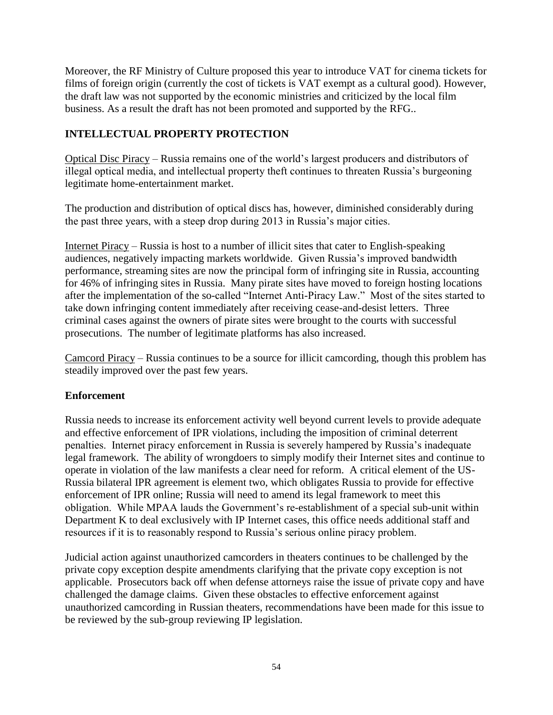Moreover, the RF Ministry of Culture proposed this year to introduce VAT for cinema tickets for films of foreign origin (currently the cost of tickets is VAT exempt as a cultural good). However, the draft law was not supported by the economic ministries and criticized by the local film business. As a result the draft has not been promoted and supported by the RFG..

## **INTELLECTUAL PROPERTY PROTECTION**

Optical Disc Piracy – Russia remains one of the world's largest producers and distributors of illegal optical media, and intellectual property theft continues to threaten Russia's burgeoning legitimate home-entertainment market.

The production and distribution of optical discs has, however, diminished considerably during the past three years, with a steep drop during 2013 in Russia's major cities.

Internet Piracy – Russia is host to a number of illicit sites that cater to English-speaking audiences, negatively impacting markets worldwide. Given Russia's improved bandwidth performance, streaming sites are now the principal form of infringing site in Russia, accounting for 46% of infringing sites in Russia. Many pirate sites have moved to foreign hosting locations after the implementation of the so-called "Internet Anti-Piracy Law." Most of the sites started to take down infringing content immediately after receiving cease-and-desist letters. Three criminal cases against the owners of pirate sites were brought to the courts with successful prosecutions. The number of legitimate platforms has also increased.

Camcord Piracy – Russia continues to be a source for illicit camcording, though this problem has steadily improved over the past few years.

#### **Enforcement**

Russia needs to increase its enforcement activity well beyond current levels to provide adequate and effective enforcement of IPR violations, including the imposition of criminal deterrent penalties. Internet piracy enforcement in Russia is severely hampered by Russia's inadequate legal framework. The ability of wrongdoers to simply modify their Internet sites and continue to operate in violation of the law manifests a clear need for reform. A critical element of the US-Russia bilateral IPR agreement is element two, which obligates Russia to provide for effective enforcement of IPR online; Russia will need to amend its legal framework to meet this obligation. While MPAA lauds the Government's re-establishment of a special sub-unit within Department K to deal exclusively with IP Internet cases, this office needs additional staff and resources if it is to reasonably respond to Russia's serious online piracy problem.

Judicial action against unauthorized camcorders in theaters continues to be challenged by the private copy exception despite amendments clarifying that the private copy exception is not applicable. Prosecutors back off when defense attorneys raise the issue of private copy and have challenged the damage claims. Given these obstacles to effective enforcement against unauthorized camcording in Russian theaters, recommendations have been made for this issue to be reviewed by the sub-group reviewing IP legislation.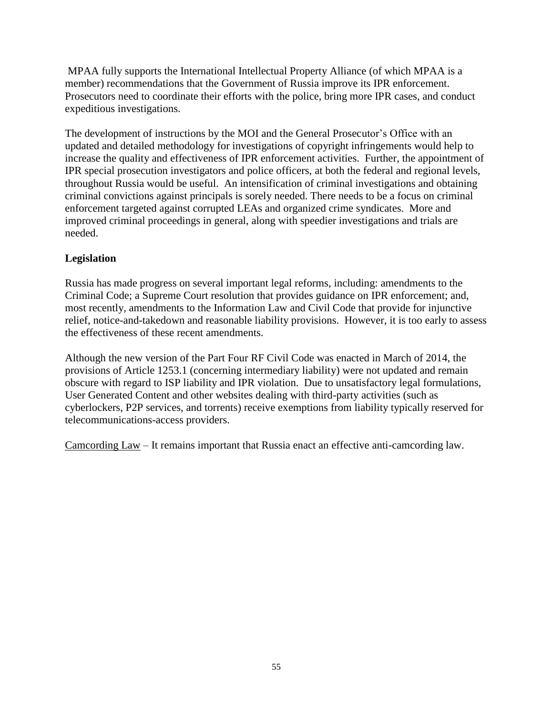MPAA fully supports the International Intellectual Property Alliance (of which MPAA is a member) recommendations that the Government of Russia improve its IPR enforcement. Prosecutors need to coordinate their efforts with the police, bring more IPR cases, and conduct expeditious investigations.

The development of instructions by the MOI and the General Prosecutor's Office with an updated and detailed methodology for investigations of copyright infringements would help to increase the quality and effectiveness of IPR enforcement activities. Further, the appointment of IPR special prosecution investigators and police officers, at both the federal and regional levels, throughout Russia would be useful. An intensification of criminal investigations and obtaining criminal convictions against principals is sorely needed. There needs to be a focus on criminal enforcement targeted against corrupted LEAs and organized crime syndicates. More and improved criminal proceedings in general, along with speedier investigations and trials are needed.

### **Legislation**

Russia has made progress on several important legal reforms, including: amendments to the Criminal Code; a Supreme Court resolution that provides guidance on IPR enforcement; and, most recently, amendments to the Information Law and Civil Code that provide for injunctive relief, notice-and-takedown and reasonable liability provisions. However, it is too early to assess the effectiveness of these recent amendments.

Although the new version of the Part Four RF Civil Code was enacted in March of 2014, the provisions of Article 1253.1 (concerning intermediary liability) were not updated and remain obscure with regard to ISP liability and IPR violation. Due to unsatisfactory legal formulations, User Generated Content and other websites dealing with third-party activities (such as cyberlockers, P2P services, and torrents) receive exemptions from liability typically reserved for telecommunications-access providers.

Camcording Law – It remains important that Russia enact an effective anti-camcording law.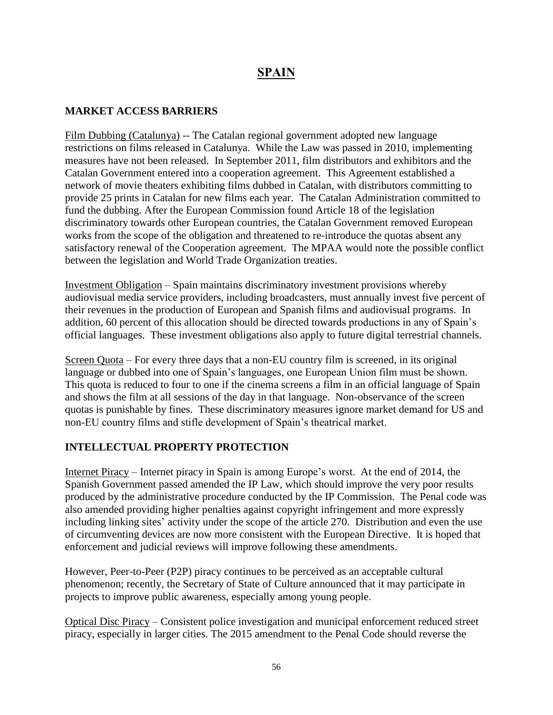# **SPAIN**

#### **MARKET ACCESS BARRIERS**

Film Dubbing (Catalunya) -- The Catalan regional government adopted new language restrictions on films released in Catalunya. While the Law was passed in 2010, implementing measures have not been released. In September 2011, film distributors and exhibitors and the Catalan Government entered into a cooperation agreement. This Agreement established a network of movie theaters exhibiting films dubbed in Catalan, with distributors committing to provide 25 prints in Catalan for new films each year. The Catalan Administration committed to fund the dubbing. After the European Commission found Article 18 of the legislation discriminatory towards other European countries, the Catalan Government removed European works from the scope of the obligation and threatened to re-introduce the quotas absent any satisfactory renewal of the Cooperation agreement. The MPAA would note the possible conflict between the legislation and World Trade Organization treaties.

Investment Obligation – Spain maintains discriminatory investment provisions whereby audiovisual media service providers, including broadcasters, must annually invest five percent of their revenues in the production of European and Spanish films and audiovisual programs. In addition, 60 percent of this allocation should be directed towards productions in any of Spain's official languages. These investment obligations also apply to future digital terrestrial channels.

Screen Quota – For every three days that a non-EU country film is screened, in its original language or dubbed into one of Spain's languages, one European Union film must be shown. This quota is reduced to four to one if the cinema screens a film in an official language of Spain and shows the film at all sessions of the day in that language. Non-observance of the screen quotas is punishable by fines. These discriminatory measures ignore market demand for US and non-EU country films and stifle development of Spain's theatrical market.

#### **INTELLECTUAL PROPERTY PROTECTION**

Internet Piracy – Internet piracy in Spain is among Europe's worst. At the end of 2014, the Spanish Government passed amended the IP Law, which should improve the very poor results produced by the administrative procedure conducted by the IP Commission. The Penal code was also amended providing higher penalties against copyright infringement and more expressly including linking sites' activity under the scope of the article 270. Distribution and even the use of circumventing devices are now more consistent with the European Directive. It is hoped that enforcement and judicial reviews will improve following these amendments.

However, Peer-to-Peer (P2P) piracy continues to be perceived as an acceptable cultural phenomenon; recently, the Secretary of State of Culture announced that it may participate in projects to improve public awareness, especially among young people.

Optical Disc Piracy – Consistent police investigation and municipal enforcement reduced street piracy, especially in larger cities. The 2015 amendment to the Penal Code should reverse the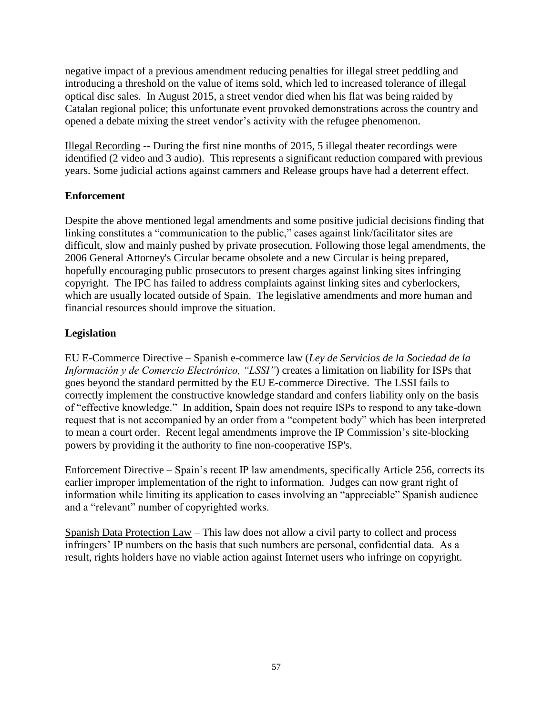negative impact of a previous amendment reducing penalties for illegal street peddling and introducing a threshold on the value of items sold, which led to increased tolerance of illegal optical disc sales. In August 2015, a street vendor died when his flat was being raided by Catalan regional police; this unfortunate event provoked demonstrations across the country and opened a debate mixing the street vendor's activity with the refugee phenomenon.

Illegal Recording -- During the first nine months of 2015, 5 illegal theater recordings were identified (2 video and 3 audio). This represents a significant reduction compared with previous years. Some judicial actions against cammers and Release groups have had a deterrent effect.

### **Enforcement**

Despite the above mentioned legal amendments and some positive judicial decisions finding that linking constitutes a "communication to the public," cases against link/facilitator sites are difficult, slow and mainly pushed by private prosecution. Following those legal amendments, the 2006 General Attorney's Circular became obsolete and a new Circular is being prepared, hopefully encouraging public prosecutors to present charges against linking sites infringing copyright. The IPC has failed to address complaints against linking sites and cyberlockers, which are usually located outside of Spain. The legislative amendments and more human and financial resources should improve the situation.

## **Legislation**

EU E-Commerce Directive – Spanish e-commerce law (*Ley de Servicios de la Sociedad de la Información y de Comercio Electrónico, "LSSI"*) creates a limitation on liability for ISPs that goes beyond the standard permitted by the EU E-commerce Directive. The LSSI fails to correctly implement the constructive knowledge standard and confers liability only on the basis of "effective knowledge." In addition, Spain does not require ISPs to respond to any take-down request that is not accompanied by an order from a "competent body" which has been interpreted to mean a court order. Recent legal amendments improve the IP Commission's site-blocking powers by providing it the authority to fine non-cooperative ISP's.

Enforcement Directive – Spain's recent IP law amendments, specifically Article 256, corrects its earlier improper implementation of the right to information. Judges can now grant right of information while limiting its application to cases involving an "appreciable" Spanish audience and a "relevant" number of copyrighted works.

Spanish Data Protection Law – This law does not allow a civil party to collect and process infringers' IP numbers on the basis that such numbers are personal, confidential data. As a result, rights holders have no viable action against Internet users who infringe on copyright.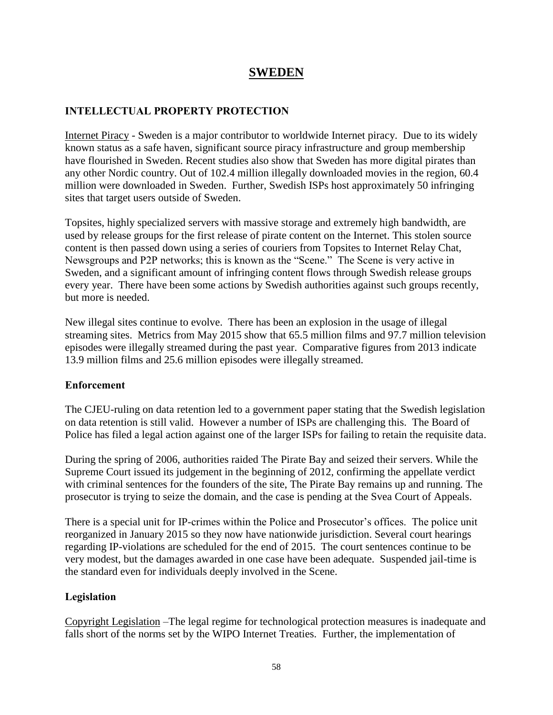## **SWEDEN**

#### **INTELLECTUAL PROPERTY PROTECTION**

Internet Piracy - Sweden is a major contributor to worldwide Internet piracy. Due to its widely known status as a safe haven, significant source piracy infrastructure and group membership have flourished in Sweden. Recent studies also show that Sweden has more digital pirates than any other Nordic country. Out of 102.4 million illegally downloaded movies in the region, 60.4 million were downloaded in Sweden. Further, Swedish ISPs host approximately 50 infringing sites that target users outside of Sweden.

Topsites, highly specialized servers with massive storage and extremely high bandwidth, are used by release groups for the first release of pirate content on the Internet. This stolen source content is then passed down using a series of couriers from Topsites to Internet Relay Chat, Newsgroups and P2P networks; this is known as the "Scene." The Scene is very active in Sweden, and a significant amount of infringing content flows through Swedish release groups every year. There have been some actions by Swedish authorities against such groups recently, but more is needed.

New illegal sites continue to evolve. There has been an explosion in the usage of illegal streaming sites. Metrics from May 2015 show that 65.5 million films and 97.7 million television episodes were illegally streamed during the past year. Comparative figures from 2013 indicate 13.9 million films and 25.6 million episodes were illegally streamed.

#### **Enforcement**

The CJEU-ruling on data retention led to a government paper stating that the Swedish legislation on data retention is still valid. However a number of ISPs are challenging this. The Board of Police has filed a legal action against one of the larger ISPs for failing to retain the requisite data.

During the spring of 2006, authorities raided The Pirate Bay and seized their servers. While the Supreme Court issued its judgement in the beginning of 2012, confirming the appellate verdict with criminal sentences for the founders of the site, The Pirate Bay remains up and running. The prosecutor is trying to seize the domain, and the case is pending at the Svea Court of Appeals.

There is a special unit for IP-crimes within the Police and Prosecutor's offices. The police unit reorganized in January 2015 so they now have nationwide jurisdiction. Several court hearings regarding IP-violations are scheduled for the end of 2015. The court sentences continue to be very modest, but the damages awarded in one case have been adequate. Suspended jail-time is the standard even for individuals deeply involved in the Scene.

#### **Legislation**

Copyright Legislation –The legal regime for technological protection measures is inadequate and falls short of the norms set by the WIPO Internet Treaties. Further, the implementation of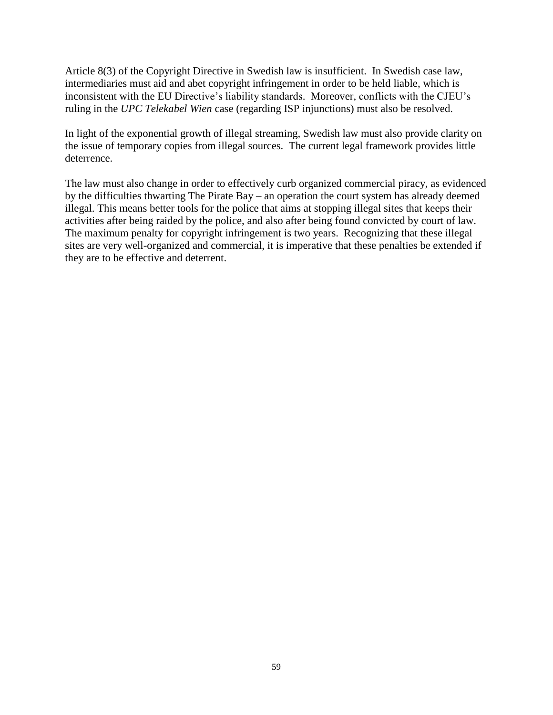Article 8(3) of the Copyright Directive in Swedish law is insufficient. In Swedish case law, intermediaries must aid and abet copyright infringement in order to be held liable, which is inconsistent with the EU Directive's liability standards. Moreover, conflicts with the CJEU's ruling in the *UPC Telekabel Wien* case (regarding ISP injunctions) must also be resolved.

In light of the exponential growth of illegal streaming, Swedish law must also provide clarity on the issue of temporary copies from illegal sources. The current legal framework provides little deterrence.

The law must also change in order to effectively curb organized commercial piracy, as evidenced by the difficulties thwarting The Pirate Bay – an operation the court system has already deemed illegal. This means better tools for the police that aims at stopping illegal sites that keeps their activities after being raided by the police, and also after being found convicted by court of law. The maximum penalty for copyright infringement is two years. Recognizing that these illegal sites are very well-organized and commercial, it is imperative that these penalties be extended if they are to be effective and deterrent.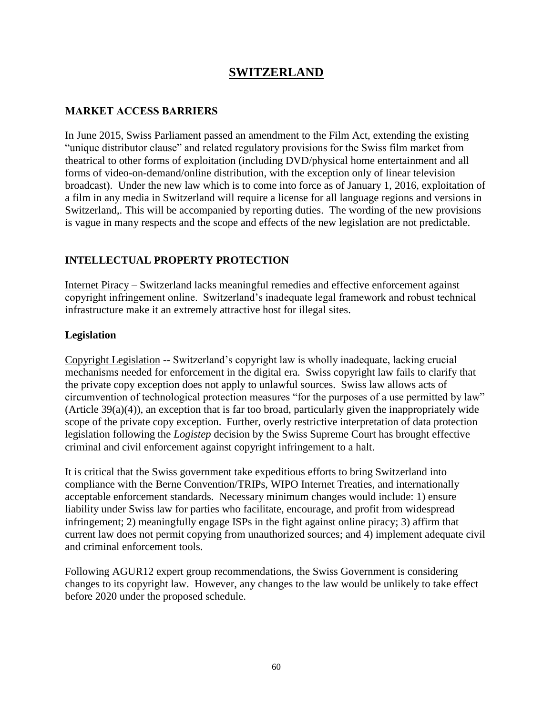## **SWITZERLAND**

#### **MARKET ACCESS BARRIERS**

In June 2015, Swiss Parliament passed an amendment to the Film Act, extending the existing "unique distributor clause" and related regulatory provisions for the Swiss film market from theatrical to other forms of exploitation (including DVD/physical home entertainment and all forms of video-on-demand/online distribution, with the exception only of linear television broadcast). Under the new law which is to come into force as of January 1, 2016, exploitation of a film in any media in Switzerland will require a license for all language regions and versions in Switzerland,. This will be accompanied by reporting duties. The wording of the new provisions is vague in many respects and the scope and effects of the new legislation are not predictable.

#### **INTELLECTUAL PROPERTY PROTECTION**

Internet Piracy – Switzerland lacks meaningful remedies and effective enforcement against copyright infringement online. Switzerland's inadequate legal framework and robust technical infrastructure make it an extremely attractive host for illegal sites.

#### **Legislation**

Copyright Legislation -- Switzerland's copyright law is wholly inadequate, lacking crucial mechanisms needed for enforcement in the digital era. Swiss copyright law fails to clarify that the private copy exception does not apply to unlawful sources. Swiss law allows acts of circumvention of technological protection measures "for the purposes of a use permitted by law" (Article 39(a)(4)), an exception that is far too broad, particularly given the inappropriately wide scope of the private copy exception. Further, overly restrictive interpretation of data protection legislation following the *Logistep* decision by the Swiss Supreme Court has brought effective criminal and civil enforcement against copyright infringement to a halt.

It is critical that the Swiss government take expeditious efforts to bring Switzerland into compliance with the Berne Convention/TRIPs, WIPO Internet Treaties, and internationally acceptable enforcement standards. Necessary minimum changes would include: 1) ensure liability under Swiss law for parties who facilitate, encourage, and profit from widespread infringement; 2) meaningfully engage ISPs in the fight against online piracy; 3) affirm that current law does not permit copying from unauthorized sources; and 4) implement adequate civil and criminal enforcement tools.

Following AGUR12 expert group recommendations, the Swiss Government is considering changes to its copyright law. However, any changes to the law would be unlikely to take effect before 2020 under the proposed schedule.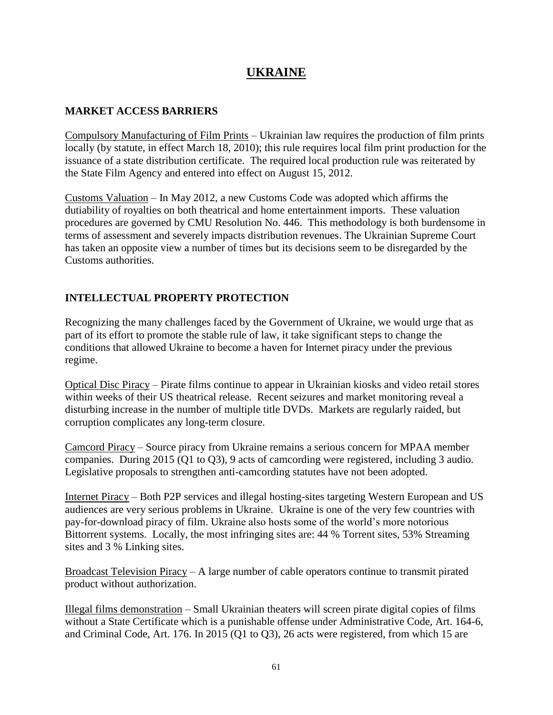# **UKRAINE**

#### **MARKET ACCESS BARRIERS**

Compulsory Manufacturing of Film Prints – Ukrainian law requires the production of film prints locally (by statute, in effect March 18, 2010); this rule requires local film print production for the issuance of a state distribution certificate. The required local production rule was reiterated by the State Film Agency and entered into effect on August 15, 2012.

Customs Valuation – In May 2012, a new Customs Code was adopted which affirms the dutiability of royalties on both theatrical and home entertainment imports. These valuation procedures are governed by CMU Resolution No. 446. This methodology is both burdensome in terms of assessment and severely impacts distribution revenues. The Ukrainian Supreme Court has taken an opposite view a number of times but its decisions seem to be disregarded by the Customs authorities.

## **INTELLECTUAL PROPERTY PROTECTION**

Recognizing the many challenges faced by the Government of Ukraine, we would urge that as part of its effort to promote the stable rule of law, it take significant steps to change the conditions that allowed Ukraine to become a haven for Internet piracy under the previous regime.

Optical Disc Piracy – Pirate films continue to appear in Ukrainian kiosks and video retail stores within weeks of their US theatrical release. Recent seizures and market monitoring reveal a disturbing increase in the number of multiple title DVDs. Markets are regularly raided, but corruption complicates any long-term closure.

Camcord Piracy – Source piracy from Ukraine remains a serious concern for MPAA member companies. During 2015 (Q1 to Q3), 9 acts of camcording were registered, including 3 audio. Legislative proposals to strengthen anti-camcording statutes have not been adopted.

Internet Piracy – Both P2P services and illegal hosting-sites targeting Western European and US audiences are very serious problems in Ukraine. Ukraine is one of the very few countries with pay-for-download piracy of film. Ukraine also hosts some of the world's more notorious Bittorrent systems. Locally, the most infringing sites are: 44 % Torrent sites, 53% Streaming sites and 3 % Linking sites.

Broadcast Television Piracy – A large number of cable operators continue to transmit pirated product without authorization.

Illegal films demonstration – Small Ukrainian theaters will screen pirate digital copies of films without a State Certificate which is a punishable offense under Administrative Code, Art. 164-6, and Criminal Code, Art. 176. In 2015 (Q1 to Q3), 26 acts were registered, from which 15 are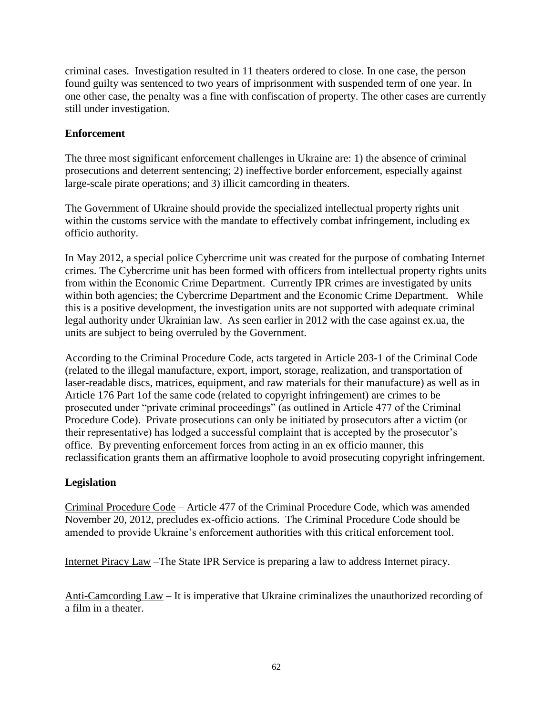criminal cases. Investigation resulted in 11 theaters ordered to close. In one case, the person found guilty was sentenced to two years of imprisonment with suspended term of one year. In one other case, the penalty was a fine with confiscation of property. The other cases are currently still under investigation.

#### **Enforcement**

The three most significant enforcement challenges in Ukraine are: 1) the absence of criminal prosecutions and deterrent sentencing; 2) ineffective border enforcement, especially against large-scale pirate operations; and 3) illicit camcording in theaters.

The Government of Ukraine should provide the specialized intellectual property rights unit within the customs service with the mandate to effectively combat infringement, including ex officio authority.

In May 2012, a special police Cybercrime unit was created for the purpose of combating Internet crimes. The Cybercrime unit has been formed with officers from intellectual property rights units from within the Economic Crime Department. Currently IPR crimes are investigated by units within both agencies; the Cybercrime Department and the Economic Crime Department. While this is a positive development, the investigation units are not supported with adequate criminal legal authority under Ukrainian law. As seen earlier in 2012 with the case against ex.ua, the units are subject to being overruled by the Government.

According to the Criminal Procedure Code, acts targeted in Article 203-1 of the Criminal Code (related to the illegal manufacture, export, import, storage, realization, and transportation of laser-readable discs, matrices, equipment, and raw materials for their manufacture) as well as in Article 176 Part 1of the same code (related to copyright infringement) are crimes to be prosecuted under "private criminal proceedings" (as outlined in Article 477 of the Criminal Procedure Code). Private prosecutions can only be initiated by prosecutors after a victim (or their representative) has lodged a successful complaint that is accepted by the prosecutor's office. By preventing enforcement forces from acting in an ex officio manner, this reclassification grants them an affirmative loophole to avoid prosecuting copyright infringement.

#### **Legislation**

Criminal Procedure Code – Article 477 of the Criminal Procedure Code, which was amended November 20, 2012, precludes ex-officio actions. The Criminal Procedure Code should be amended to provide Ukraine's enforcement authorities with this critical enforcement tool.

Internet Piracy Law –The State IPR Service is preparing a law to address Internet piracy.

Anti-Camcording Law – It is imperative that Ukraine criminalizes the unauthorized recording of a film in a theater.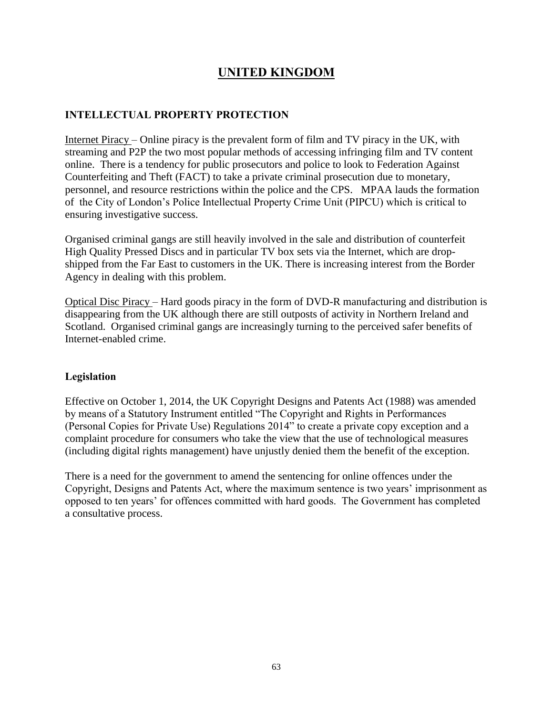# **UNITED KINGDOM**

### **INTELLECTUAL PROPERTY PROTECTION**

Internet Piracy – Online piracy is the prevalent form of film and TV piracy in the UK, with streaming and P2P the two most popular methods of accessing infringing film and TV content online. There is a tendency for public prosecutors and police to look to Federation Against Counterfeiting and Theft (FACT) to take a private criminal prosecution due to monetary, personnel, and resource restrictions within the police and the CPS. MPAA lauds the formation of the City of London's Police Intellectual Property Crime Unit (PIPCU) which is critical to ensuring investigative success.

Organised criminal gangs are still heavily involved in the sale and distribution of counterfeit High Quality Pressed Discs and in particular TV box sets via the Internet, which are dropshipped from the Far East to customers in the UK. There is increasing interest from the Border Agency in dealing with this problem.

Optical Disc Piracy – Hard goods piracy in the form of DVD-R manufacturing and distribution is disappearing from the UK although there are still outposts of activity in Northern Ireland and Scotland. Organised criminal gangs are increasingly turning to the perceived safer benefits of Internet-enabled crime.

#### **Legislation**

Effective on October 1, 2014, the UK Copyright Designs and Patents Act (1988) was amended by means of a Statutory Instrument entitled "The Copyright and Rights in Performances (Personal Copies for Private Use) Regulations 2014" to create a private copy exception and a complaint procedure for consumers who take the view that the use of technological measures (including digital rights management) have unjustly denied them the benefit of the exception.

There is a need for the government to amend the sentencing for online offences under the Copyright, Designs and Patents Act, where the maximum sentence is two years' imprisonment as opposed to ten years' for offences committed with hard goods. The Government has completed a consultative process.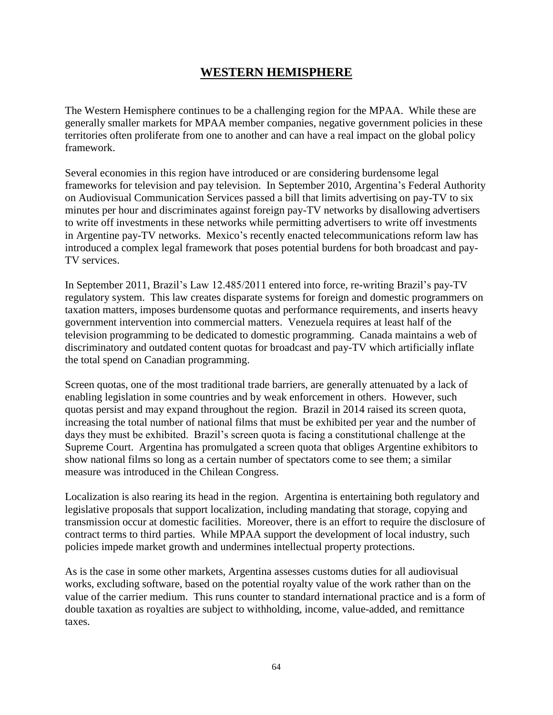## **WESTERN HEMISPHERE**

The Western Hemisphere continues to be a challenging region for the MPAA. While these are generally smaller markets for MPAA member companies, negative government policies in these territories often proliferate from one to another and can have a real impact on the global policy framework.

Several economies in this region have introduced or are considering burdensome legal frameworks for television and pay television. In September 2010, Argentina's Federal Authority on Audiovisual Communication Services passed a bill that limits advertising on pay-TV to six minutes per hour and discriminates against foreign pay-TV networks by disallowing advertisers to write off investments in these networks while permitting advertisers to write off investments in Argentine pay-TV networks. Mexico's recently enacted telecommunications reform law has introduced a complex legal framework that poses potential burdens for both broadcast and pay-TV services.

In September 2011, Brazil's Law 12.485/2011 entered into force, re-writing Brazil's pay-TV regulatory system. This law creates disparate systems for foreign and domestic programmers on taxation matters, imposes burdensome quotas and performance requirements, and inserts heavy government intervention into commercial matters. Venezuela requires at least half of the television programming to be dedicated to domestic programming. Canada maintains a web of discriminatory and outdated content quotas for broadcast and pay-TV which artificially inflate the total spend on Canadian programming.

Screen quotas, one of the most traditional trade barriers, are generally attenuated by a lack of enabling legislation in some countries and by weak enforcement in others. However, such quotas persist and may expand throughout the region. Brazil in 2014 raised its screen quota, increasing the total number of national films that must be exhibited per year and the number of days they must be exhibited. Brazil's screen quota is facing a constitutional challenge at the Supreme Court. Argentina has promulgated a screen quota that obliges Argentine exhibitors to show national films so long as a certain number of spectators come to see them; a similar measure was introduced in the Chilean Congress.

Localization is also rearing its head in the region. Argentina is entertaining both regulatory and legislative proposals that support localization, including mandating that storage, copying and transmission occur at domestic facilities. Moreover, there is an effort to require the disclosure of contract terms to third parties. While MPAA support the development of local industry, such policies impede market growth and undermines intellectual property protections.

As is the case in some other markets, Argentina assesses customs duties for all audiovisual works, excluding software, based on the potential royalty value of the work rather than on the value of the carrier medium. This runs counter to standard international practice and is a form of double taxation as royalties are subject to withholding, income, value-added, and remittance taxes.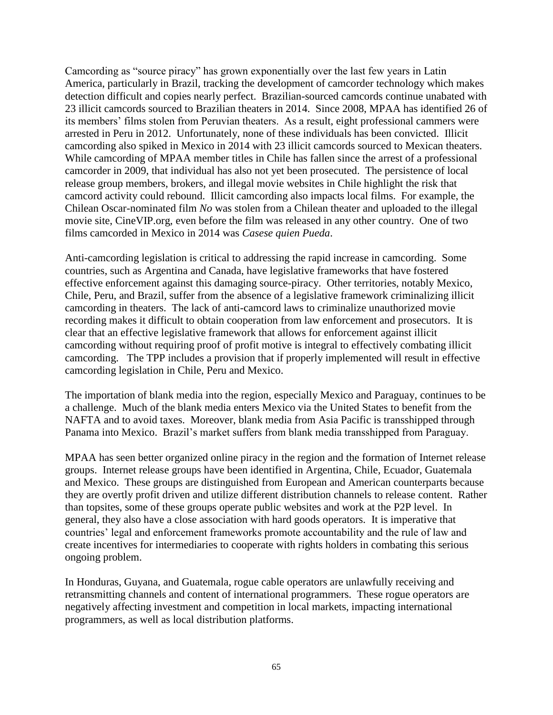Camcording as "source piracy" has grown exponentially over the last few years in Latin America, particularly in Brazil, tracking the development of camcorder technology which makes detection difficult and copies nearly perfect. Brazilian-sourced camcords continue unabated with 23 illicit camcords sourced to Brazilian theaters in 2014. Since 2008, MPAA has identified 26 of its members' films stolen from Peruvian theaters. As a result, eight professional cammers were arrested in Peru in 2012. Unfortunately, none of these individuals has been convicted. Illicit camcording also spiked in Mexico in 2014 with 23 illicit camcords sourced to Mexican theaters. While camcording of MPAA member titles in Chile has fallen since the arrest of a professional camcorder in 2009, that individual has also not yet been prosecuted. The persistence of local release group members, brokers, and illegal movie websites in Chile highlight the risk that camcord activity could rebound. Illicit camcording also impacts local films. For example, the Chilean Oscar-nominated film *No* was stolen from a Chilean theater and uploaded to the illegal movie site, CineVIP.org, even before the film was released in any other country. One of two films camcorded in Mexico in 2014 was *Casese quien Pueda*.

Anti-camcording legislation is critical to addressing the rapid increase in camcording. Some countries, such as Argentina and Canada, have legislative frameworks that have fostered effective enforcement against this damaging source-piracy. Other territories, notably Mexico, Chile, Peru, and Brazil, suffer from the absence of a legislative framework criminalizing illicit camcording in theaters. The lack of anti-camcord laws to criminalize unauthorized movie recording makes it difficult to obtain cooperation from law enforcement and prosecutors. It is clear that an effective legislative framework that allows for enforcement against illicit camcording without requiring proof of profit motive is integral to effectively combating illicit camcording. The TPP includes a provision that if properly implemented will result in effective camcording legislation in Chile, Peru and Mexico.

The importation of blank media into the region, especially Mexico and Paraguay, continues to be a challenge. Much of the blank media enters Mexico via the United States to benefit from the NAFTA and to avoid taxes. Moreover, blank media from Asia Pacific is transshipped through Panama into Mexico. Brazil's market suffers from blank media transshipped from Paraguay.

MPAA has seen better organized online piracy in the region and the formation of Internet release groups. Internet release groups have been identified in Argentina, Chile, Ecuador, Guatemala and Mexico. These groups are distinguished from European and American counterparts because they are overtly profit driven and utilize different distribution channels to release content. Rather than topsites, some of these groups operate public websites and work at the P2P level. In general, they also have a close association with hard goods operators. It is imperative that countries' legal and enforcement frameworks promote accountability and the rule of law and create incentives for intermediaries to cooperate with rights holders in combating this serious ongoing problem.

In Honduras, Guyana, and Guatemala, rogue cable operators are unlawfully receiving and retransmitting channels and content of international programmers. These rogue operators are negatively affecting investment and competition in local markets, impacting international programmers, as well as local distribution platforms.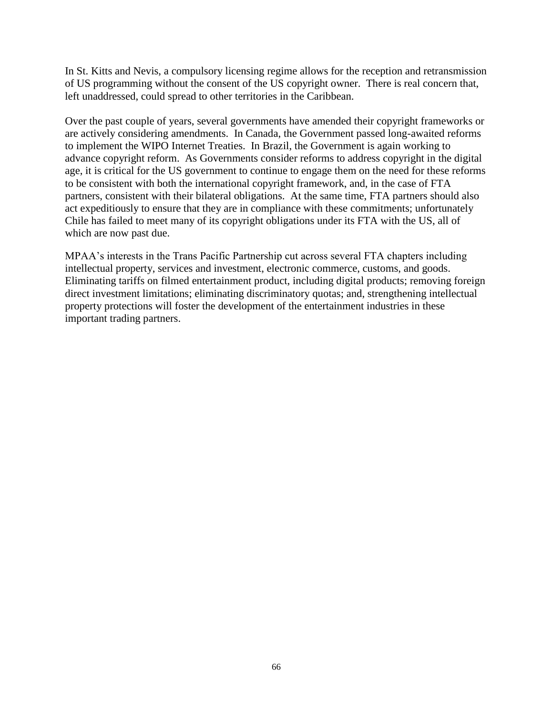In St. Kitts and Nevis, a compulsory licensing regime allows for the reception and retransmission of US programming without the consent of the US copyright owner. There is real concern that, left unaddressed, could spread to other territories in the Caribbean.

Over the past couple of years, several governments have amended their copyright frameworks or are actively considering amendments. In Canada, the Government passed long-awaited reforms to implement the WIPO Internet Treaties. In Brazil, the Government is again working to advance copyright reform. As Governments consider reforms to address copyright in the digital age, it is critical for the US government to continue to engage them on the need for these reforms to be consistent with both the international copyright framework, and, in the case of FTA partners, consistent with their bilateral obligations. At the same time, FTA partners should also act expeditiously to ensure that they are in compliance with these commitments; unfortunately Chile has failed to meet many of its copyright obligations under its FTA with the US, all of which are now past due.

MPAA's interests in the Trans Pacific Partnership cut across several FTA chapters including intellectual property, services and investment, electronic commerce, customs, and goods. Eliminating tariffs on filmed entertainment product, including digital products; removing foreign direct investment limitations; eliminating discriminatory quotas; and, strengthening intellectual property protections will foster the development of the entertainment industries in these important trading partners.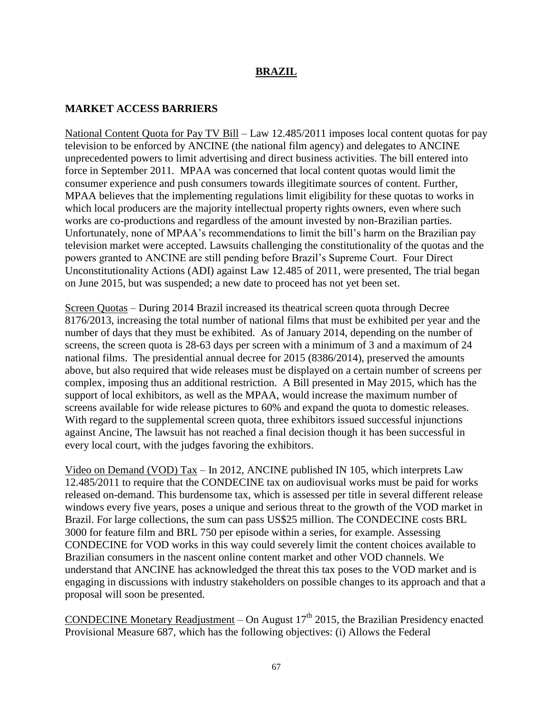#### **BRAZIL**

#### **MARKET ACCESS BARRIERS**

National Content Quota for Pay TV Bill – Law 12.485/2011 imposes local content quotas for pay television to be enforced by ANCINE (the national film agency) and delegates to ANCINE unprecedented powers to limit advertising and direct business activities. The bill entered into force in September 2011. MPAA was concerned that local content quotas would limit the consumer experience and push consumers towards illegitimate sources of content. Further, MPAA believes that the implementing regulations limit eligibility for these quotas to works in which local producers are the majority intellectual property rights owners, even where such works are co-productions and regardless of the amount invested by non-Brazilian parties. Unfortunately, none of MPAA's recommendations to limit the bill's harm on the Brazilian pay television market were accepted. Lawsuits challenging the constitutionality of the quotas and the powers granted to ANCINE are still pending before Brazil's Supreme Court. Four Direct Unconstitutionality Actions (ADI) against Law 12.485 of 2011, were presented, The trial began on June 2015, but was suspended; a new date to proceed has not yet been set.

Screen Quotas – During 2014 Brazil increased its theatrical screen quota through Decree 8176/2013, increasing the total number of national films that must be exhibited per year and the number of days that they must be exhibited. As of January 2014, depending on the number of screens, the screen quota is 28-63 days per screen with a minimum of 3 and a maximum of 24 national films. The presidential annual decree for 2015 (8386/2014), preserved the amounts above, but also required that wide releases must be displayed on a certain number of screens per complex, imposing thus an additional restriction. A Bill presented in May 2015, which has the support of local exhibitors, as well as the MPAA, would increase the maximum number of screens available for wide release pictures to 60% and expand the quota to domestic releases. With regard to the supplemental screen quota, three exhibitors issued successful injunctions against Ancine, The lawsuit has not reached a final decision though it has been successful in every local court, with the judges favoring the exhibitors.

Video on Demand (VOD) Tax – In 2012, ANCINE published IN 105, which interprets Law 12.485/2011 to require that the CONDECINE tax on audiovisual works must be paid for works released on-demand. This burdensome tax, which is assessed per title in several different release windows every five years, poses a unique and serious threat to the growth of the VOD market in Brazil. For large collections, the sum can pass US\$25 million. The CONDECINE costs BRL 3000 for feature film and BRL 750 per episode within a series, for example. Assessing CONDECINE for VOD works in this way could severely limit the content choices available to Brazilian consumers in the nascent online content market and other VOD channels. We understand that ANCINE has acknowledged the threat this tax poses to the VOD market and is engaging in discussions with industry stakeholders on possible changes to its approach and that a proposal will soon be presented.

CONDECINE Monetary Readjustment  $-$  On August 17<sup>th</sup> 2015, the Brazilian Presidency enacted Provisional Measure 687, which has the following objectives: (i) Allows the Federal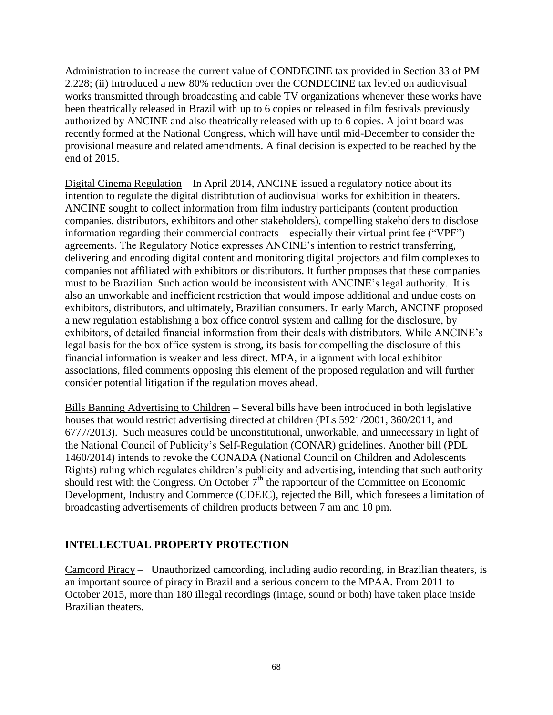Administration to increase the current value of CONDECINE tax provided in Section 33 of PM 2.228; (ii) Introduced a new 80% reduction over the CONDECINE tax levied on audiovisual works transmitted through broadcasting and cable TV organizations whenever these works have been theatrically released in Brazil with up to 6 copies or released in film festivals previously authorized by ANCINE and also theatrically released with up to 6 copies. A joint board was recently formed at the National Congress, which will have until mid-December to consider the provisional measure and related amendments. A final decision is expected to be reached by the end of 2015.

Digital Cinema Regulation – In April 2014, ANCINE issued a regulatory notice about its intention to regulate the digital distribtution of audiovisual works for exhibition in theaters. ANCINE sought to collect information from film industry participants (content production companies, distributors, exhibitors and other stakeholders), compelling stakeholders to disclose information regarding their commercial contracts – especially their virtual print fee ("VPF") agreements. The Regulatory Notice expresses ANCINE's intention to restrict transferring, delivering and encoding digital content and monitoring digital projectors and film complexes to companies not affiliated with exhibitors or distributors. It further proposes that these companies must to be Brazilian. Such action would be inconsistent with ANCINE's legal authority. It is also an unworkable and inefficient restriction that would impose additional and undue costs on exhibitors, distributors, and ultimately, Brazilian consumers. In early March, ANCINE proposed a new regulation establishing a box office control system and calling for the disclosure, by exhibitors, of detailed financial information from their deals with distributors. While ANCINE's legal basis for the box office system is strong, its basis for compelling the disclosure of this financial information is weaker and less direct. MPA, in alignment with local exhibitor associations, filed comments opposing this element of the proposed regulation and will further consider potential litigation if the regulation moves ahead.

Bills Banning Advertising to Children – Several bills have been introduced in both legislative houses that would restrict advertising directed at children (PLs 5921/2001, 360/2011, and 6777/2013). Such measures could be unconstitutional, unworkable, and unnecessary in light of the National Council of Publicity's Self-Regulation (CONAR) guidelines. Another bill (PDL 1460/2014) intends to revoke the CONADA (National Council on Children and Adolescents Rights) ruling which regulates children's publicity and advertising, intending that such authority should rest with the Congress. On October  $7<sup>th</sup>$  the rapporteur of the Committee on Economic Development, Industry and Commerce (CDEIC), rejected the Bill, which foresees a limitation of broadcasting advertisements of children products between 7 am and 10 pm.

#### **INTELLECTUAL PROPERTY PROTECTION**

Camcord Piracy – Unauthorized camcording, including audio recording, in Brazilian theaters, is an important source of piracy in Brazil and a serious concern to the MPAA. From 2011 to October 2015, more than 180 illegal recordings (image, sound or both) have taken place inside Brazilian theaters.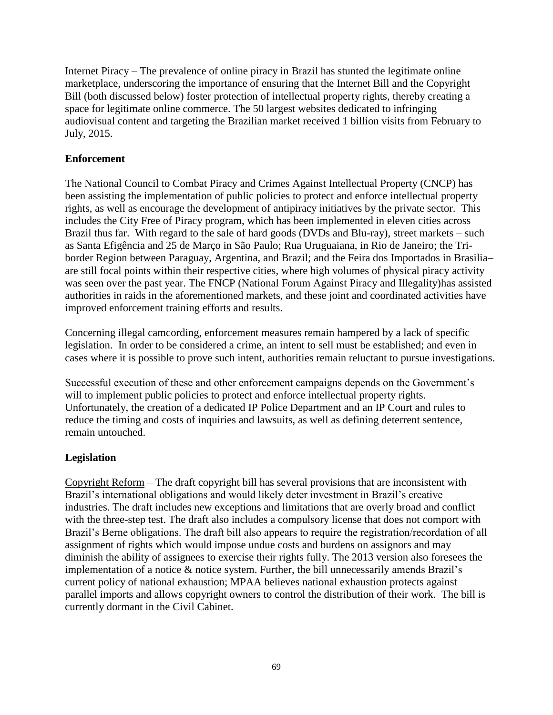Internet Piracy – The prevalence of online piracy in Brazil has stunted the legitimate online marketplace, underscoring the importance of ensuring that the Internet Bill and the Copyright Bill (both discussed below) foster protection of intellectual property rights, thereby creating a space for legitimate online commerce. The 50 largest websites dedicated to infringing audiovisual content and targeting the Brazilian market received 1 billion visits from February to July, 2015.

#### **Enforcement**

The National Council to Combat Piracy and Crimes Against Intellectual Property (CNCP) has been assisting the implementation of public policies to protect and enforce intellectual property rights, as well as encourage the development of antipiracy initiatives by the private sector. This includes the City Free of Piracy program, which has been implemented in eleven cities across Brazil thus far. With regard to the sale of hard goods (DVDs and Blu-ray), street markets – such as Santa Efigência and 25 de Março in São Paulo; Rua Uruguaiana, in Rio de Janeiro; the Triborder Region between Paraguay, Argentina, and Brazil; and the Feira dos Importados in Brasilia– are still focal points within their respective cities, where high volumes of physical piracy activity was seen over the past year. The FNCP (National Forum Against Piracy and Illegality)has assisted authorities in raids in the aforementioned markets, and these joint and coordinated activities have improved enforcement training efforts and results.

Concerning illegal camcording, enforcement measures remain hampered by a lack of specific legislation. In order to be considered a crime, an intent to sell must be established; and even in cases where it is possible to prove such intent, authorities remain reluctant to pursue investigations.

Successful execution of these and other enforcement campaigns depends on the Government's will to implement public policies to protect and enforce intellectual property rights. Unfortunately, the creation of a dedicated IP Police Department and an IP Court and rules to reduce the timing and costs of inquiries and lawsuits, as well as defining deterrent sentence, remain untouched.

#### **Legislation**

Copyright Reform – The draft copyright bill has several provisions that are inconsistent with Brazil's international obligations and would likely deter investment in Brazil's creative industries. The draft includes new exceptions and limitations that are overly broad and conflict with the three-step test. The draft also includes a compulsory license that does not comport with Brazil's Berne obligations. The draft bill also appears to require the registration/recordation of all assignment of rights which would impose undue costs and burdens on assignors and may diminish the ability of assignees to exercise their rights fully. The 2013 version also foresees the implementation of a notice & notice system. Further, the bill unnecessarily amends Brazil's current policy of national exhaustion; MPAA believes national exhaustion protects against parallel imports and allows copyright owners to control the distribution of their work. The bill is currently dormant in the Civil Cabinet.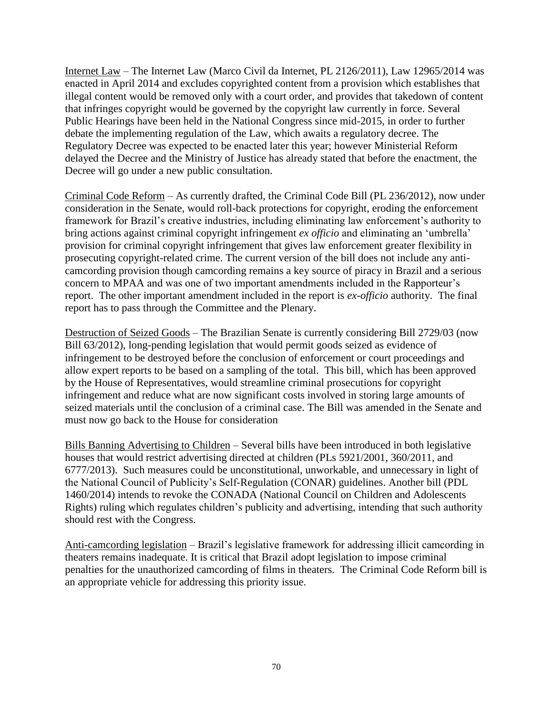Internet Law – The Internet Law (Marco Civil da Internet, PL 2126/2011), Law 12965/2014 was enacted in April 2014 and excludes copyrighted content from a provision which establishes that illegal content would be removed only with a court order, and provides that takedown of content that infringes copyright would be governed by the copyright law currently in force. Several Public Hearings have been held in the National Congress since mid-2015, in order to further debate the implementing regulation of the Law, which awaits a regulatory decree. The Regulatory Decree was expected to be enacted later this year; however Ministerial Reform delayed the Decree and the Ministry of Justice has already stated that before the enactment, the Decree will go under a new public consultation.

Criminal Code Reform – As currently drafted, the Criminal Code Bill (PL 236/2012), now under consideration in the Senate, would roll-back protections for copyright, eroding the enforcement framework for Brazil's creative industries, including eliminating law enforcement's authority to bring actions against criminal copyright infringement *ex officio* and eliminating an 'umbrella' provision for criminal copyright infringement that gives law enforcement greater flexibility in prosecuting copyright-related crime. The current version of the bill does not include any anticamcording provision though camcording remains a key source of piracy in Brazil and a serious concern to MPAA and was one of two important amendments included in the Rapporteur's report. The other important amendment included in the report is *ex-officio* authority. The final report has to pass through the Committee and the Plenary.

Destruction of Seized Goods – The Brazilian Senate is currently considering Bill 2729/03 (now Bill 63/2012), long-pending legislation that would permit goods seized as evidence of infringement to be destroyed before the conclusion of enforcement or court proceedings and allow expert reports to be based on a sampling of the total. This bill, which has been approved by the House of Representatives, would streamline criminal prosecutions for copyright infringement and reduce what are now significant costs involved in storing large amounts of seized materials until the conclusion of a criminal case. The Bill was amended in the Senate and must now go back to the House for consideration

Bills Banning Advertising to Children – Several bills have been introduced in both legislative houses that would restrict advertising directed at children (PLs 5921/2001, 360/2011, and 6777/2013). Such measures could be unconstitutional, unworkable, and unnecessary in light of the National Council of Publicity's Self-Regulation (CONAR) guidelines. Another bill (PDL 1460/2014) intends to revoke the CONADA (National Council on Children and Adolescents Rights) ruling which regulates children's publicity and advertising, intending that such authority should rest with the Congress.

Anti-camcording legislation – Brazil's legislative framework for addressing illicit camcording in theaters remains inadequate. It is critical that Brazil adopt legislation to impose criminal penalties for the unauthorized camcording of films in theaters. The Criminal Code Reform bill is an appropriate vehicle for addressing this priority issue.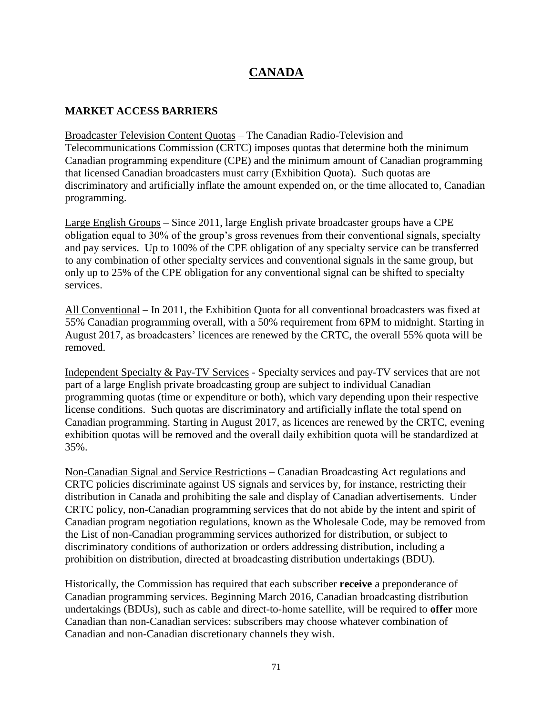## **CANADA**

#### **MARKET ACCESS BARRIERS**

Broadcaster Television Content Quotas – The Canadian Radio-Television and Telecommunications Commission (CRTC) imposes quotas that determine both the minimum Canadian programming expenditure (CPE) and the minimum amount of Canadian programming that licensed Canadian broadcasters must carry (Exhibition Quota). Such quotas are discriminatory and artificially inflate the amount expended on, or the time allocated to, Canadian programming.

Large English Groups – Since 2011, large English private broadcaster groups have a CPE obligation equal to 30% of the group's gross revenues from their conventional signals, specialty and pay services. Up to 100% of the CPE obligation of any specialty service can be transferred to any combination of other specialty services and conventional signals in the same group, but only up to 25% of the CPE obligation for any conventional signal can be shifted to specialty services.

All Conventional – In 2011, the Exhibition Quota for all conventional broadcasters was fixed at 55% Canadian programming overall, with a 50% requirement from 6PM to midnight. Starting in August 2017, as broadcasters' licences are renewed by the CRTC, the overall 55% quota will be removed.

Independent Specialty & Pay-TV Services - Specialty services and pay-TV services that are not part of a large English private broadcasting group are subject to individual Canadian programming quotas (time or expenditure or both), which vary depending upon their respective license conditions. Such quotas are discriminatory and artificially inflate the total spend on Canadian programming. Starting in August 2017, as licences are renewed by the CRTC, evening exhibition quotas will be removed and the overall daily exhibition quota will be standardized at 35%.

Non-Canadian Signal and Service Restrictions – Canadian Broadcasting Act regulations and CRTC policies discriminate against US signals and services by, for instance, restricting their distribution in Canada and prohibiting the sale and display of Canadian advertisements. Under CRTC policy, non-Canadian programming services that do not abide by the intent and spirit of Canadian program negotiation regulations, known as the Wholesale Code, may be removed from the List of non-Canadian programming services authorized for distribution, or subject to discriminatory conditions of authorization or orders addressing distribution, including a prohibition on distribution, directed at broadcasting distribution undertakings (BDU).

Historically, the Commission has required that each subscriber **receive** a preponderance of Canadian programming services. Beginning March 2016, Canadian broadcasting distribution undertakings (BDUs), such as cable and direct-to-home satellite, will be required to **offer** more Canadian than non-Canadian services: subscribers may choose whatever combination of Canadian and non-Canadian discretionary channels they wish.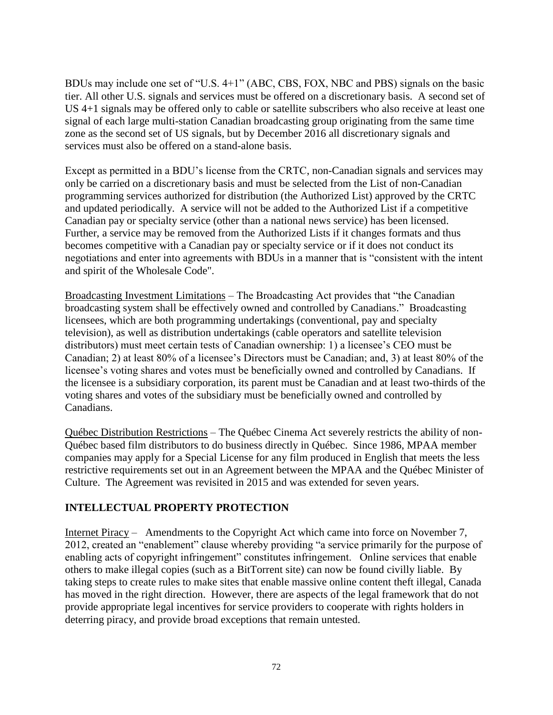BDUs may include one set of "U.S. 4+1" (ABC, CBS, FOX, NBC and PBS) signals on the basic tier. All other U.S. signals and services must be offered on a discretionary basis. A second set of US 4+1 signals may be offered only to cable or satellite subscribers who also receive at least one signal of each large multi-station Canadian broadcasting group originating from the same time zone as the second set of US signals, but by December 2016 all discretionary signals and services must also be offered on a stand-alone basis.

Except as permitted in a BDU's license from the CRTC, non-Canadian signals and services may only be carried on a discretionary basis and must be selected from the List of non-Canadian programming services authorized for distribution (the Authorized List) approved by the CRTC and updated periodically. A service will not be added to the Authorized List if a competitive Canadian pay or specialty service (other than a national news service) has been licensed. Further, a service may be removed from the Authorized Lists if it changes formats and thus becomes competitive with a Canadian pay or specialty service or if it does not conduct its negotiations and enter into agreements with BDUs in a manner that is "consistent with the intent and spirit of the Wholesale Code".

Broadcasting Investment Limitations – The Broadcasting Act provides that "the Canadian broadcasting system shall be effectively owned and controlled by Canadians." Broadcasting licensees, which are both programming undertakings (conventional, pay and specialty television), as well as distribution undertakings (cable operators and satellite television distributors) must meet certain tests of Canadian ownership: 1) a licensee's CEO must be Canadian; 2) at least 80% of a licensee's Directors must be Canadian; and, 3) at least 80% of the licensee's voting shares and votes must be beneficially owned and controlled by Canadians. If the licensee is a subsidiary corporation, its parent must be Canadian and at least two-thirds of the voting shares and votes of the subsidiary must be beneficially owned and controlled by Canadians.

Québec Distribution Restrictions – The Québec Cinema Act severely restricts the ability of non-Québec based film distributors to do business directly in Québec. Since 1986, MPAA member companies may apply for a Special License for any film produced in English that meets the less restrictive requirements set out in an Agreement between the MPAA and the Québec Minister of Culture. The Agreement was revisited in 2015 and was extended for seven years.

#### **INTELLECTUAL PROPERTY PROTECTION**

Internet Piracy – Amendments to the Copyright Act which came into force on November 7, 2012, created an "enablement" clause whereby providing "a service primarily for the purpose of enabling acts of copyright infringement" constitutes infringement. Online services that enable others to make illegal copies (such as a BitTorrent site) can now be found civilly liable. By taking steps to create rules to make sites that enable massive online content theft illegal, Canada has moved in the right direction. However, there are aspects of the legal framework that do not provide appropriate legal incentives for service providers to cooperate with rights holders in deterring piracy, and provide broad exceptions that remain untested.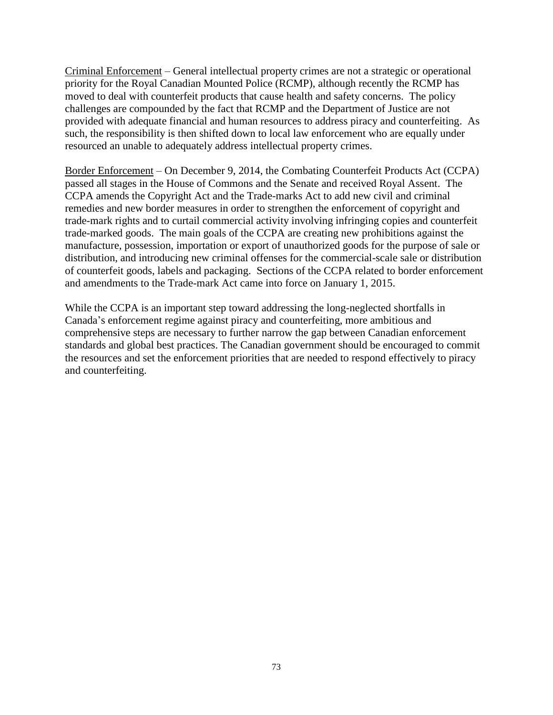Criminal Enforcement – General intellectual property crimes are not a strategic or operational priority for the Royal Canadian Mounted Police (RCMP), although recently the RCMP has moved to deal with counterfeit products that cause health and safety concerns. The policy challenges are compounded by the fact that RCMP and the Department of Justice are not provided with adequate financial and human resources to address piracy and counterfeiting. As such, the responsibility is then shifted down to local law enforcement who are equally under resourced an unable to adequately address intellectual property crimes.

Border Enforcement – On December 9, 2014, the Combating Counterfeit Products Act (CCPA) passed all stages in the House of Commons and the Senate and received Royal Assent. The CCPA amends the Copyright Act and the Trade-marks Act to add new civil and criminal remedies and new border measures in order to strengthen the enforcement of copyright and trade-mark rights and to curtail commercial activity involving infringing copies and counterfeit trade-marked goods. The main goals of the CCPA are creating new prohibitions against the manufacture, possession, importation or export of unauthorized goods for the purpose of sale or distribution, and introducing new criminal offenses for the commercial-scale sale or distribution of counterfeit goods, labels and packaging. Sections of the CCPA related to border enforcement and amendments to the Trade-mark Act came into force on January 1, 2015.

While the CCPA is an important step toward addressing the long-neglected shortfalls in Canada's enforcement regime against piracy and counterfeiting, more ambitious and comprehensive steps are necessary to further narrow the gap between Canadian enforcement standards and global best practices. The Canadian government should be encouraged to commit the resources and set the enforcement priorities that are needed to respond effectively to piracy and counterfeiting.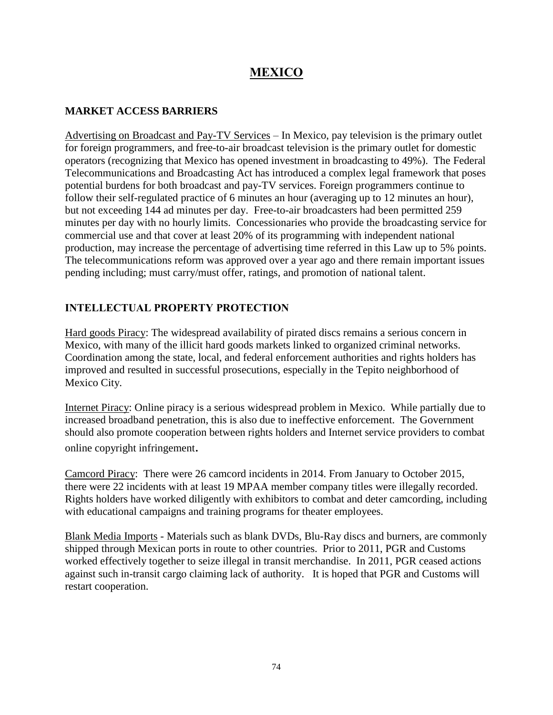# **MEXICO**

### **MARKET ACCESS BARRIERS**

Advertising on Broadcast and Pay-TV Services – In Mexico, pay television is the primary outlet for foreign programmers, and free-to-air broadcast television is the primary outlet for domestic operators (recognizing that Mexico has opened investment in broadcasting to 49%). The Federal Telecommunications and Broadcasting Act has introduced a complex legal framework that poses potential burdens for both broadcast and pay-TV services. Foreign programmers continue to follow their self-regulated practice of 6 minutes an hour (averaging up to 12 minutes an hour), but not exceeding 144 ad minutes per day. Free-to-air broadcasters had been permitted 259 minutes per day with no hourly limits. Concessionaries who provide the broadcasting service for commercial use and that cover at least 20% of its programming with independent national production, may increase the percentage of advertising time referred in this Law up to 5% points. The telecommunications reform was approved over a year ago and there remain important issues pending including; must carry/must offer, ratings, and promotion of national talent.

## **INTELLECTUAL PROPERTY PROTECTION**

Hard goods Piracy: The widespread availability of pirated discs remains a serious concern in Mexico, with many of the illicit hard goods markets linked to organized criminal networks. Coordination among the state, local, and federal enforcement authorities and rights holders has improved and resulted in successful prosecutions, especially in the Tepito neighborhood of Mexico City.

Internet Piracy: Online piracy is a serious widespread problem in Mexico. While partially due to increased broadband penetration, this is also due to ineffective enforcement. The Government should also promote cooperation between rights holders and Internet service providers to combat online copyright infringement.

Camcord Piracy: There were 26 camcord incidents in 2014. From January to October 2015, there were 22 incidents with at least 19 MPAA member company titles were illegally recorded. Rights holders have worked diligently with exhibitors to combat and deter camcording, including with educational campaigns and training programs for theater employees.

Blank Media Imports - Materials such as blank DVDs, Blu-Ray discs and burners, are commonly shipped through Mexican ports in route to other countries. Prior to 2011, PGR and Customs worked effectively together to seize illegal in transit merchandise. In 2011, PGR ceased actions against such in-transit cargo claiming lack of authority. It is hoped that PGR and Customs will restart cooperation.